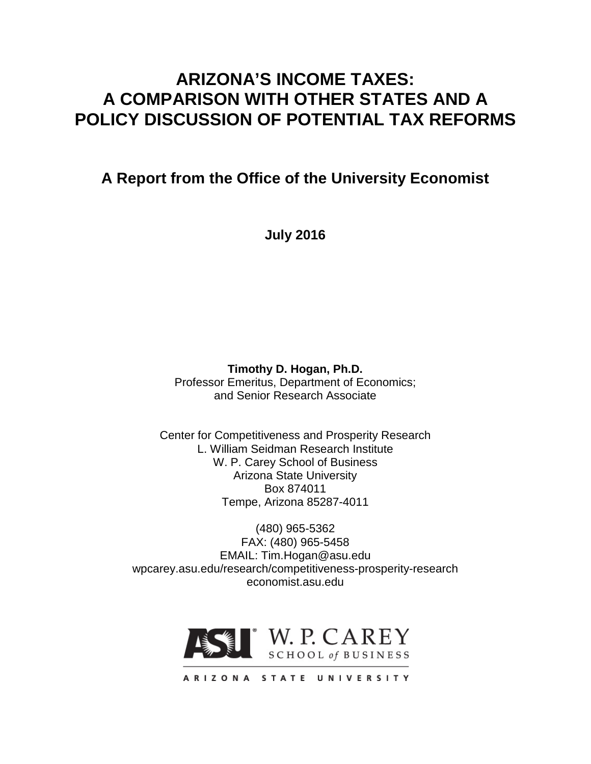# **ARIZONA'S INCOME TAXES: A COMPARISON WITH OTHER STATES AND A POLICY DISCUSSION OF POTENTIAL TAX REFORMS**

**A Report from the Office of the University Economist**

**July 2016**

**Timothy D. Hogan, Ph.D.** Professor Emeritus, Department of Economics; and Senior Research Associate

Center for Competitiveness and Prosperity Research L. William Seidman Research Institute W. P. Carey School of Business Arizona State University Box 874011 Tempe, Arizona 85287-4011

(480) 965-5362 FAX: (480) 965-5458 EMAIL: Tim.Hogan@asu.edu wpcarey.asu.edu/research/competitiveness-prosperity-research economist.asu.edu



ARIZONA STATE UNIVERSITY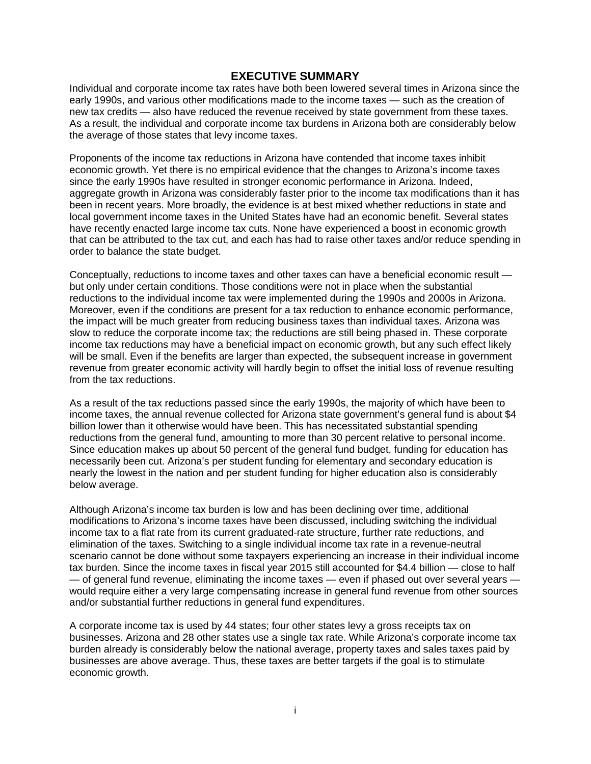#### **EXECUTIVE SUMMARY**

Individual and corporate income tax rates have both been lowered several times in Arizona since the early 1990s, and various other modifications made to the income taxes — such as the creation of new tax credits — also have reduced the revenue received by state government from these taxes. As a result, the individual and corporate income tax burdens in Arizona both are considerably below the average of those states that levy income taxes.

Proponents of the income tax reductions in Arizona have contended that income taxes inhibit economic growth. Yet there is no empirical evidence that the changes to Arizona's income taxes since the early 1990s have resulted in stronger economic performance in Arizona. Indeed, aggregate growth in Arizona was considerably faster prior to the income tax modifications than it has been in recent years. More broadly, the evidence is at best mixed whether reductions in state and local government income taxes in the United States have had an economic benefit. Several states have recently enacted large income tax cuts. None have experienced a boost in economic growth that can be attributed to the tax cut, and each has had to raise other taxes and/or reduce spending in order to balance the state budget.

Conceptually, reductions to income taxes and other taxes can have a beneficial economic result but only under certain conditions. Those conditions were not in place when the substantial reductions to the individual income tax were implemented during the 1990s and 2000s in Arizona. Moreover, even if the conditions are present for a tax reduction to enhance economic performance, the impact will be much greater from reducing business taxes than individual taxes. Arizona was slow to reduce the corporate income tax; the reductions are still being phased in. These corporate income tax reductions may have a beneficial impact on economic growth, but any such effect likely will be small. Even if the benefits are larger than expected, the subsequent increase in government revenue from greater economic activity will hardly begin to offset the initial loss of revenue resulting from the tax reductions.

As a result of the tax reductions passed since the early 1990s, the majority of which have been to income taxes, the annual revenue collected for Arizona state government's general fund is about \$4 billion lower than it otherwise would have been. This has necessitated substantial spending reductions from the general fund, amounting to more than 30 percent relative to personal income. Since education makes up about 50 percent of the general fund budget, funding for education has necessarily been cut. Arizona's per student funding for elementary and secondary education is nearly the lowest in the nation and per student funding for higher education also is considerably below average.

Although Arizona's income tax burden is low and has been declining over time, additional modifications to Arizona's income taxes have been discussed, including switching the individual income tax to a flat rate from its current graduated-rate structure, further rate reductions, and elimination of the taxes. Switching to a single individual income tax rate in a revenue-neutral scenario cannot be done without some taxpayers experiencing an increase in their individual income tax burden. Since the income taxes in fiscal year 2015 still accounted for \$4.4 billion — close to half — of general fund revenue, eliminating the income taxes — even if phased out over several years would require either a very large compensating increase in general fund revenue from other sources and/or substantial further reductions in general fund expenditures.

A corporate income tax is used by 44 states; four other states levy a gross receipts tax on businesses. Arizona and 28 other states use a single tax rate. While Arizona's corporate income tax burden already is considerably below the national average, property taxes and sales taxes paid by businesses are above average. Thus, these taxes are better targets if the goal is to stimulate economic growth.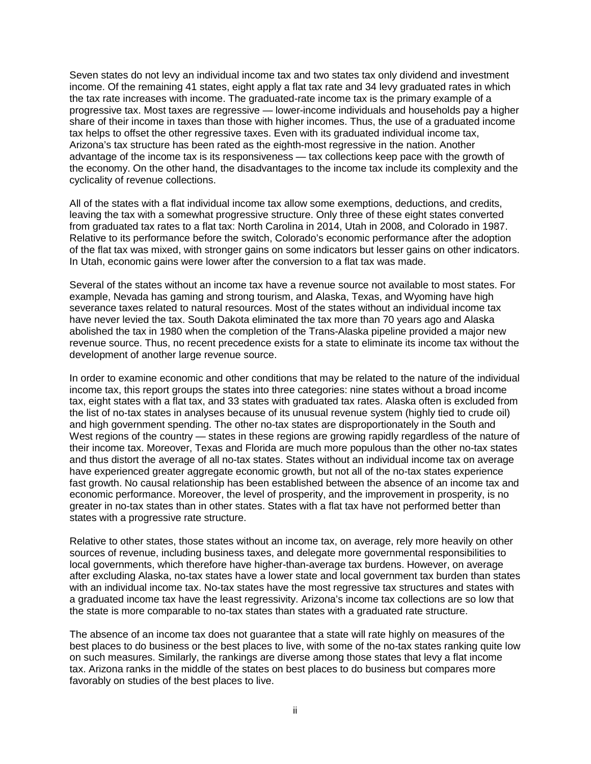Seven states do not levy an individual income tax and two states tax only dividend and investment income. Of the remaining 41 states, eight apply a flat tax rate and 34 levy graduated rates in which the tax rate increases with income. The graduated-rate income tax is the primary example of a progressive tax. Most taxes are regressive — lower-income individuals and households pay a higher share of their income in taxes than those with higher incomes. Thus, the use of a graduated income tax helps to offset the other regressive taxes. Even with its graduated individual income tax, Arizona's tax structure has been rated as the eighth-most regressive in the nation. Another advantage of the income tax is its responsiveness — tax collections keep pace with the growth of the economy. On the other hand, the disadvantages to the income tax include its complexity and the cyclicality of revenue collections.

All of the states with a flat individual income tax allow some exemptions, deductions, and credits, leaving the tax with a somewhat progressive structure. Only three of these eight states converted from graduated tax rates to a flat tax: North Carolina in 2014, Utah in 2008, and Colorado in 1987. Relative to its performance before the switch, Colorado's economic performance after the adoption of the flat tax was mixed, with stronger gains on some indicators but lesser gains on other indicators. In Utah, economic gains were lower after the conversion to a flat tax was made.

Several of the states without an income tax have a revenue source not available to most states. For example, Nevada has gaming and strong tourism, and Alaska, Texas, and Wyoming have high severance taxes related to natural resources. Most of the states without an individual income tax have never levied the tax. South Dakota eliminated the tax more than 70 years ago and Alaska abolished the tax in 1980 when the completion of the Trans-Alaska pipeline provided a major new revenue source. Thus, no recent precedence exists for a state to eliminate its income tax without the development of another large revenue source.

In order to examine economic and other conditions that may be related to the nature of the individual income tax, this report groups the states into three categories: nine states without a broad income tax, eight states with a flat tax, and 33 states with graduated tax rates. Alaska often is excluded from the list of no-tax states in analyses because of its unusual revenue system (highly tied to crude oil) and high government spending. The other no-tax states are disproportionately in the South and West regions of the country — states in these regions are growing rapidly regardless of the nature of their income tax. Moreover, Texas and Florida are much more populous than the other no-tax states and thus distort the average of all no-tax states. States without an individual income tax on average have experienced greater aggregate economic growth, but not all of the no-tax states experience fast growth. No causal relationship has been established between the absence of an income tax and economic performance. Moreover, the level of prosperity, and the improvement in prosperity, is no greater in no-tax states than in other states. States with a flat tax have not performed better than states with a progressive rate structure.

Relative to other states, those states without an income tax, on average, rely more heavily on other sources of revenue, including business taxes, and delegate more governmental responsibilities to local governments, which therefore have higher-than-average tax burdens. However, on average after excluding Alaska, no-tax states have a lower state and local government tax burden than states with an individual income tax. No-tax states have the most regressive tax structures and states with a graduated income tax have the least regressivity. Arizona's income tax collections are so low that the state is more comparable to no-tax states than states with a graduated rate structure.

The absence of an income tax does not guarantee that a state will rate highly on measures of the best places to do business or the best places to live, with some of the no-tax states ranking quite low on such measures. Similarly, the rankings are diverse among those states that levy a flat income tax. Arizona ranks in the middle of the states on best places to do business but compares more favorably on studies of the best places to live.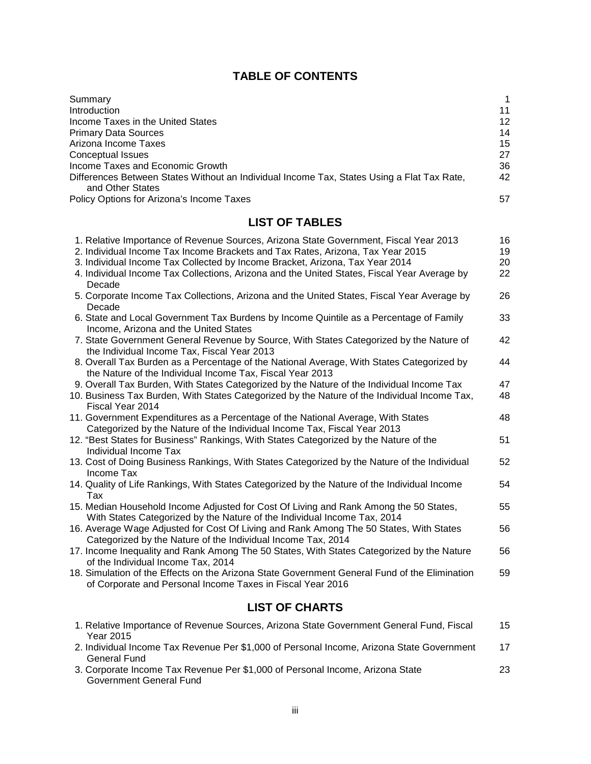# **TABLE OF CONTENTS**

| Summary                                                                                                        |    |
|----------------------------------------------------------------------------------------------------------------|----|
| Introduction                                                                                                   | 11 |
| Income Taxes in the United States                                                                              | 12 |
| <b>Primary Data Sources</b>                                                                                    | 14 |
| Arizona Income Taxes                                                                                           | 15 |
| Conceptual Issues                                                                                              | 27 |
| Income Taxes and Economic Growth                                                                               | 36 |
| Differences Between States Without an Individual Income Tax, States Using a Flat Tax Rate,<br>and Other States | 42 |
| Policy Options for Arizona's Income Taxes                                                                      | 57 |
|                                                                                                                |    |

# **LIST OF TABLES**

| 1. Relative Importance of Revenue Sources, Arizona State Government, Fiscal Year 2013                                                                             | 16 |
|-------------------------------------------------------------------------------------------------------------------------------------------------------------------|----|
| 2. Individual Income Tax Income Brackets and Tax Rates, Arizona, Tax Year 2015                                                                                    | 19 |
| 3. Individual Income Tax Collected by Income Bracket, Arizona, Tax Year 2014                                                                                      | 20 |
| 4. Individual Income Tax Collections, Arizona and the United States, Fiscal Year Average by<br>Decade                                                             | 22 |
| 5. Corporate Income Tax Collections, Arizona and the United States, Fiscal Year Average by<br>Decade                                                              | 26 |
| 6. State and Local Government Tax Burdens by Income Quintile as a Percentage of Family<br>Income, Arizona and the United States                                   | 33 |
| 7. State Government General Revenue by Source, With States Categorized by the Nature of<br>the Individual Income Tax, Fiscal Year 2013                            | 42 |
| 8. Overall Tax Burden as a Percentage of the National Average, With States Categorized by<br>the Nature of the Individual Income Tax, Fiscal Year 2013            | 44 |
| 9. Overall Tax Burden, With States Categorized by the Nature of the Individual Income Tax                                                                         | 47 |
| 10. Business Tax Burden, With States Categorized by the Nature of the Individual Income Tax,<br>Fiscal Year 2014                                                  | 48 |
| 11. Government Expenditures as a Percentage of the National Average, With States<br>Categorized by the Nature of the Individual Income Tax, Fiscal Year 2013      | 48 |
| 12. "Best States for Business" Rankings, With States Categorized by the Nature of the<br>Individual Income Tax                                                    | 51 |
| 13. Cost of Doing Business Rankings, With States Categorized by the Nature of the Individual<br>Income Tax                                                        | 52 |
| 14. Quality of Life Rankings, With States Categorized by the Nature of the Individual Income<br>Tax                                                               | 54 |
| 15. Median Household Income Adjusted for Cost Of Living and Rank Among the 50 States,<br>With States Categorized by the Nature of the Individual Income Tax, 2014 | 55 |
| 16. Average Wage Adjusted for Cost Of Living and Rank Among The 50 States, With States<br>Categorized by the Nature of the Individual Income Tax, 2014            | 56 |
| 17. Income Inequality and Rank Among The 50 States, With States Categorized by the Nature<br>of the Individual Income Tax, 2014                                   | 56 |
| 18. Simulation of the Effects on the Arizona State Government General Fund of the Elimination<br>of Corporate and Personal Income Taxes in Fiscal Year 2016       | 59 |
| LIAT AF ALLARTA                                                                                                                                                   |    |

### **LIST OF CHARTS**

| 1. Relative Importance of Revenue Sources, Arizona State Government General Fund, Fiscal  | 15 |
|-------------------------------------------------------------------------------------------|----|
| Year 2015                                                                                 |    |
| 2. Individual Income Tax Revenue Per \$1,000 of Personal Income, Arizona State Government | 17 |
| General Fund                                                                              |    |
| 3. Corporate Income Tax Revenue Per \$1,000 of Personal Income, Arizona State             | 23 |
| Government General Fund                                                                   |    |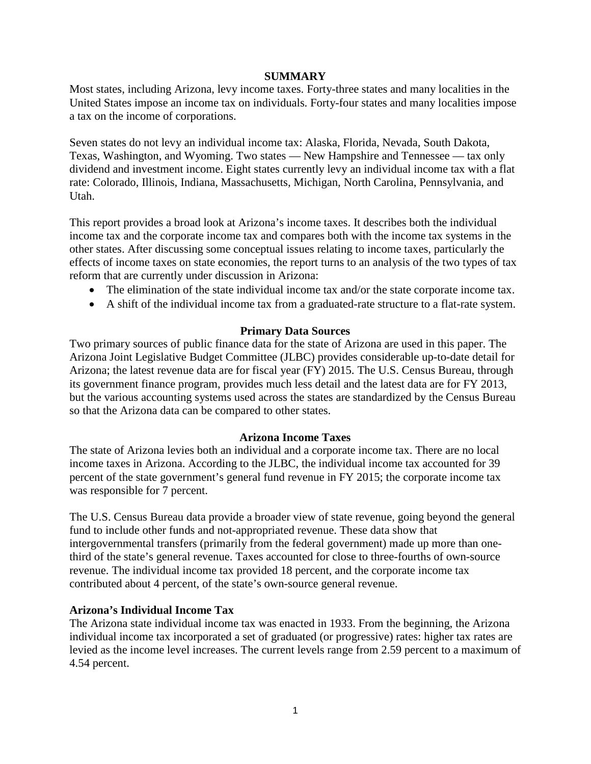#### **SUMMARY**

Most states, including Arizona, levy income taxes. Forty-three states and many localities in the United States impose an income tax on individuals. Forty-four states and many localities impose a tax on the income of corporations.

Seven states do not levy an individual income tax: Alaska, Florida, Nevada, South Dakota, Texas, Washington, and Wyoming. Two states — New Hampshire and Tennessee — tax only dividend and investment income. Eight states currently levy an individual income tax with a flat rate: Colorado, Illinois, Indiana, Massachusetts, Michigan, North Carolina, Pennsylvania, and Utah.

This report provides a broad look at Arizona's income taxes. It describes both the individual income tax and the corporate income tax and compares both with the income tax systems in the other states. After discussing some conceptual issues relating to income taxes, particularly the effects of income taxes on state economies, the report turns to an analysis of the two types of tax reform that are currently under discussion in Arizona:

- The elimination of the state individual income tax and/or the state corporate income tax.
- A shift of the individual income tax from a graduated-rate structure to a flat-rate system.

### **Primary Data Sources**

Two primary sources of public finance data for the state of Arizona are used in this paper. The Arizona Joint Legislative Budget Committee (JLBC) provides considerable up-to-date detail for Arizona; the latest revenue data are for fiscal year (FY) 2015. The U.S. Census Bureau, through its government finance program, provides much less detail and the latest data are for FY 2013, but the various accounting systems used across the states are standardized by the Census Bureau so that the Arizona data can be compared to other states.

### **Arizona Income Taxes**

The state of Arizona levies both an individual and a corporate income tax. There are no local income taxes in Arizona. According to the JLBC, the individual income tax accounted for 39 percent of the state government's general fund revenue in FY 2015; the corporate income tax was responsible for 7 percent.

The U.S. Census Bureau data provide a broader view of state revenue, going beyond the general fund to include other funds and not-appropriated revenue. These data show that intergovernmental transfers (primarily from the federal government) made up more than onethird of the state's general revenue. Taxes accounted for close to three-fourths of own-source revenue. The individual income tax provided 18 percent, and the corporate income tax contributed about 4 percent, of the state's own-source general revenue.

### **Arizona's Individual Income Tax**

The Arizona state individual income tax was enacted in 1933. From the beginning, the Arizona individual income tax incorporated a set of graduated (or progressive) rates: higher tax rates are levied as the income level increases. The current levels range from 2.59 percent to a maximum of 4.54 percent.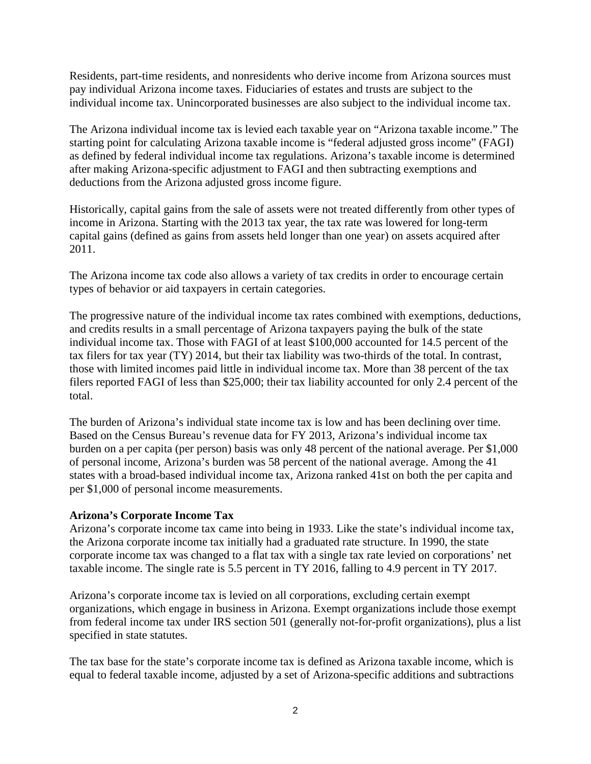Residents, part-time residents, and nonresidents who derive income from Arizona sources must pay individual Arizona income taxes. Fiduciaries of estates and trusts are subject to the individual income tax. Unincorporated businesses are also subject to the individual income tax.

The Arizona individual income tax is levied each taxable year on "Arizona taxable income." The starting point for calculating Arizona taxable income is "federal adjusted gross income" (FAGI) as defined by federal individual income tax regulations. Arizona's taxable income is determined after making Arizona-specific adjustment to FAGI and then subtracting exemptions and deductions from the Arizona adjusted gross income figure.

Historically, capital gains from the sale of assets were not treated differently from other types of income in Arizona. Starting with the 2013 tax year, the tax rate was lowered for long-term capital gains (defined as gains from assets held longer than one year) on assets acquired after 2011.

The Arizona income tax code also allows a variety of tax credits in order to encourage certain types of behavior or aid taxpayers in certain categories.

The progressive nature of the individual income tax rates combined with exemptions, deductions, and credits results in a small percentage of Arizona taxpayers paying the bulk of the state individual income tax. Those with FAGI of at least \$100,000 accounted for 14.5 percent of the tax filers for tax year (TY) 2014, but their tax liability was two-thirds of the total. In contrast, those with limited incomes paid little in individual income tax. More than 38 percent of the tax filers reported FAGI of less than \$25,000; their tax liability accounted for only 2.4 percent of the total.

The burden of Arizona's individual state income tax is low and has been declining over time. Based on the Census Bureau's revenue data for FY 2013, Arizona's individual income tax burden on a per capita (per person) basis was only 48 percent of the national average. Per \$1,000 of personal income, Arizona's burden was 58 percent of the national average. Among the 41 states with a broad-based individual income tax, Arizona ranked 41st on both the per capita and per \$1,000 of personal income measurements.

### **Arizona's Corporate Income Tax**

Arizona's corporate income tax came into being in 1933. Like the state's individual income tax, the Arizona corporate income tax initially had a graduated rate structure. In 1990, the state corporate income tax was changed to a flat tax with a single tax rate levied on corporations' net taxable income. The single rate is 5.5 percent in TY 2016, falling to 4.9 percent in TY 2017.

Arizona's corporate income tax is levied on all corporations, excluding certain exempt organizations, which engage in business in Arizona. Exempt organizations include those exempt from federal income tax under IRS section 501 (generally not-for-profit organizations), plus a list specified in state statutes.

The tax base for the state's corporate income tax is defined as Arizona taxable income, which is equal to federal taxable income, adjusted by a set of Arizona-specific additions and subtractions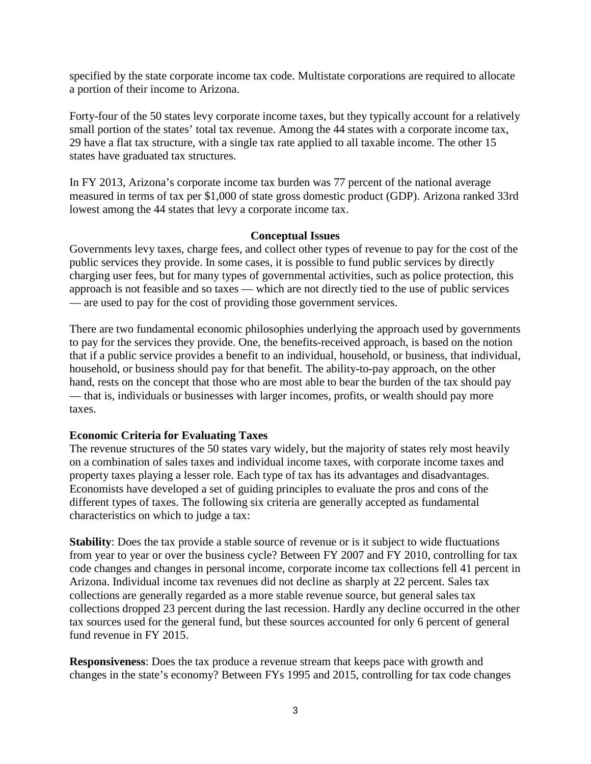specified by the state corporate income tax code. Multistate corporations are required to allocate a portion of their income to Arizona.

Forty-four of the 50 states levy corporate income taxes, but they typically account for a relatively small portion of the states' total tax revenue. Among the 44 states with a corporate income tax, 29 have a flat tax structure, with a single tax rate applied to all taxable income. The other 15 states have graduated tax structures.

In FY 2013, Arizona's corporate income tax burden was 77 percent of the national average measured in terms of tax per \$1,000 of state gross domestic product (GDP). Arizona ranked 33rd lowest among the 44 states that levy a corporate income tax.

### **Conceptual Issues**

Governments levy taxes, charge fees, and collect other types of revenue to pay for the cost of the public services they provide. In some cases, it is possible to fund public services by directly charging user fees, but for many types of governmental activities, such as police protection, this approach is not feasible and so taxes — which are not directly tied to the use of public services — are used to pay for the cost of providing those government services.

There are two fundamental economic philosophies underlying the approach used by governments to pay for the services they provide. One, the benefits-received approach, is based on the notion that if a public service provides a benefit to an individual, household, or business, that individual, household, or business should pay for that benefit. The ability-to-pay approach, on the other hand, rests on the concept that those who are most able to bear the burden of the tax should pay — that is, individuals or businesses with larger incomes, profits, or wealth should pay more taxes.

### **Economic Criteria for Evaluating Taxes**

The revenue structures of the 50 states vary widely, but the majority of states rely most heavily on a combination of sales taxes and individual income taxes, with corporate income taxes and property taxes playing a lesser role. Each type of tax has its advantages and disadvantages. Economists have developed a set of guiding principles to evaluate the pros and cons of the different types of taxes. The following six criteria are generally accepted as fundamental characteristics on which to judge a tax:

**Stability**: Does the tax provide a stable source of revenue or is it subject to wide fluctuations from year to year or over the business cycle? Between FY 2007 and FY 2010, controlling for tax code changes and changes in personal income, corporate income tax collections fell 41 percent in Arizona. Individual income tax revenues did not decline as sharply at 22 percent. Sales tax collections are generally regarded as a more stable revenue source, but general sales tax collections dropped 23 percent during the last recession. Hardly any decline occurred in the other tax sources used for the general fund, but these sources accounted for only 6 percent of general fund revenue in FY 2015.

**Responsiveness**: Does the tax produce a revenue stream that keeps pace with growth and changes in the state's economy? Between FYs 1995 and 2015, controlling for tax code changes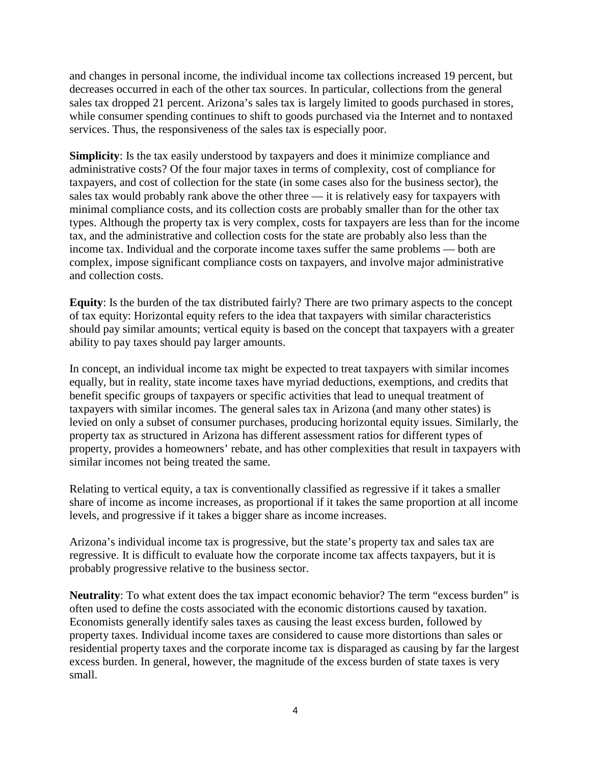and changes in personal income, the individual income tax collections increased 19 percent, but decreases occurred in each of the other tax sources. In particular, collections from the general sales tax dropped 21 percent. Arizona's sales tax is largely limited to goods purchased in stores, while consumer spending continues to shift to goods purchased via the Internet and to nontaxed services. Thus, the responsiveness of the sales tax is especially poor.

**Simplicity**: Is the tax easily understood by taxpayers and does it minimize compliance and administrative costs? Of the four major taxes in terms of complexity, cost of compliance for taxpayers, and cost of collection for the state (in some cases also for the business sector), the sales tax would probably rank above the other three — it is relatively easy for taxpayers with minimal compliance costs, and its collection costs are probably smaller than for the other tax types. Although the property tax is very complex, costs for taxpayers are less than for the income tax, and the administrative and collection costs for the state are probably also less than the income tax. Individual and the corporate income taxes suffer the same problems — both are complex, impose significant compliance costs on taxpayers, and involve major administrative and collection costs.

**Equity**: Is the burden of the tax distributed fairly? There are two primary aspects to the concept of tax equity: Horizontal equity refers to the idea that taxpayers with similar characteristics should pay similar amounts; vertical equity is based on the concept that taxpayers with a greater ability to pay taxes should pay larger amounts.

In concept, an individual income tax might be expected to treat taxpayers with similar incomes equally, but in reality, state income taxes have myriad deductions, exemptions, and credits that benefit specific groups of taxpayers or specific activities that lead to unequal treatment of taxpayers with similar incomes. The general sales tax in Arizona (and many other states) is levied on only a subset of consumer purchases, producing horizontal equity issues. Similarly, the property tax as structured in Arizona has different assessment ratios for different types of property, provides a homeowners' rebate, and has other complexities that result in taxpayers with similar incomes not being treated the same.

Relating to vertical equity, a tax is conventionally classified as regressive if it takes a smaller share of income as income increases, as proportional if it takes the same proportion at all income levels, and progressive if it takes a bigger share as income increases.

Arizona's individual income tax is progressive, but the state's property tax and sales tax are regressive. It is difficult to evaluate how the corporate income tax affects taxpayers, but it is probably progressive relative to the business sector.

**Neutrality**: To what extent does the tax impact economic behavior? The term "excess burden" is often used to define the costs associated with the economic distortions caused by taxation. Economists generally identify sales taxes as causing the least excess burden, followed by property taxes. Individual income taxes are considered to cause more distortions than sales or residential property taxes and the corporate income tax is disparaged as causing by far the largest excess burden. In general, however, the magnitude of the excess burden of state taxes is very small.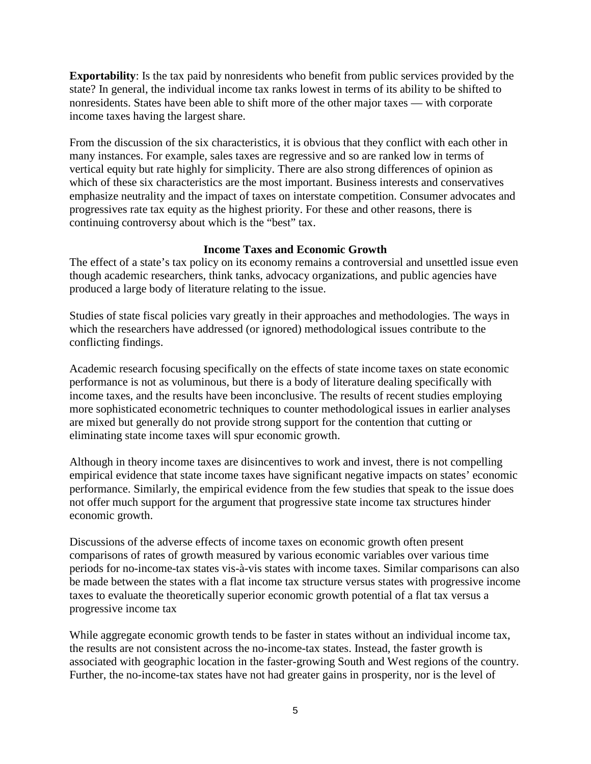**Exportability**: Is the tax paid by nonresidents who benefit from public services provided by the state? In general, the individual income tax ranks lowest in terms of its ability to be shifted to nonresidents. States have been able to shift more of the other major taxes — with corporate income taxes having the largest share.

From the discussion of the six characteristics, it is obvious that they conflict with each other in many instances. For example, sales taxes are regressive and so are ranked low in terms of vertical equity but rate highly for simplicity. There are also strong differences of opinion as which of these six characteristics are the most important. Business interests and conservatives emphasize neutrality and the impact of taxes on interstate competition. Consumer advocates and progressives rate tax equity as the highest priority. For these and other reasons, there is continuing controversy about which is the "best" tax.

# **Income Taxes and Economic Growth**

The effect of a state's tax policy on its economy remains a controversial and unsettled issue even though academic researchers, think tanks, advocacy organizations, and public agencies have produced a large body of literature relating to the issue.

Studies of state fiscal policies vary greatly in their approaches and methodologies. The ways in which the researchers have addressed (or ignored) methodological issues contribute to the conflicting findings.

Academic research focusing specifically on the effects of state income taxes on state economic performance is not as voluminous, but there is a body of literature dealing specifically with income taxes, and the results have been inconclusive. The results of recent studies employing more sophisticated econometric techniques to counter methodological issues in earlier analyses are mixed but generally do not provide strong support for the contention that cutting or eliminating state income taxes will spur economic growth.

Although in theory income taxes are disincentives to work and invest, there is not compelling empirical evidence that state income taxes have significant negative impacts on states' economic performance. Similarly, the empirical evidence from the few studies that speak to the issue does not offer much support for the argument that progressive state income tax structures hinder economic growth.

Discussions of the adverse effects of income taxes on economic growth often present comparisons of rates of growth measured by various economic variables over various time periods for no-income-tax states vis-à-vis states with income taxes. Similar comparisons can also be made between the states with a flat income tax structure versus states with progressive income taxes to evaluate the theoretically superior economic growth potential of a flat tax versus a progressive income tax

While aggregate economic growth tends to be faster in states without an individual income tax, the results are not consistent across the no-income-tax states. Instead, the faster growth is associated with geographic location in the faster-growing South and West regions of the country. Further, the no-income-tax states have not had greater gains in prosperity, nor is the level of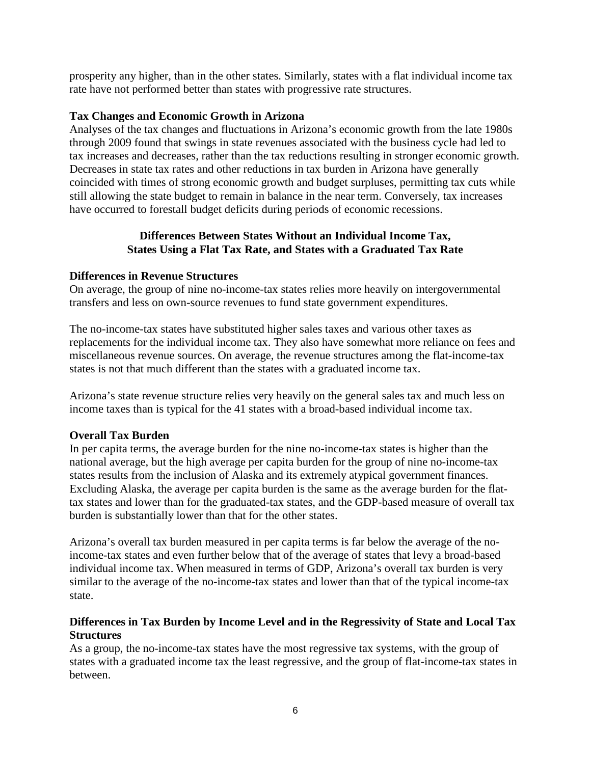prosperity any higher, than in the other states. Similarly, states with a flat individual income tax rate have not performed better than states with progressive rate structures.

# **Tax Changes and Economic Growth in Arizona**

Analyses of the tax changes and fluctuations in Arizona's economic growth from the late 1980s through 2009 found that swings in state revenues associated with the business cycle had led to tax increases and decreases, rather than the tax reductions resulting in stronger economic growth. Decreases in state tax rates and other reductions in tax burden in Arizona have generally coincided with times of strong economic growth and budget surpluses, permitting tax cuts while still allowing the state budget to remain in balance in the near term. Conversely, tax increases have occurred to forestall budget deficits during periods of economic recessions.

# **Differences Between States Without an Individual Income Tax, States Using a Flat Tax Rate, and States with a Graduated Tax Rate**

# **Differences in Revenue Structures**

On average, the group of nine no-income-tax states relies more heavily on intergovernmental transfers and less on own-source revenues to fund state government expenditures.

The no-income-tax states have substituted higher sales taxes and various other taxes as replacements for the individual income tax. They also have somewhat more reliance on fees and miscellaneous revenue sources. On average, the revenue structures among the flat-income-tax states is not that much different than the states with a graduated income tax.

Arizona's state revenue structure relies very heavily on the general sales tax and much less on income taxes than is typical for the 41 states with a broad-based individual income tax.

# **Overall Tax Burden**

In per capita terms, the average burden for the nine no-income-tax states is higher than the national average, but the high average per capita burden for the group of nine no-income-tax states results from the inclusion of Alaska and its extremely atypical government finances. Excluding Alaska, the average per capita burden is the same as the average burden for the flattax states and lower than for the graduated-tax states, and the GDP-based measure of overall tax burden is substantially lower than that for the other states.

Arizona's overall tax burden measured in per capita terms is far below the average of the noincome-tax states and even further below that of the average of states that levy a broad-based individual income tax. When measured in terms of GDP, Arizona's overall tax burden is very similar to the average of the no-income-tax states and lower than that of the typical income-tax state.

# **Differences in Tax Burden by Income Level and in the Regressivity of State and Local Tax Structures**

As a group, the no-income-tax states have the most regressive tax systems, with the group of states with a graduated income tax the least regressive, and the group of flat-income-tax states in between.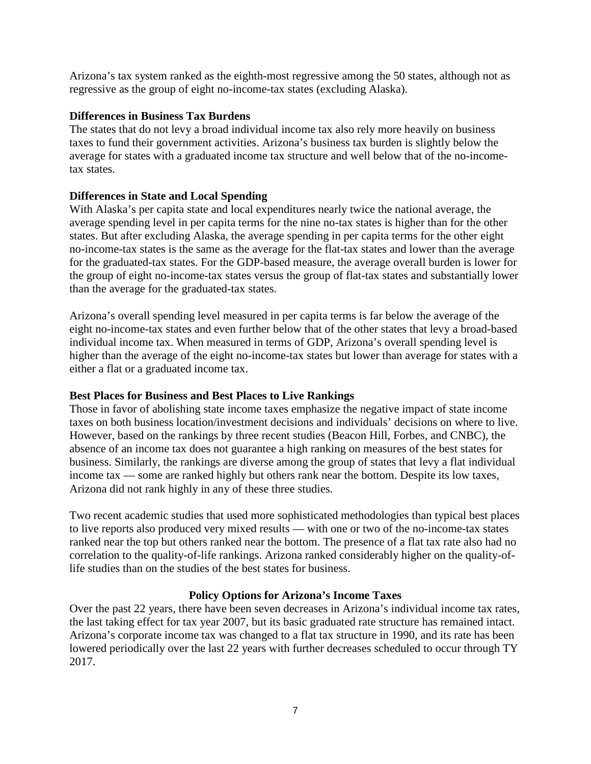Arizona's tax system ranked as the eighth-most regressive among the 50 states, although not as regressive as the group of eight no-income-tax states (excluding Alaska).

# **Differences in Business Tax Burdens**

The states that do not levy a broad individual income tax also rely more heavily on business taxes to fund their government activities. Arizona's business tax burden is slightly below the average for states with a graduated income tax structure and well below that of the no-incometax states.

# **Differences in State and Local Spending**

With Alaska's per capita state and local expenditures nearly twice the national average, the average spending level in per capita terms for the nine no-tax states is higher than for the other states. But after excluding Alaska, the average spending in per capita terms for the other eight no-income-tax states is the same as the average for the flat-tax states and lower than the average for the graduated-tax states. For the GDP-based measure, the average overall burden is lower for the group of eight no-income-tax states versus the group of flat-tax states and substantially lower than the average for the graduated-tax states.

Arizona's overall spending level measured in per capita terms is far below the average of the eight no-income-tax states and even further below that of the other states that levy a broad-based individual income tax. When measured in terms of GDP, Arizona's overall spending level is higher than the average of the eight no-income-tax states but lower than average for states with a either a flat or a graduated income tax.

# **Best Places for Business and Best Places to Live Rankings**

Those in favor of abolishing state income taxes emphasize the negative impact of state income taxes on both business location/investment decisions and individuals' decisions on where to live. However, based on the rankings by three recent studies (Beacon Hill, Forbes, and CNBC), the absence of an income tax does not guarantee a high ranking on measures of the best states for business. Similarly, the rankings are diverse among the group of states that levy a flat individual income tax — some are ranked highly but others rank near the bottom. Despite its low taxes, Arizona did not rank highly in any of these three studies.

Two recent academic studies that used more sophisticated methodologies than typical best places to live reports also produced very mixed results — with one or two of the no-income-tax states ranked near the top but others ranked near the bottom. The presence of a flat tax rate also had no correlation to the quality-of-life rankings. Arizona ranked considerably higher on the quality-oflife studies than on the studies of the best states for business.

# **Policy Options for Arizona's Income Taxes**

Over the past 22 years, there have been seven decreases in Arizona's individual income tax rates, the last taking effect for tax year 2007, but its basic graduated rate structure has remained intact. Arizona's corporate income tax was changed to a flat tax structure in 1990, and its rate has been lowered periodically over the last 22 years with further decreases scheduled to occur through TY 2017.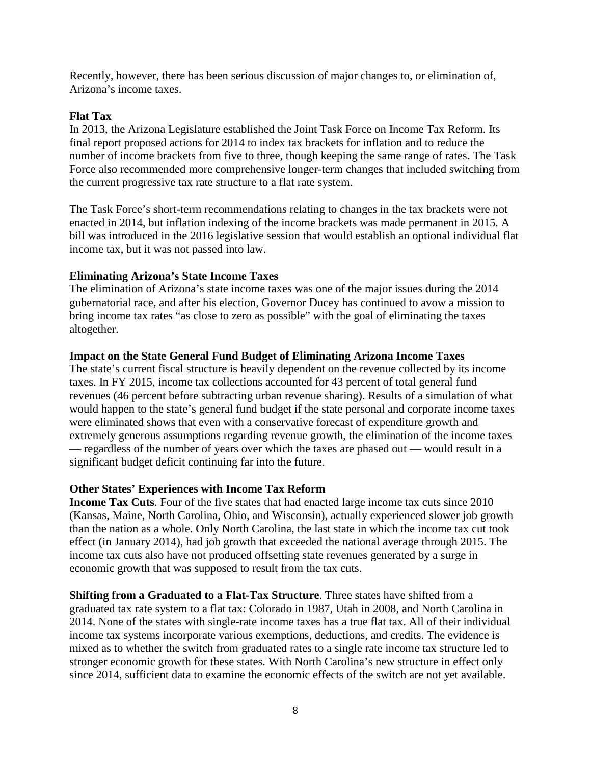Recently, however, there has been serious discussion of major changes to, or elimination of, Arizona's income taxes.

### **Flat Tax**

In 2013, the Arizona Legislature established the Joint Task Force on Income Tax Reform. Its final report proposed actions for 2014 to index tax brackets for inflation and to reduce the number of income brackets from five to three, though keeping the same range of rates. The Task Force also recommended more comprehensive longer-term changes that included switching from the current progressive tax rate structure to a flat rate system.

The Task Force's short-term recommendations relating to changes in the tax brackets were not enacted in 2014, but inflation indexing of the income brackets was made permanent in 2015. A bill was introduced in the 2016 legislative session that would establish an optional individual flat income tax, but it was not passed into law.

#### **Eliminating Arizona's State Income Taxes**

The elimination of Arizona's state income taxes was one of the major issues during the 2014 gubernatorial race, and after his election, Governor Ducey has continued to avow a mission to bring income tax rates "as close to zero as possible" with the goal of eliminating the taxes altogether.

#### **Impact on the State General Fund Budget of Eliminating Arizona Income Taxes**

The state's current fiscal structure is heavily dependent on the revenue collected by its income taxes. In FY 2015, income tax collections accounted for 43 percent of total general fund revenues (46 percent before subtracting urban revenue sharing). Results of a simulation of what would happen to the state's general fund budget if the state personal and corporate income taxes were eliminated shows that even with a conservative forecast of expenditure growth and extremely generous assumptions regarding revenue growth, the elimination of the income taxes — regardless of the number of years over which the taxes are phased out — would result in a significant budget deficit continuing far into the future.

### **Other States' Experiences with Income Tax Reform**

**Income Tax Cuts**. Four of the five states that had enacted large income tax cuts since 2010 (Kansas, Maine, North Carolina, Ohio, and Wisconsin), actually experienced slower job growth than the nation as a whole. Only North Carolina, the last state in which the income tax cut took effect (in January 2014), had job growth that exceeded the national average through 2015. The income tax cuts also have not produced offsetting state revenues generated by a surge in economic growth that was supposed to result from the tax cuts.

**Shifting from a Graduated to a Flat-Tax Structure**. Three states have shifted from a graduated tax rate system to a flat tax: Colorado in 1987, Utah in 2008, and North Carolina in 2014. None of the states with single-rate income taxes has a true flat tax. All of their individual income tax systems incorporate various exemptions, deductions, and credits. The evidence is mixed as to whether the switch from graduated rates to a single rate income tax structure led to stronger economic growth for these states. With North Carolina's new structure in effect only since 2014, sufficient data to examine the economic effects of the switch are not yet available.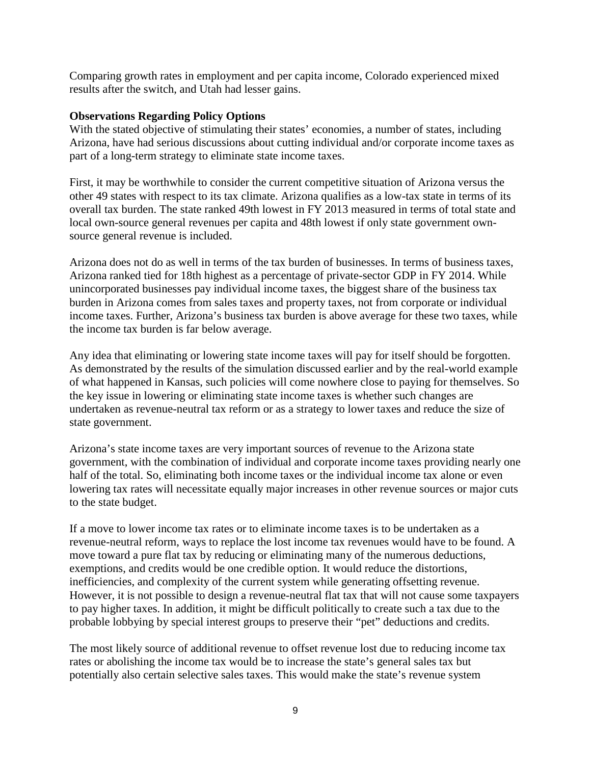Comparing growth rates in employment and per capita income, Colorado experienced mixed results after the switch, and Utah had lesser gains.

### **Observations Regarding Policy Options**

With the stated objective of stimulating their states' economies, a number of states, including Arizona, have had serious discussions about cutting individual and/or corporate income taxes as part of a long-term strategy to eliminate state income taxes.

First, it may be worthwhile to consider the current competitive situation of Arizona versus the other 49 states with respect to its tax climate. Arizona qualifies as a low-tax state in terms of its overall tax burden. The state ranked 49th lowest in FY 2013 measured in terms of total state and local own-source general revenues per capita and 48th lowest if only state government ownsource general revenue is included.

Arizona does not do as well in terms of the tax burden of businesses. In terms of business taxes, Arizona ranked tied for 18th highest as a percentage of private-sector GDP in FY 2014. While unincorporated businesses pay individual income taxes, the biggest share of the business tax burden in Arizona comes from sales taxes and property taxes, not from corporate or individual income taxes. Further, Arizona's business tax burden is above average for these two taxes, while the income tax burden is far below average.

Any idea that eliminating or lowering state income taxes will pay for itself should be forgotten. As demonstrated by the results of the simulation discussed earlier and by the real-world example of what happened in Kansas, such policies will come nowhere close to paying for themselves. So the key issue in lowering or eliminating state income taxes is whether such changes are undertaken as revenue-neutral tax reform or as a strategy to lower taxes and reduce the size of state government.

Arizona's state income taxes are very important sources of revenue to the Arizona state government, with the combination of individual and corporate income taxes providing nearly one half of the total. So, eliminating both income taxes or the individual income tax alone or even lowering tax rates will necessitate equally major increases in other revenue sources or major cuts to the state budget.

If a move to lower income tax rates or to eliminate income taxes is to be undertaken as a revenue-neutral reform, ways to replace the lost income tax revenues would have to be found. A move toward a pure flat tax by reducing or eliminating many of the numerous deductions, exemptions, and credits would be one credible option. It would reduce the distortions, inefficiencies, and complexity of the current system while generating offsetting revenue. However, it is not possible to design a revenue-neutral flat tax that will not cause some taxpayers to pay higher taxes. In addition, it might be difficult politically to create such a tax due to the probable lobbying by special interest groups to preserve their "pet" deductions and credits.

The most likely source of additional revenue to offset revenue lost due to reducing income tax rates or abolishing the income tax would be to increase the state's general sales tax but potentially also certain selective sales taxes. This would make the state's revenue system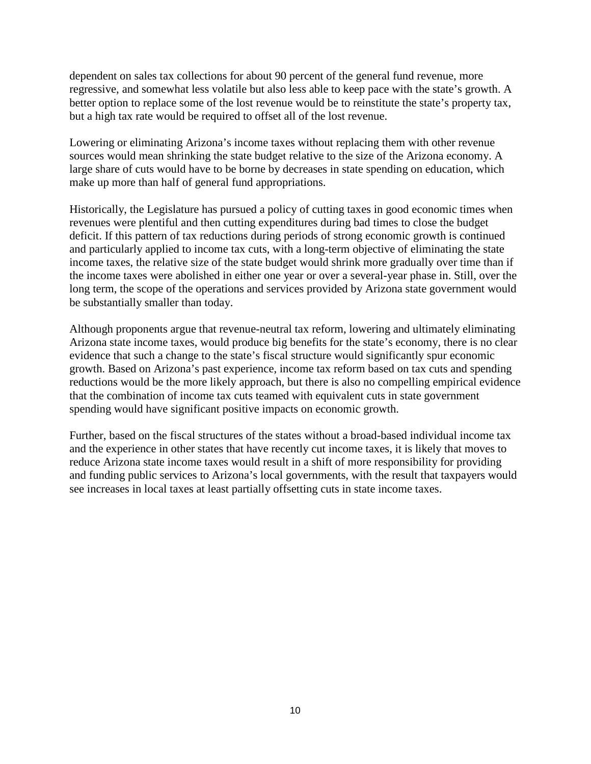dependent on sales tax collections for about 90 percent of the general fund revenue, more regressive, and somewhat less volatile but also less able to keep pace with the state's growth. A better option to replace some of the lost revenue would be to reinstitute the state's property tax, but a high tax rate would be required to offset all of the lost revenue.

Lowering or eliminating Arizona's income taxes without replacing them with other revenue sources would mean shrinking the state budget relative to the size of the Arizona economy. A large share of cuts would have to be borne by decreases in state spending on education, which make up more than half of general fund appropriations.

Historically, the Legislature has pursued a policy of cutting taxes in good economic times when revenues were plentiful and then cutting expenditures during bad times to close the budget deficit. If this pattern of tax reductions during periods of strong economic growth is continued and particularly applied to income tax cuts, with a long-term objective of eliminating the state income taxes, the relative size of the state budget would shrink more gradually over time than if the income taxes were abolished in either one year or over a several-year phase in. Still, over the long term, the scope of the operations and services provided by Arizona state government would be substantially smaller than today.

Although proponents argue that revenue-neutral tax reform, lowering and ultimately eliminating Arizona state income taxes, would produce big benefits for the state's economy, there is no clear evidence that such a change to the state's fiscal structure would significantly spur economic growth. Based on Arizona's past experience, income tax reform based on tax cuts and spending reductions would be the more likely approach, but there is also no compelling empirical evidence that the combination of income tax cuts teamed with equivalent cuts in state government spending would have significant positive impacts on economic growth.

Further, based on the fiscal structures of the states without a broad-based individual income tax and the experience in other states that have recently cut income taxes, it is likely that moves to reduce Arizona state income taxes would result in a shift of more responsibility for providing and funding public services to Arizona's local governments, with the result that taxpayers would see increases in local taxes at least partially offsetting cuts in state income taxes.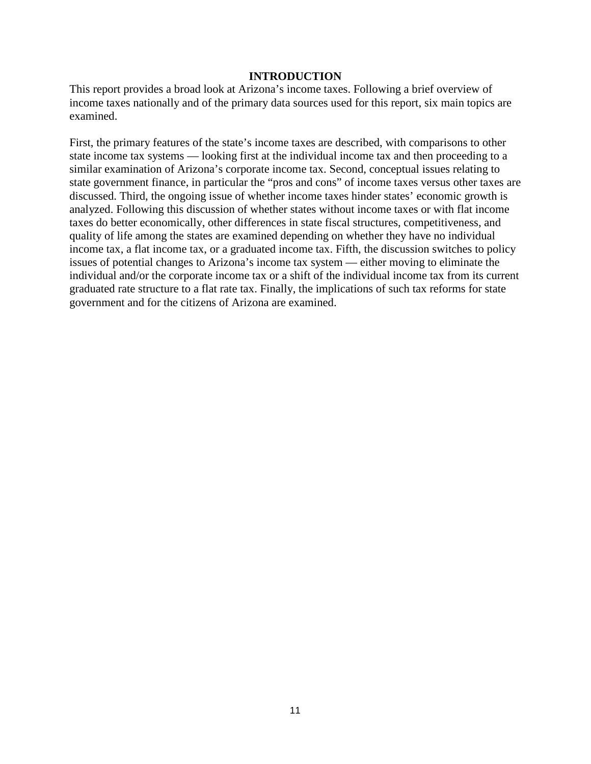#### **INTRODUCTION**

This report provides a broad look at Arizona's income taxes. Following a brief overview of income taxes nationally and of the primary data sources used for this report, six main topics are examined.

First, the primary features of the state's income taxes are described, with comparisons to other state income tax systems — looking first at the individual income tax and then proceeding to a similar examination of Arizona's corporate income tax. Second, conceptual issues relating to state government finance, in particular the "pros and cons" of income taxes versus other taxes are discussed. Third, the ongoing issue of whether income taxes hinder states' economic growth is analyzed. Following this discussion of whether states without income taxes or with flat income taxes do better economically, other differences in state fiscal structures, competitiveness, and quality of life among the states are examined depending on whether they have no individual income tax, a flat income tax, or a graduated income tax. Fifth, the discussion switches to policy issues of potential changes to Arizona's income tax system — either moving to eliminate the individual and/or the corporate income tax or a shift of the individual income tax from its current graduated rate structure to a flat rate tax. Finally, the implications of such tax reforms for state government and for the citizens of Arizona are examined.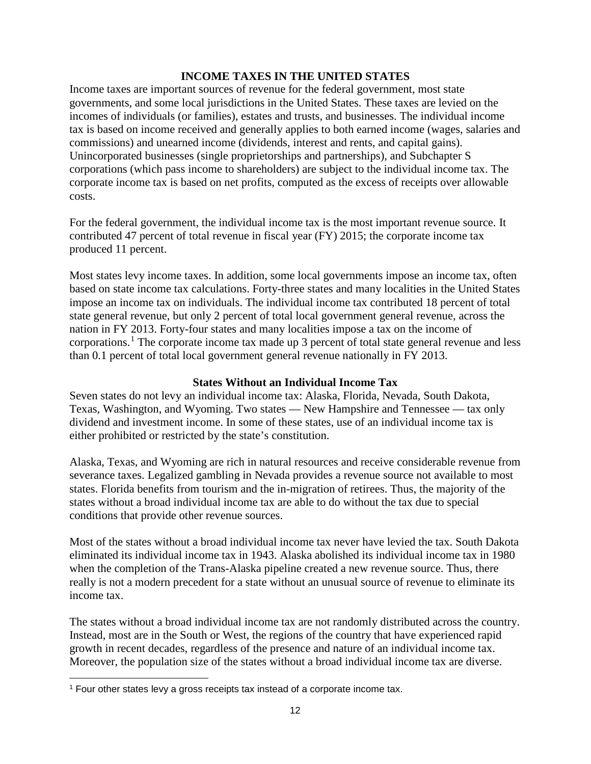### **INCOME TAXES IN THE UNITED STATES**

Income taxes are important sources of revenue for the federal government, most state governments, and some local jurisdictions in the United States. These taxes are levied on the incomes of individuals (or families), estates and trusts, and businesses. The individual income tax is based on income received and generally applies to both earned income (wages, salaries and commissions) and unearned income (dividends, interest and rents, and capital gains). Unincorporated businesses (single proprietorships and partnerships), and Subchapter S corporations (which pass income to shareholders) are subject to the individual income tax. The corporate income tax is based on net profits, computed as the excess of receipts over allowable costs.

For the federal government, the individual income tax is the most important revenue source. It contributed 47 percent of total revenue in fiscal year (FY) 2015; the corporate income tax produced 11 percent.

Most states levy income taxes. In addition, some local governments impose an income tax, often based on state income tax calculations. Forty-three states and many localities in the United States impose an income tax on individuals. The individual income tax contributed 18 percent of total state general revenue, but only 2 percent of total local government general revenue, across the nation in FY 2013. Forty-four states and many localities impose a tax on the income of corporations.<sup>[1](#page-15-0)</sup> The corporate income tax made up 3 percent of total state general revenue and less than 0.1 percent of total local government general revenue nationally in FY 2013.

### **States Without an Individual Income Tax**

Seven states do not levy an individual income tax: Alaska, Florida, Nevada, South Dakota, Texas, Washington, and Wyoming. Two states — New Hampshire and Tennessee — tax only dividend and investment income. In some of these states, use of an individual income tax is either prohibited or restricted by the state's constitution.

Alaska, Texas, and Wyoming are rich in natural resources and receive considerable revenue from severance taxes. Legalized gambling in Nevada provides a revenue source not available to most states. Florida benefits from tourism and the in-migration of retirees. Thus, the majority of the states without a broad individual income tax are able to do without the tax due to special conditions that provide other revenue sources.

Most of the states without a broad individual income tax never have levied the tax. South Dakota eliminated its individual income tax in 1943. Alaska abolished its individual income tax in 1980 when the completion of the Trans-Alaska pipeline created a new revenue source. Thus, there really is not a modern precedent for a state without an unusual source of revenue to eliminate its income tax.

The states without a broad individual income tax are not randomly distributed across the country. Instead, most are in the South or West, the regions of the country that have experienced rapid growth in recent decades, regardless of the presence and nature of an individual income tax. Moreover, the population size of the states without a broad individual income tax are diverse.

<span id="page-15-0"></span>l <sup>1</sup> Four other states levy a gross receipts tax instead of a corporate income tax.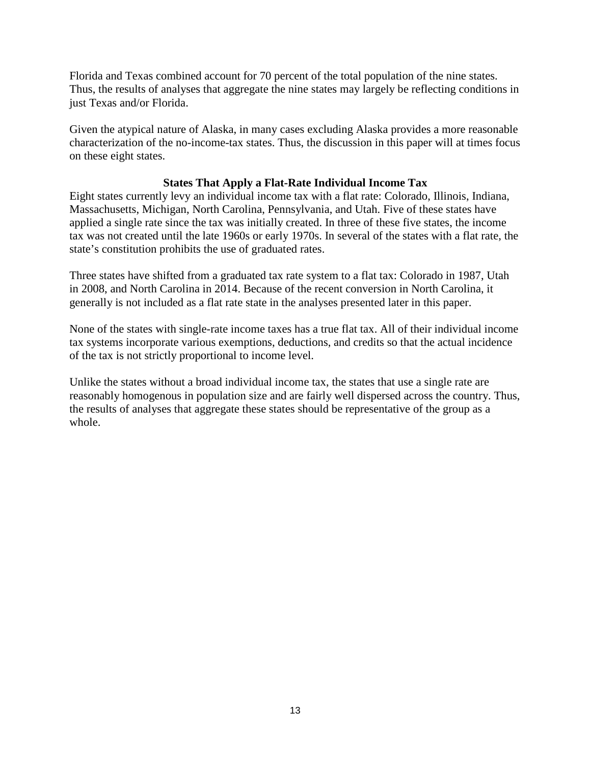Florida and Texas combined account for 70 percent of the total population of the nine states. Thus, the results of analyses that aggregate the nine states may largely be reflecting conditions in just Texas and/or Florida.

Given the atypical nature of Alaska, in many cases excluding Alaska provides a more reasonable characterization of the no-income-tax states. Thus, the discussion in this paper will at times focus on these eight states.

# **States That Apply a Flat-Rate Individual Income Tax**

Eight states currently levy an individual income tax with a flat rate: Colorado, Illinois, Indiana, Massachusetts, Michigan, North Carolina, Pennsylvania, and Utah. Five of these states have applied a single rate since the tax was initially created. In three of these five states, the income tax was not created until the late 1960s or early 1970s. In several of the states with a flat rate, the state's constitution prohibits the use of graduated rates.

Three states have shifted from a graduated tax rate system to a flat tax: Colorado in 1987, Utah in 2008, and North Carolina in 2014. Because of the recent conversion in North Carolina, it generally is not included as a flat rate state in the analyses presented later in this paper.

None of the states with single-rate income taxes has a true flat tax. All of their individual income tax systems incorporate various exemptions, deductions, and credits so that the actual incidence of the tax is not strictly proportional to income level.

Unlike the states without a broad individual income tax, the states that use a single rate are reasonably homogenous in population size and are fairly well dispersed across the country. Thus, the results of analyses that aggregate these states should be representative of the group as a whole.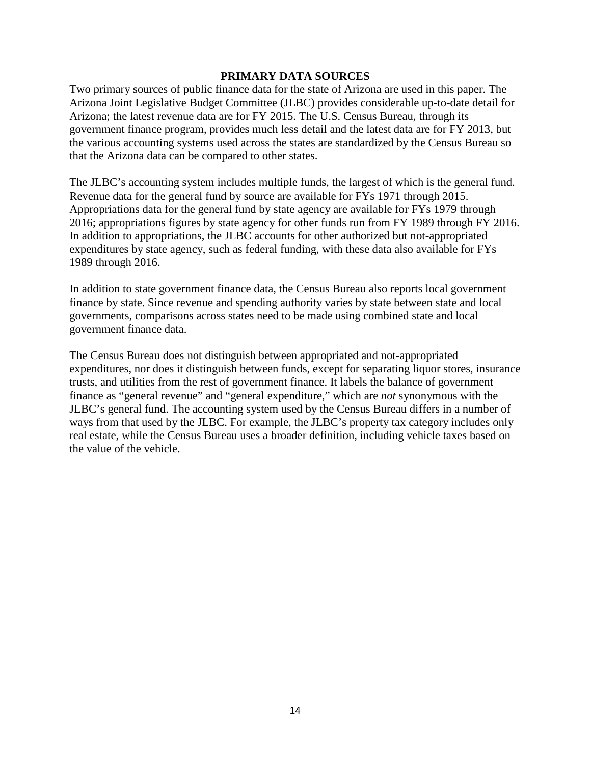#### **PRIMARY DATA SOURCES**

Two primary sources of public finance data for the state of Arizona are used in this paper. The Arizona Joint Legislative Budget Committee (JLBC) provides considerable up-to-date detail for Arizona; the latest revenue data are for FY 2015. The U.S. Census Bureau, through its government finance program, provides much less detail and the latest data are for FY 2013, but the various accounting systems used across the states are standardized by the Census Bureau so that the Arizona data can be compared to other states.

The JLBC's accounting system includes multiple funds, the largest of which is the general fund. Revenue data for the general fund by source are available for FYs 1971 through 2015. Appropriations data for the general fund by state agency are available for FYs 1979 through 2016; appropriations figures by state agency for other funds run from FY 1989 through FY 2016. In addition to appropriations, the JLBC accounts for other authorized but not-appropriated expenditures by state agency, such as federal funding, with these data also available for FYs 1989 through 2016.

In addition to state government finance data, the Census Bureau also reports local government finance by state. Since revenue and spending authority varies by state between state and local governments, comparisons across states need to be made using combined state and local government finance data.

The Census Bureau does not distinguish between appropriated and not-appropriated expenditures, nor does it distinguish between funds, except for separating liquor stores, insurance trusts, and utilities from the rest of government finance. It labels the balance of government finance as "general revenue" and "general expenditure," which are *not* synonymous with the JLBC's general fund. The accounting system used by the Census Bureau differs in a number of ways from that used by the JLBC. For example, the JLBC's property tax category includes only real estate, while the Census Bureau uses a broader definition, including vehicle taxes based on the value of the vehicle.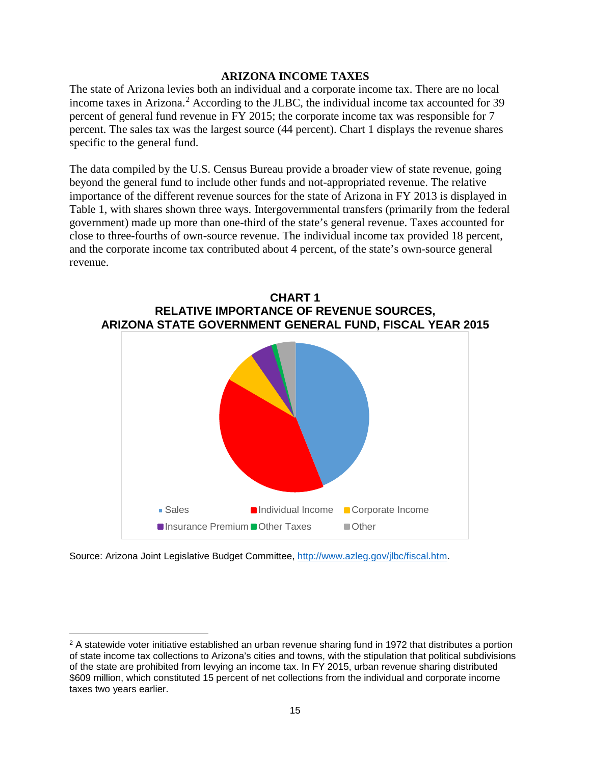### **ARIZONA INCOME TAXES**

The state of Arizona levies both an individual and a corporate income tax. There are no local income taxes in Arizona.<sup>[2](#page-18-0)</sup> According to the JLBC, the individual income tax accounted for 39 percent of general fund revenue in FY 2015; the corporate income tax was responsible for 7 percent. The sales tax was the largest source (44 percent). Chart 1 displays the revenue shares specific to the general fund.

The data compiled by the U.S. Census Bureau provide a broader view of state revenue, going beyond the general fund to include other funds and not-appropriated revenue. The relative importance of the different revenue sources for the state of Arizona in FY 2013 is displayed in Table 1, with shares shown three ways. Intergovernmental transfers (primarily from the federal government) made up more than one-third of the state's general revenue. Taxes accounted for close to three-fourths of own-source revenue. The individual income tax provided 18 percent, and the corporate income tax contributed about 4 percent, of the state's own-source general revenue.





Source: Arizona Joint Legislative Budget Committee, [http://www.azleg.gov/jlbc/fiscal.htm.](http://www.azleg.gov/jlbc/fiscal.htm)

 $\overline{\phantom{a}}$ 

<span id="page-18-0"></span><sup>&</sup>lt;sup>2</sup> A statewide voter initiative established an urban revenue sharing fund in 1972 that distributes a portion of state income tax collections to Arizona's cities and towns, with the stipulation that political subdivisions of the state are prohibited from levying an income tax. In FY 2015, urban revenue sharing distributed \$609 million, which constituted 15 percent of net collections from the individual and corporate income taxes two years earlier.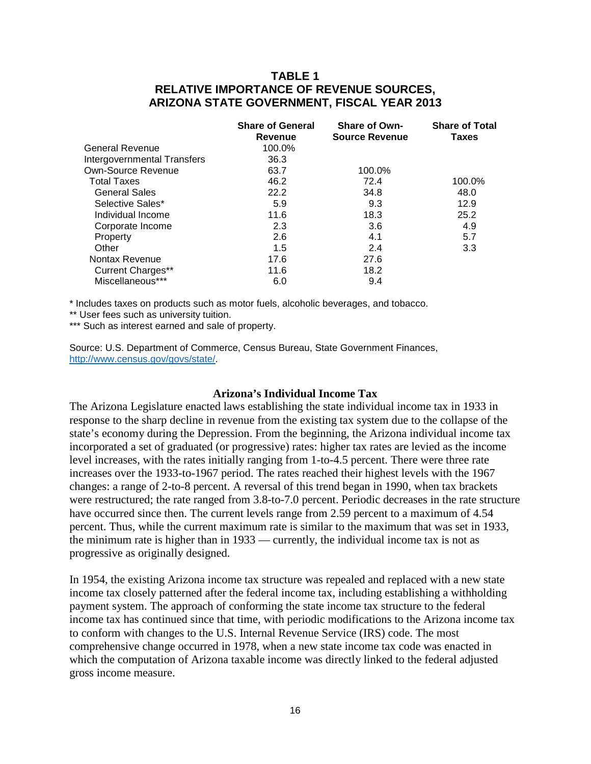# **TABLE 1 RELATIVE IMPORTANCE OF REVENUE SOURCES, ARIZONA STATE GOVERNMENT, FISCAL YEAR 2013**

|                             | <b>Share of General</b><br>Revenue | <b>Share of Own-</b><br><b>Source Revenue</b> | <b>Share of Total</b><br><b>Taxes</b> |
|-----------------------------|------------------------------------|-----------------------------------------------|---------------------------------------|
| General Revenue             | 100.0%                             |                                               |                                       |
| Intergovernmental Transfers | 36.3                               |                                               |                                       |
| Own-Source Revenue          | 63.7                               | 100.0%                                        |                                       |
| <b>Total Taxes</b>          | 46.2                               | 72.4                                          | 100.0%                                |
| <b>General Sales</b>        | 22.2                               | 34.8                                          | 48.0                                  |
| Selective Sales*            | 5.9                                | 9.3                                           | 12.9                                  |
| Individual Income           | 11.6                               | 18.3                                          | 25.2                                  |
| Corporate Income            | 2.3                                | 3.6                                           | 4.9                                   |
| Property                    | 2.6                                | 4.1                                           | 5.7                                   |
| Other                       | 1.5                                | 2.4                                           | 3.3                                   |
| Nontax Revenue              | 17.6                               | 27.6                                          |                                       |
| <b>Current Charges**</b>    | 11.6                               | 18.2                                          |                                       |
| Miscellaneous***            | 6.0                                | 9.4                                           |                                       |

\* Includes taxes on products such as motor fuels, alcoholic beverages, and tobacco.

\*\* User fees such as university tuition.

\*\*\* Such as interest earned and sale of property.

Source: U.S. Department of Commerce, Census Bureau, State Government Finances, [http://www.census.gov/govs/state/.](http://www.census.gov/govs/state/)

#### **Arizona's Individual Income Tax**

The Arizona Legislature enacted laws establishing the state individual income tax in 1933 in response to the sharp decline in revenue from the existing tax system due to the collapse of the state's economy during the Depression. From the beginning, the Arizona individual income tax incorporated a set of graduated (or progressive) rates: higher tax rates are levied as the income level increases, with the rates initially ranging from 1-to-4.5 percent. There were three rate increases over the 1933-to-1967 period. The rates reached their highest levels with the 1967 changes: a range of 2-to-8 percent. A reversal of this trend began in 1990, when tax brackets were restructured; the rate ranged from 3.8-to-7.0 percent. Periodic decreases in the rate structure have occurred since then. The current levels range from 2.59 percent to a maximum of 4.54 percent. Thus, while the current maximum rate is similar to the maximum that was set in 1933, the minimum rate is higher than in 1933 — currently, the individual income tax is not as progressive as originally designed.

In 1954, the existing Arizona income tax structure was repealed and replaced with a new state income tax closely patterned after the federal income tax, including establishing a withholding payment system. The approach of conforming the state income tax structure to the federal income tax has continued since that time, with periodic modifications to the Arizona income tax to conform with changes to the U.S. Internal Revenue Service (IRS) code. The most comprehensive change occurred in 1978, when a new state income tax code was enacted in which the computation of Arizona taxable income was directly linked to the federal adjusted gross income measure.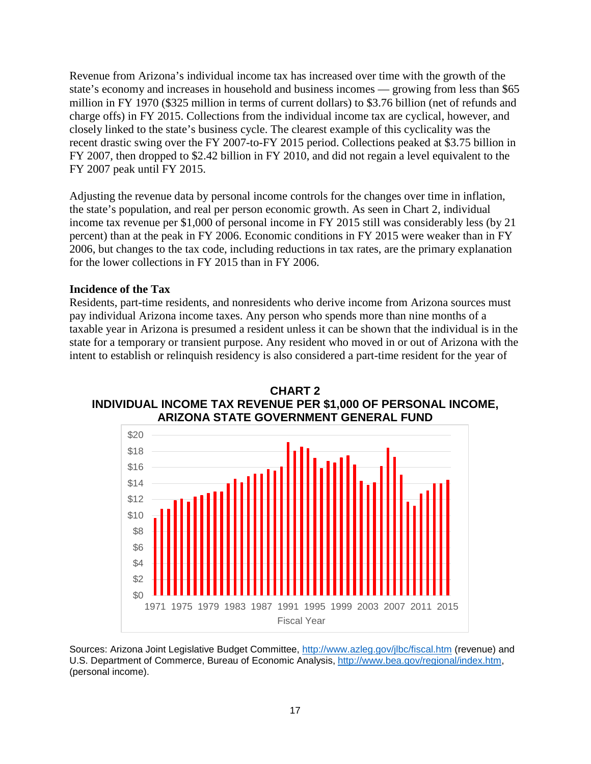Revenue from Arizona's individual income tax has increased over time with the growth of the state's economy and increases in household and business incomes — growing from less than \$65 million in FY 1970 (\$325 million in terms of current dollars) to \$3.76 billion (net of refunds and charge offs) in FY 2015. Collections from the individual income tax are cyclical, however, and closely linked to the state's business cycle. The clearest example of this cyclicality was the recent drastic swing over the FY 2007-to-FY 2015 period. Collections peaked at \$3.75 billion in FY 2007, then dropped to \$2.42 billion in FY 2010, and did not regain a level equivalent to the FY 2007 peak until FY 2015.

Adjusting the revenue data by personal income controls for the changes over time in inflation, the state's population, and real per person economic growth. As seen in Chart 2, individual income tax revenue per \$1,000 of personal income in FY 2015 still was considerably less (by 21 percent) than at the peak in FY 2006. Economic conditions in FY 2015 were weaker than in FY 2006, but changes to the tax code, including reductions in tax rates, are the primary explanation for the lower collections in FY 2015 than in FY 2006.

#### **Incidence of the Tax**

Residents, part-time residents, and nonresidents who derive income from Arizona sources must pay individual Arizona income taxes. Any person who spends more than nine months of a taxable year in Arizona is presumed a resident unless it can be shown that the individual is in the state for a temporary or transient purpose. Any resident who moved in or out of Arizona with the intent to establish or relinquish residency is also considered a part-time resident for the year of



**CHART 2 INDIVIDUAL INCOME TAX REVENUE PER \$1,000 OF PERSONAL INCOME,** 

Sources: Arizona Joint Legislative Budget Committee,<http://www.azleg.gov/jlbc/fiscal.htm> (revenue) and U.S. Department of Commerce, Bureau of Economic Analysis, [http://www.bea.gov/regional/index.htm,](http://www.bea.gov/regional/index.htm) (personal income).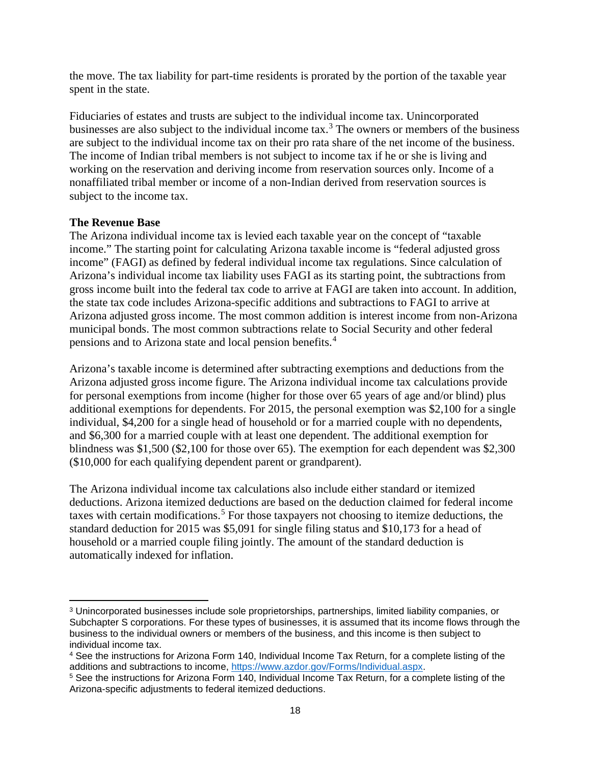the move. The tax liability for part-time residents is prorated by the portion of the taxable year spent in the state.

Fiduciaries of estates and trusts are subject to the individual income tax. Unincorporated businesses are also subject to the individual income tax.<sup>[3](#page-21-0)</sup> The owners or members of the business are subject to the individual income tax on their pro rata share of the net income of the business. The income of Indian tribal members is not subject to income tax if he or she is living and working on the reservation and deriving income from reservation sources only. Income of a nonaffiliated tribal member or income of a non-Indian derived from reservation sources is subject to the income tax.

# **The Revenue Base**

 $\overline{\phantom{a}}$ 

The Arizona individual income tax is levied each taxable year on the concept of "taxable income." The starting point for calculating Arizona taxable income is "federal adjusted gross income" (FAGI) as defined by federal individual income tax regulations. Since calculation of Arizona's individual income tax liability uses FAGI as its starting point, the subtractions from gross income built into the federal tax code to arrive at FAGI are taken into account. In addition, the state tax code includes Arizona-specific additions and subtractions to FAGI to arrive at Arizona adjusted gross income. The most common addition is interest income from non-Arizona municipal bonds. The most common subtractions relate to Social Security and other federal pensions and to Arizona state and local pension benefits.[4](#page-21-1)

Arizona's taxable income is determined after subtracting exemptions and deductions from the Arizona adjusted gross income figure. The Arizona individual income tax calculations provide for personal exemptions from income (higher for those over 65 years of age and/or blind) plus additional exemptions for dependents. For 2015, the personal exemption was \$2,100 for a single individual, \$4,200 for a single head of household or for a married couple with no dependents, and \$6,300 for a married couple with at least one dependent. The additional exemption for blindness was \$1,500 (\$2,100 for those over 65). The exemption for each dependent was \$2,300 (\$10,000 for each qualifying dependent parent or grandparent).

The Arizona individual income tax calculations also include either standard or itemized deductions. Arizona itemized deductions are based on the deduction claimed for federal income taxes with certain modifications.<sup>[5](#page-21-2)</sup> For those taxpayers not choosing to itemize deductions, the standard deduction for 2015 was \$5,091 for single filing status and \$10,173 for a head of household or a married couple filing jointly. The amount of the standard deduction is automatically indexed for inflation.

<span id="page-21-0"></span><sup>3</sup> Unincorporated businesses include sole proprietorships, partnerships, limited liability companies, or Subchapter S corporations. For these types of businesses, it is assumed that its income flows through the business to the individual owners or members of the business, and this income is then subject to individual income tax.

<span id="page-21-1"></span><sup>4</sup> See the instructions for Arizona Form 140, Individual Income Tax Return, for a complete listing of the additions and subtractions to income, [https://www.azdor.gov/Forms/Individual.aspx.](https://www.azdor.gov/Forms/Individual.aspx)

<span id="page-21-2"></span><sup>5</sup> See the instructions for Arizona Form 140, Individual Income Tax Return, for a complete listing of the Arizona-specific adjustments to federal itemized deductions.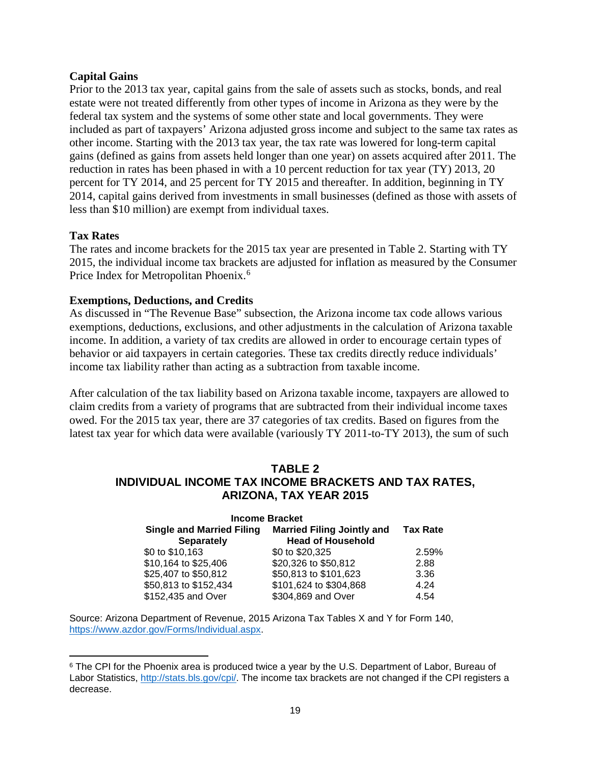### **Capital Gains**

Prior to the 2013 tax year, capital gains from the sale of assets such as stocks, bonds, and real estate were not treated differently from other types of income in Arizona as they were by the federal tax system and the systems of some other state and local governments. They were included as part of taxpayers' Arizona adjusted gross income and subject to the same tax rates as other income. Starting with the 2013 tax year, the tax rate was lowered for long-term capital gains (defined as gains from assets held longer than one year) on assets acquired after 2011. The reduction in rates has been phased in with a 10 percent reduction for tax year (TY) 2013, 20 percent for TY 2014, and 25 percent for TY 2015 and thereafter. In addition, beginning in TY 2014, capital gains derived from investments in small businesses (defined as those with assets of less than \$10 million) are exempt from individual taxes.

# **Tax Rates**

The rates and income brackets for the 2015 tax year are presented in Table 2. Starting with TY 2015, the individual income tax brackets are adjusted for inflation as measured by the Consumer Price Index for Metropolitan Phoenix.<sup>[6](#page-22-0)</sup>

# **Exemptions, Deductions, and Credits**

As discussed in "The Revenue Base" subsection, the Arizona income tax code allows various exemptions, deductions, exclusions, and other adjustments in the calculation of Arizona taxable income. In addition, a variety of tax credits are allowed in order to encourage certain types of behavior or aid taxpayers in certain categories. These tax credits directly reduce individuals' income tax liability rather than acting as a subtraction from taxable income.

After calculation of the tax liability based on Arizona taxable income, taxpayers are allowed to claim credits from a variety of programs that are subtracted from their individual income taxes owed. For the 2015 tax year, there are 37 categories of tax credits. Based on figures from the latest tax year for which data were available (variously TY 2011-to-TY 2013), the sum of such

# **TABLE 2 INDIVIDUAL INCOME TAX INCOME BRACKETS AND TAX RATES, ARIZONA, TAX YEAR 2015**

| <b>Income Bracket</b>                                 |                                                               |                 |  |  |
|-------------------------------------------------------|---------------------------------------------------------------|-----------------|--|--|
| <b>Single and Married Filing</b><br><b>Separately</b> | <b>Married Filing Jointly and</b><br><b>Head of Household</b> | <b>Tax Rate</b> |  |  |
| \$0 to \$10,163                                       | \$0 to \$20,325                                               | 2.59%           |  |  |
| \$10,164 to \$25,406                                  | \$20,326 to \$50,812                                          | 2.88            |  |  |
| \$25,407 to \$50,812                                  | \$50,813 to \$101,623                                         | 3.36            |  |  |
| \$50,813 to \$152,434                                 | \$101,624 to \$304,868                                        | 4.24            |  |  |
| \$152,435 and Over                                    | \$304,869 and Over                                            | 4.54            |  |  |

Source: Arizona Department of Revenue, 2015 Arizona Tax Tables X and Y for Form 140, [https://www.azdor.gov/Forms/Individual.aspx.](https://www.azdor.gov/Forms/Individual.aspx)

<span id="page-22-0"></span> $\overline{\phantom{a}}$ <sup>6</sup> The CPI for the Phoenix area is produced twice a year by the U.S. Department of Labor, Bureau of Labor Statistics, [http://stats.bls.gov/cpi/.](http://stats.bls.gov/cpi/) The income tax brackets are not changed if the CPI registers a decrease.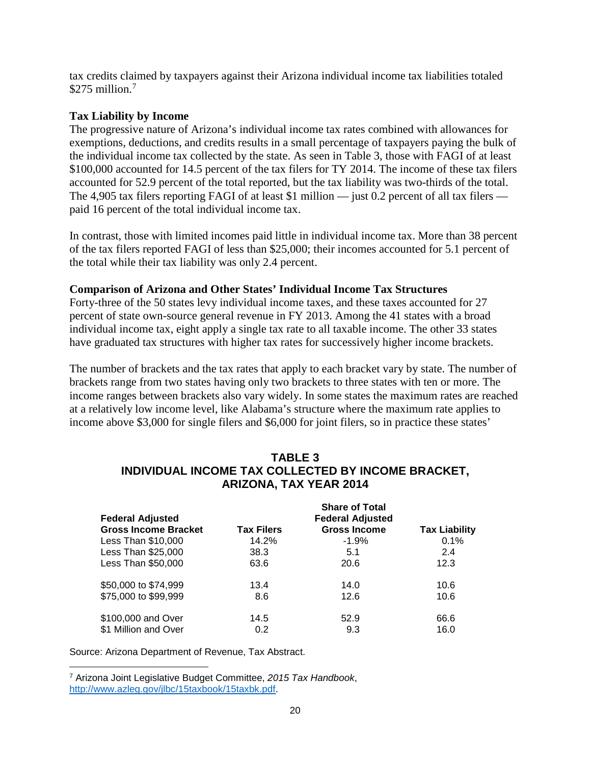tax credits claimed by taxpayers against their Arizona individual income tax liabilities totaled  $$275$  $$275$  $$275$  million.<sup>7</sup>

# **Tax Liability by Income**

The progressive nature of Arizona's individual income tax rates combined with allowances for exemptions, deductions, and credits results in a small percentage of taxpayers paying the bulk of the individual income tax collected by the state. As seen in Table 3, those with FAGI of at least \$100,000 accounted for 14.5 percent of the tax filers for TY 2014. The income of these tax filers accounted for 52.9 percent of the total reported, but the tax liability was two-thirds of the total. The 4,905 tax filers reporting FAGI of at least \$1 million — just 0.2 percent of all tax filers paid 16 percent of the total individual income tax.

In contrast, those with limited incomes paid little in individual income tax. More than 38 percent of the tax filers reported FAGI of less than \$25,000; their incomes accounted for 5.1 percent of the total while their tax liability was only 2.4 percent.

### **Comparison of Arizona and Other States' Individual Income Tax Structures**

Forty-three of the 50 states levy individual income taxes, and these taxes accounted for 27 percent of state own-source general revenue in FY 2013. Among the 41 states with a broad individual income tax, eight apply a single tax rate to all taxable income. The other 33 states have graduated tax structures with higher tax rates for successively higher income brackets.

The number of brackets and the tax rates that apply to each bracket vary by state. The number of brackets range from two states having only two brackets to three states with ten or more. The income ranges between brackets also vary widely. In some states the maximum rates are reached at a relatively low income level, like Alabama's structure where the maximum rate applies to income above \$3,000 for single filers and \$6,000 for joint filers, so in practice these states'

| <b>Federal Adjusted</b>     | <b>Share of Total</b><br><b>Federal Adjusted</b> |                     |                      |  |
|-----------------------------|--------------------------------------------------|---------------------|----------------------|--|
| <b>Gross Income Bracket</b> | <b>Tax Filers</b>                                | <b>Gross Income</b> | <b>Tax Liability</b> |  |
| Less Than \$10,000          | 14.2%                                            | $-1.9%$             | 0.1%                 |  |
| Less Than \$25,000          | 38.3                                             | 5.1                 | 2.4                  |  |
| Less Than \$50,000          | 63.6                                             | 20.6                | 12.3                 |  |
| \$50,000 to \$74,999        | 13.4                                             | 14.0                | 10.6                 |  |
| \$75,000 to \$99,999        | 8.6                                              | 12.6                | 10.6                 |  |
| \$100,000 and Over          | 14.5                                             | 52.9                | 66.6                 |  |
| \$1 Million and Over        | 0.2                                              | 9.3                 | 16.0                 |  |

# **TABLE 3 INDIVIDUAL INCOME TAX COLLECTED BY INCOME BRACKET, ARIZONA, TAX YEAR 2014**

Source: Arizona Department of Revenue, Tax Abstract.

<span id="page-23-0"></span>l <sup>7</sup> Arizona Joint Legislative Budget Committee, *2015 Tax Handbook*, [http://www.azleg.gov/jlbc/15taxbook/15taxbk.pdf.](http://www.azleg.gov/jlbc/15taxbook/15taxbk.pdf)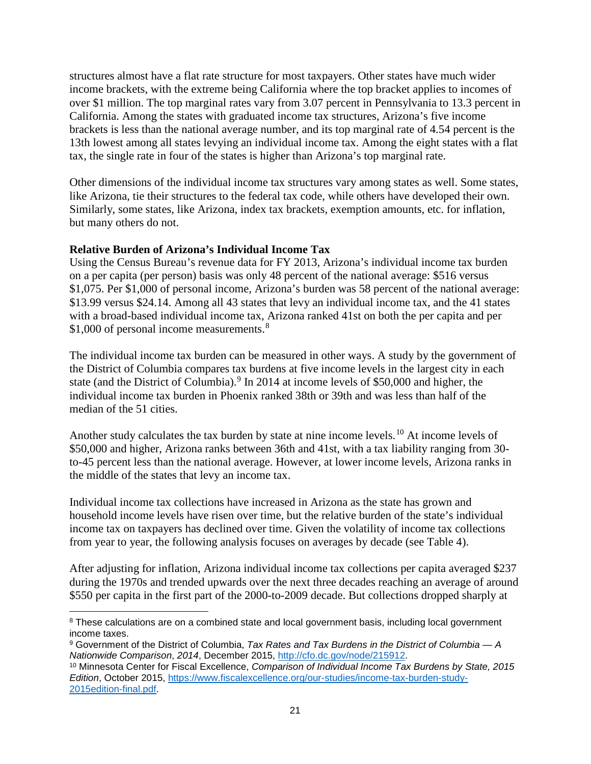structures almost have a flat rate structure for most taxpayers. Other states have much wider income brackets, with the extreme being California where the top bracket applies to incomes of over \$1 million. The top marginal rates vary from 3.07 percent in Pennsylvania to 13.3 percent in California. Among the states with graduated income tax structures, Arizona's five income brackets is less than the national average number, and its top marginal rate of 4.54 percent is the 13th lowest among all states levying an individual income tax. Among the eight states with a flat tax, the single rate in four of the states is higher than Arizona's top marginal rate.

Other dimensions of the individual income tax structures vary among states as well. Some states, like Arizona, tie their structures to the federal tax code, while others have developed their own. Similarly, some states, like Arizona, index tax brackets, exemption amounts, etc. for inflation, but many others do not.

# **Relative Burden of Arizona's Individual Income Tax**

Using the Census Bureau's revenue data for FY 2013, Arizona's individual income tax burden on a per capita (per person) basis was only 48 percent of the national average: \$516 versus \$1,075. Per \$1,000 of personal income, Arizona's burden was 58 percent of the national average: \$13.99 versus \$24.14. Among all 43 states that levy an individual income tax, and the 41 states with a broad-based individual income tax, Arizona ranked 41st on both the per capita and per \$1,000 of personal income measurements.<sup>[8](#page-24-0)</sup>

The individual income tax burden can be measured in other ways. A study by the government of the District of Columbia compares tax burdens at five income levels in the largest city in each state (and the District of Columbia).<sup>[9](#page-24-1)</sup> In 2014 at income levels of \$50,000 and higher, the individual income tax burden in Phoenix ranked 38th or 39th and was less than half of the median of the 51 cities.

Another study calculates the tax burden by state at nine income levels.<sup>[10](#page-24-2)</sup> At income levels of \$50,000 and higher, Arizona ranks between 36th and 41st, with a tax liability ranging from 30 to-45 percent less than the national average. However, at lower income levels, Arizona ranks in the middle of the states that levy an income tax.

Individual income tax collections have increased in Arizona as the state has grown and household income levels have risen over time, but the relative burden of the state's individual income tax on taxpayers has declined over time. Given the volatility of income tax collections from year to year, the following analysis focuses on averages by decade (see Table 4).

After adjusting for inflation, Arizona individual income tax collections per capita averaged \$237 during the 1970s and trended upwards over the next three decades reaching an average of around \$550 per capita in the first part of the 2000-to-2009 decade. But collections dropped sharply at

<span id="page-24-0"></span>l <sup>8</sup> These calculations are on a combined state and local government basis, including local government income taxes.

<span id="page-24-1"></span><sup>9</sup> Government of the District of Columbia, *Tax Rates and Tax Burdens in the District of Columbia — A Nationwide Comparison*, *2014*, December 2015, [http://cfo.dc.gov/node/215912.](http://cfo.dc.gov/node/215912)

<span id="page-24-2"></span><sup>10</sup> Minnesota Center for Fiscal Excellence, *Comparison of Individual Income Tax Burdens by State, 2015 Edition*, October 2015, [https://www.fiscalexcellence.org/our-studies/income-tax-burden-study-](https://www.fiscalexcellence.org/our-studies/income-tax-burden-study-2015edition-final.pdf)[2015edition-final.pdf.](https://www.fiscalexcellence.org/our-studies/income-tax-burden-study-2015edition-final.pdf)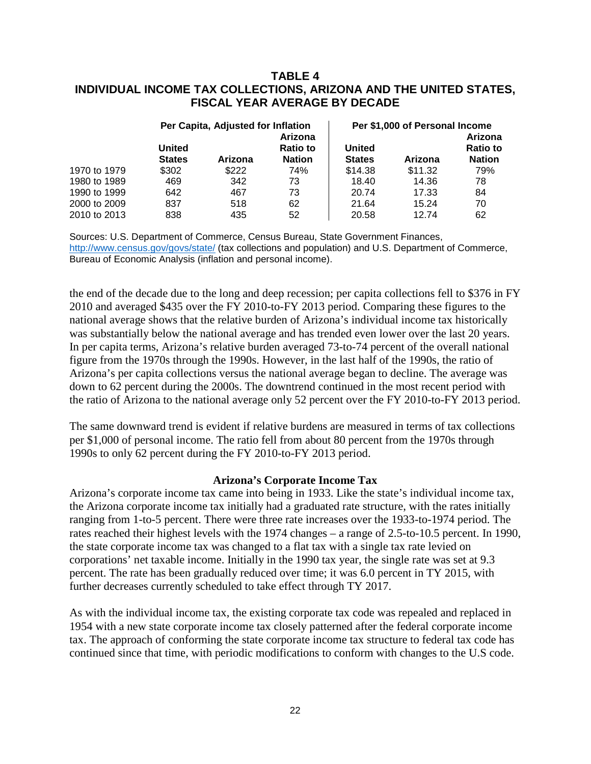# **TABLE 4 INDIVIDUAL INCOME TAX COLLECTIONS, ARIZONA AND THE UNITED STATES, FISCAL YEAR AVERAGE BY DECADE**

|              | Per Capita, Adjusted for Inflation |         |                                  | Per \$1,000 of Personal Income |         |                                  |
|--------------|------------------------------------|---------|----------------------------------|--------------------------------|---------|----------------------------------|
|              |                                    |         | Arizona                          |                                |         | Arizona                          |
|              | <b>United</b><br><b>States</b>     | Arizona | <b>Ratio to</b><br><b>Nation</b> | <b>United</b><br><b>States</b> | Arizona | <b>Ratio to</b><br><b>Nation</b> |
| 1970 to 1979 | \$302                              | \$222   | 74%                              | \$14.38                        | \$11.32 | 79%                              |
| 1980 to 1989 | 469                                | 342     | 73                               | 18.40                          | 14.36   | 78                               |
| 1990 to 1999 | 642                                | 467     | 73                               | 20.74                          | 17.33   | 84                               |
| 2000 to 2009 | 837                                | 518     | 62                               | 21.64                          | 15.24   | 70                               |
| 2010 to 2013 | 838                                | 435     | 52                               | 20.58                          | 12.74   | 62                               |

Sources: U.S. Department of Commerce, Census Bureau, State Government Finances, <http://www.census.gov/govs/state/> (tax collections and population) and U.S. Department of Commerce, Bureau of Economic Analysis (inflation and personal income).

the end of the decade due to the long and deep recession; per capita collections fell to \$376 in FY 2010 and averaged \$435 over the FY 2010-to-FY 2013 period. Comparing these figures to the national average shows that the relative burden of Arizona's individual income tax historically was substantially below the national average and has trended even lower over the last 20 years. In per capita terms, Arizona's relative burden averaged 73-to-74 percent of the overall national figure from the 1970s through the 1990s. However, in the last half of the 1990s, the ratio of Arizona's per capita collections versus the national average began to decline. The average was down to 62 percent during the 2000s. The downtrend continued in the most recent period with the ratio of Arizona to the national average only 52 percent over the FY 2010-to-FY 2013 period.

The same downward trend is evident if relative burdens are measured in terms of tax collections per \$1,000 of personal income. The ratio fell from about 80 percent from the 1970s through 1990s to only 62 percent during the FY 2010-to-FY 2013 period.

#### **Arizona's Corporate Income Tax**

Arizona's corporate income tax came into being in 1933. Like the state's individual income tax, the Arizona corporate income tax initially had a graduated rate structure, with the rates initially ranging from 1-to-5 percent. There were three rate increases over the 1933-to-1974 period. The rates reached their highest levels with the 1974 changes – a range of 2.5-to-10.5 percent. In 1990, the state corporate income tax was changed to a flat tax with a single tax rate levied on corporations' net taxable income. Initially in the 1990 tax year, the single rate was set at 9.3 percent. The rate has been gradually reduced over time; it was 6.0 percent in TY 2015, with further decreases currently scheduled to take effect through TY 2017.

As with the individual income tax, the existing corporate tax code was repealed and replaced in 1954 with a new state corporate income tax closely patterned after the federal corporate income tax. The approach of conforming the state corporate income tax structure to federal tax code has continued since that time, with periodic modifications to conform with changes to the U.S code.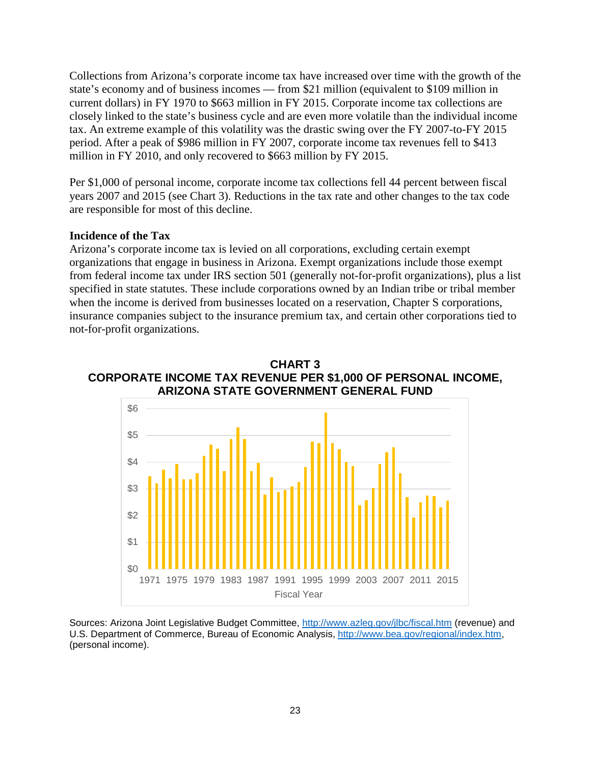Collections from Arizona's corporate income tax have increased over time with the growth of the state's economy and of business incomes — from \$21 million (equivalent to \$109 million in current dollars) in FY 1970 to \$663 million in FY 2015. Corporate income tax collections are closely linked to the state's business cycle and are even more volatile than the individual income tax. An extreme example of this volatility was the drastic swing over the FY 2007-to-FY 2015 period. After a peak of \$986 million in FY 2007, corporate income tax revenues fell to \$413 million in FY 2010, and only recovered to \$663 million by FY 2015.

Per \$1,000 of personal income, corporate income tax collections fell 44 percent between fiscal years 2007 and 2015 (see Chart 3). Reductions in the tax rate and other changes to the tax code are responsible for most of this decline.

### **Incidence of the Tax**

Arizona's corporate income tax is levied on all corporations, excluding certain exempt organizations that engage in business in Arizona. Exempt organizations include those exempt from federal income tax under IRS section 501 (generally not-for-profit organizations), plus a list specified in state statutes. These include corporations owned by an Indian tribe or tribal member when the income is derived from businesses located on a reservation, Chapter S corporations, insurance companies subject to the insurance premium tax, and certain other corporations tied to not-for-profit organizations.





Sources: Arizona Joint Legislative Budget Committee,<http://www.azleg.gov/jlbc/fiscal.htm> (revenue) and U.S. Department of Commerce, Bureau of Economic Analysis, [http://www.bea.gov/regional/index.htm,](http://www.bea.gov/regional/index.htm) (personal income).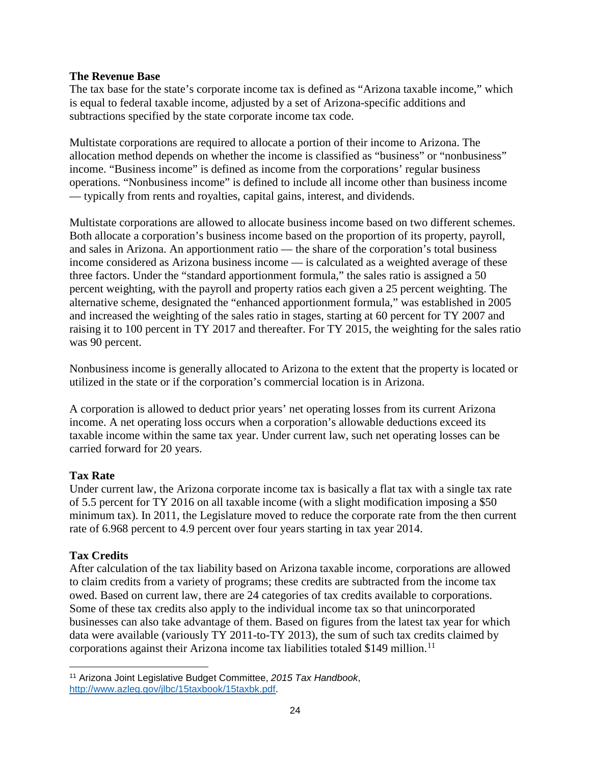# **The Revenue Base**

The tax base for the state's corporate income tax is defined as "Arizona taxable income," which is equal to federal taxable income, adjusted by a set of Arizona-specific additions and subtractions specified by the state corporate income tax code.

Multistate corporations are required to allocate a portion of their income to Arizona. The allocation method depends on whether the income is classified as "business" or "nonbusiness" income. "Business income" is defined as income from the corporations' regular business operations. "Nonbusiness income" is defined to include all income other than business income — typically from rents and royalties, capital gains, interest, and dividends.

Multistate corporations are allowed to allocate business income based on two different schemes. Both allocate a corporation's business income based on the proportion of its property, payroll, and sales in Arizona. An apportionment ratio — the share of the corporation's total business income considered as Arizona business income — is calculated as a weighted average of these three factors. Under the "standard apportionment formula," the sales ratio is assigned a 50 percent weighting, with the payroll and property ratios each given a 25 percent weighting. The alternative scheme, designated the "enhanced apportionment formula," was established in 2005 and increased the weighting of the sales ratio in stages, starting at 60 percent for TY 2007 and raising it to 100 percent in TY 2017 and thereafter. For TY 2015, the weighting for the sales ratio was 90 percent.

Nonbusiness income is generally allocated to Arizona to the extent that the property is located or utilized in the state or if the corporation's commercial location is in Arizona.

A corporation is allowed to deduct prior years' net operating losses from its current Arizona income. A net operating loss occurs when a corporation's allowable deductions exceed its taxable income within the same tax year. Under current law, such net operating losses can be carried forward for 20 years.

# **Tax Rate**

Under current law, the Arizona corporate income tax is basically a flat tax with a single tax rate of 5.5 percent for TY 2016 on all taxable income (with a slight modification imposing a \$50 minimum tax). In 2011, the Legislature moved to reduce the corporate rate from the then current rate of 6.968 percent to 4.9 percent over four years starting in tax year 2014.

# **Tax Credits**

After calculation of the tax liability based on Arizona taxable income, corporations are allowed to claim credits from a variety of programs; these credits are subtracted from the income tax owed. Based on current law, there are 24 categories of tax credits available to corporations. Some of these tax credits also apply to the individual income tax so that unincorporated businesses can also take advantage of them. Based on figures from the latest tax year for which data were available (variously TY 2011-to-TY 2013), the sum of such tax credits claimed by corporations against their Arizona income tax liabilities totaled \$149 million. [11](#page-27-0)

<span id="page-27-0"></span>l <sup>11</sup> Arizona Joint Legislative Budget Committee, *2015 Tax Handbook*, [http://www.azleg.gov/jlbc/15taxbook/15taxbk.pdf.](http://www.azleg.gov/jlbc/15taxbook/15taxbk.pdf)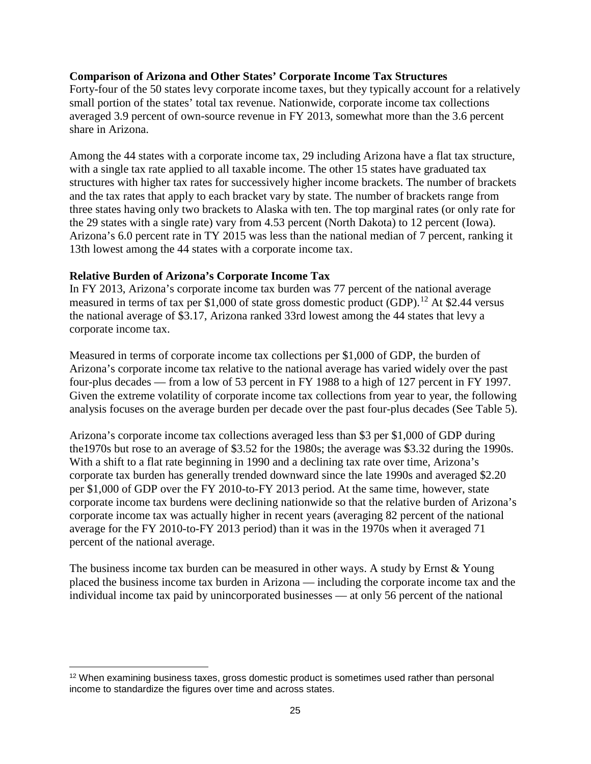### **Comparison of Arizona and Other States' Corporate Income Tax Structures**

Forty-four of the 50 states levy corporate income taxes, but they typically account for a relatively small portion of the states' total tax revenue. Nationwide, corporate income tax collections averaged 3.9 percent of own-source revenue in FY 2013, somewhat more than the 3.6 percent share in Arizona.

Among the 44 states with a corporate income tax, 29 including Arizona have a flat tax structure, with a single tax rate applied to all taxable income. The other 15 states have graduated tax structures with higher tax rates for successively higher income brackets. The number of brackets and the tax rates that apply to each bracket vary by state. The number of brackets range from three states having only two brackets to Alaska with ten. The top marginal rates (or only rate for the 29 states with a single rate) vary from 4.53 percent (North Dakota) to 12 percent (Iowa). Arizona's 6.0 percent rate in TY 2015 was less than the national median of 7 percent, ranking it 13th lowest among the 44 states with a corporate income tax.

### **Relative Burden of Arizona's Corporate Income Tax**

l

In FY 2013, Arizona's corporate income tax burden was 77 percent of the national average measured in terms of tax per \$1,000 of state gross domestic product (GDP).<sup>[12](#page-28-0)</sup> At \$2.44 versus the national average of \$3.17, Arizona ranked 33rd lowest among the 44 states that levy a corporate income tax.

Measured in terms of corporate income tax collections per \$1,000 of GDP, the burden of Arizona's corporate income tax relative to the national average has varied widely over the past four-plus decades — from a low of 53 percent in FY 1988 to a high of 127 percent in FY 1997. Given the extreme volatility of corporate income tax collections from year to year, the following analysis focuses on the average burden per decade over the past four-plus decades (See Table 5).

Arizona's corporate income tax collections averaged less than \$3 per \$1,000 of GDP during the1970s but rose to an average of \$3.52 for the 1980s; the average was \$3.32 during the 1990s. With a shift to a flat rate beginning in 1990 and a declining tax rate over time, Arizona's corporate tax burden has generally trended downward since the late 1990s and averaged \$2.20 per \$1,000 of GDP over the FY 2010-to-FY 2013 period. At the same time, however, state corporate income tax burdens were declining nationwide so that the relative burden of Arizona's corporate income tax was actually higher in recent years (averaging 82 percent of the national average for the FY 2010-to-FY 2013 period) than it was in the 1970s when it averaged 71 percent of the national average.

The business income tax burden can be measured in other ways. A study by Ernst  $& Young$ placed the business income tax burden in Arizona — including the corporate income tax and the individual income tax paid by unincorporated businesses — at only 56 percent of the national

<span id="page-28-0"></span><sup>&</sup>lt;sup>12</sup> When examining business taxes, gross domestic product is sometimes used rather than personal income to standardize the figures over time and across states.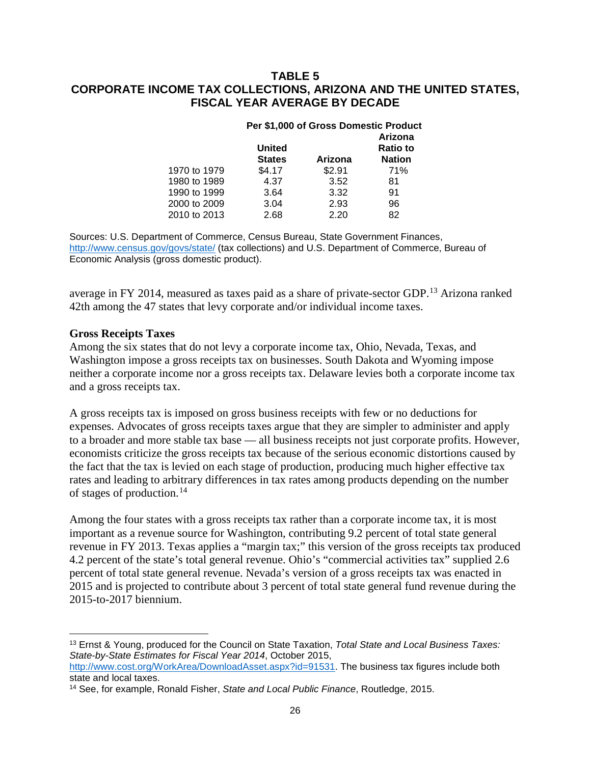# **TABLE 5 CORPORATE INCOME TAX COLLECTIONS, ARIZONA AND THE UNITED STATES, FISCAL YEAR AVERAGE BY DECADE**

| <b>Per \$1,000 of Gross Domestic Product</b> |         |                 |  |
|----------------------------------------------|---------|-----------------|--|
|                                              |         | Arizona         |  |
| <b>United</b>                                |         | <b>Ratio to</b> |  |
| <b>States</b>                                | Arizona | <b>Nation</b>   |  |
| \$4.17                                       | \$2.91  | 71%             |  |
| 4.37                                         | 3.52    | 81              |  |
| 3.64                                         | 3.32    | 91              |  |
| 3.04                                         | 2.93    | 96              |  |
| 2.68                                         | 2.20    | 82              |  |
|                                              |         |                 |  |

Sources: U.S. Department of Commerce, Census Bureau, State Government Finances, <http://www.census.gov/govs/state/> (tax collections) and U.S. Department of Commerce, Bureau of Economic Analysis (gross domestic product).

average in FY 2014, measured as taxes paid as a share of private-sector GDP.<sup>[13](#page-29-0)</sup> Arizona ranked 42th among the 47 states that levy corporate and/or individual income taxes.

#### **Gross Receipts Taxes**

 $\overline{\phantom{a}}$ 

Among the six states that do not levy a corporate income tax, Ohio, Nevada, Texas, and Washington impose a gross receipts tax on businesses. South Dakota and Wyoming impose neither a corporate income nor a gross receipts tax. Delaware levies both a corporate income tax and a gross receipts tax.

A gross receipts tax is imposed on gross business receipts with few or no deductions for expenses. Advocates of gross receipts taxes argue that they are simpler to administer and apply to a broader and more stable tax base — all business receipts not just corporate profits. However, economists criticize the gross receipts tax because of the serious economic distortions caused by the fact that the tax is levied on each stage of production, producing much higher effective tax rates and leading to arbitrary differences in tax rates among products depending on the number of stages of production.[14](#page-29-1)

Among the four states with a gross receipts tax rather than a corporate income tax, it is most important as a revenue source for Washington, contributing 9.2 percent of total state general revenue in FY 2013. Texas applies a "margin tax;" this version of the gross receipts tax produced 4.2 percent of the state's total general revenue. Ohio's "commercial activities tax" supplied 2.6 percent of total state general revenue. Nevada's version of a gross receipts tax was enacted in 2015 and is projected to contribute about 3 percent of total state general fund revenue during the 2015-to-2017 biennium.

<span id="page-29-0"></span><sup>13</sup> Ernst & Young, produced for the Council on State Taxation, *Total State and Local Business Taxes: State-by-State Estimates for Fiscal Year 2014*, October 2015,

[http://www.cost.org/WorkArea/DownloadAsset.aspx?id=91531.](http://www.cost.org/WorkArea/DownloadAsset.aspx?id=91531) The business tax figures include both state and local taxes.

<span id="page-29-1"></span><sup>14</sup> See, for example, Ronald Fisher, *State and Local Public Finance*, Routledge, 2015.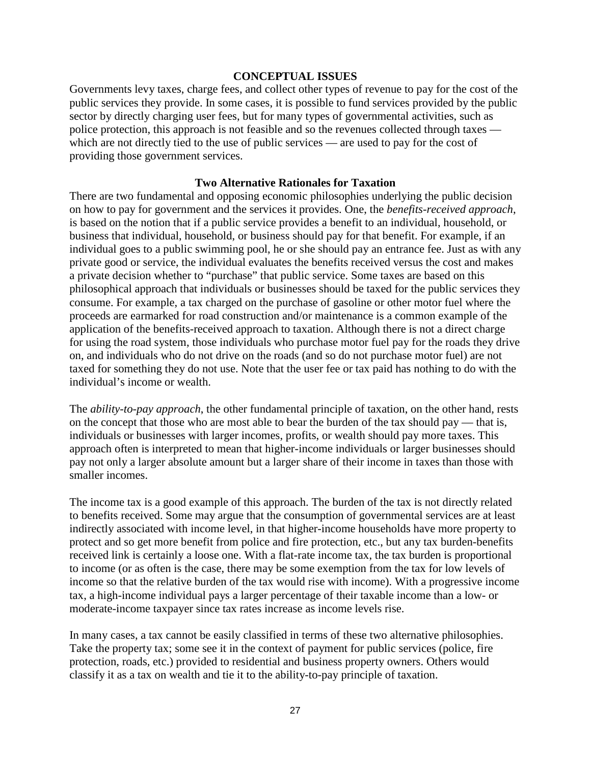#### **CONCEPTUAL ISSUES**

Governments levy taxes, charge fees, and collect other types of revenue to pay for the cost of the public services they provide. In some cases, it is possible to fund services provided by the public sector by directly charging user fees, but for many types of governmental activities, such as police protection, this approach is not feasible and so the revenues collected through taxes which are not directly tied to the use of public services — are used to pay for the cost of providing those government services.

#### **Two Alternative Rationales for Taxation**

There are two fundamental and opposing economic philosophies underlying the public decision on how to pay for government and the services it provides. One, the *benefits-received approach*, is based on the notion that if a public service provides a benefit to an individual, household, or business that individual, household, or business should pay for that benefit. For example, if an individual goes to a public swimming pool, he or she should pay an entrance fee. Just as with any private good or service, the individual evaluates the benefits received versus the cost and makes a private decision whether to "purchase" that public service. Some taxes are based on this philosophical approach that individuals or businesses should be taxed for the public services they consume. For example, a tax charged on the purchase of gasoline or other motor fuel where the proceeds are earmarked for road construction and/or maintenance is a common example of the application of the benefits-received approach to taxation. Although there is not a direct charge for using the road system, those individuals who purchase motor fuel pay for the roads they drive on, and individuals who do not drive on the roads (and so do not purchase motor fuel) are not taxed for something they do not use. Note that the user fee or tax paid has nothing to do with the individual's income or wealth.

The *ability-to-pay approach*, the other fundamental principle of taxation, on the other hand, rests on the concept that those who are most able to bear the burden of the tax should pay — that is, individuals or businesses with larger incomes, profits, or wealth should pay more taxes. This approach often is interpreted to mean that higher-income individuals or larger businesses should pay not only a larger absolute amount but a larger share of their income in taxes than those with smaller incomes.

The income tax is a good example of this approach. The burden of the tax is not directly related to benefits received. Some may argue that the consumption of governmental services are at least indirectly associated with income level, in that higher-income households have more property to protect and so get more benefit from police and fire protection, etc., but any tax burden-benefits received link is certainly a loose one. With a flat-rate income tax, the tax burden is proportional to income (or as often is the case, there may be some exemption from the tax for low levels of income so that the relative burden of the tax would rise with income). With a progressive income tax, a high-income individual pays a larger percentage of their taxable income than a low- or moderate-income taxpayer since tax rates increase as income levels rise.

In many cases, a tax cannot be easily classified in terms of these two alternative philosophies. Take the property tax; some see it in the context of payment for public services (police, fire protection, roads, etc.) provided to residential and business property owners. Others would classify it as a tax on wealth and tie it to the ability-to-pay principle of taxation.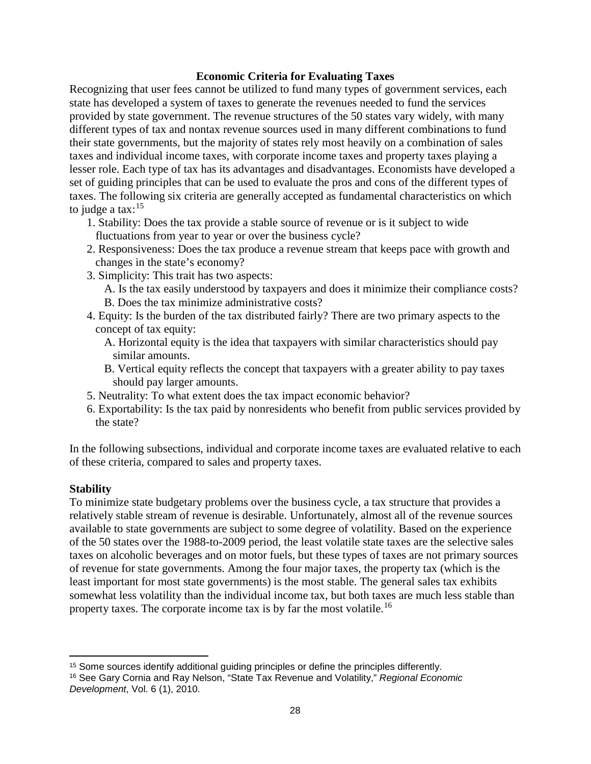### **Economic Criteria for Evaluating Taxes**

Recognizing that user fees cannot be utilized to fund many types of government services, each state has developed a system of taxes to generate the revenues needed to fund the services provided by state government. The revenue structures of the 50 states vary widely, with many different types of tax and nontax revenue sources used in many different combinations to fund their state governments, but the majority of states rely most heavily on a combination of sales taxes and individual income taxes, with corporate income taxes and property taxes playing a lesser role. Each type of tax has its advantages and disadvantages. Economists have developed a set of guiding principles that can be used to evaluate the pros and cons of the different types of taxes. The following six criteria are generally accepted as fundamental characteristics on which to judge a tax: $15$ 

- 1. Stability: Does the tax provide a stable source of revenue or is it subject to wide fluctuations from year to year or over the business cycle?
- 2. Responsiveness: Does the tax produce a revenue stream that keeps pace with growth and changes in the state's economy?
- 3. Simplicity: This trait has two aspects:
	- A. Is the tax easily understood by taxpayers and does it minimize their compliance costs? B. Does the tax minimize administrative costs?
- 4. Equity: Is the burden of the tax distributed fairly? There are two primary aspects to the concept of tax equity:
	- A. Horizontal equity is the idea that taxpayers with similar characteristics should pay similar amounts.
	- B. Vertical equity reflects the concept that taxpayers with a greater ability to pay taxes should pay larger amounts.
- 5. Neutrality: To what extent does the tax impact economic behavior?
- 6. Exportability: Is the tax paid by nonresidents who benefit from public services provided by the state?

In the following subsections, individual and corporate income taxes are evaluated relative to each of these criteria, compared to sales and property taxes.

### **Stability**

To minimize state budgetary problems over the business cycle, a tax structure that provides a relatively stable stream of revenue is desirable. Unfortunately, almost all of the revenue sources available to state governments are subject to some degree of volatility. Based on the experience of the 50 states over the 1988-to-2009 period, the least volatile state taxes are the selective sales taxes on alcoholic beverages and on motor fuels, but these types of taxes are not primary sources of revenue for state governments. Among the four major taxes, the property tax (which is the least important for most state governments) is the most stable. The general sales tax exhibits somewhat less volatility than the individual income tax, but both taxes are much less stable than property taxes. The corporate income tax is by far the most volatile.<sup>[16](#page-31-1)</sup>

 $\overline{\phantom{a}}$ <sup>15</sup> Some sources identify additional guiding principles or define the principles differently.

<span id="page-31-1"></span><span id="page-31-0"></span><sup>16</sup> See Gary Cornia and Ray Nelson, "State Tax Revenue and Volatility," *Regional Economic Development*, Vol. 6 (1), 2010.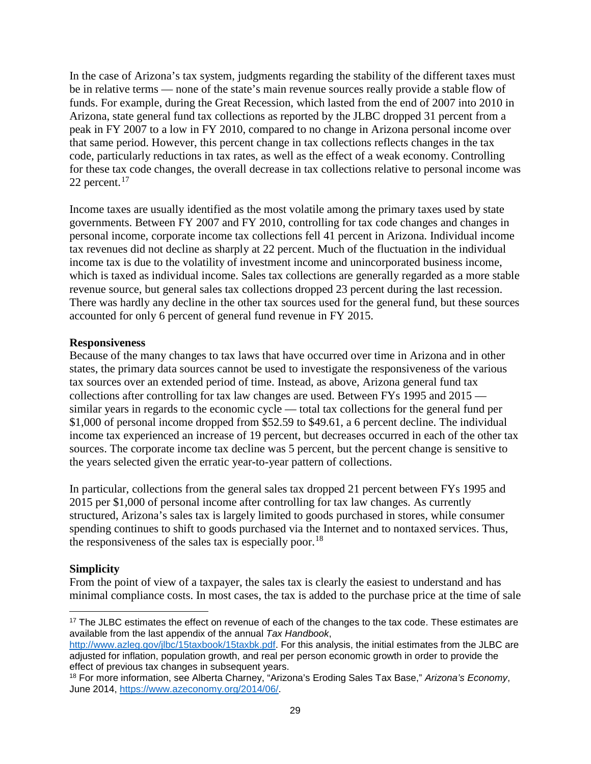In the case of Arizona's tax system, judgments regarding the stability of the different taxes must be in relative terms — none of the state's main revenue sources really provide a stable flow of funds. For example, during the Great Recession, which lasted from the end of 2007 into 2010 in Arizona, state general fund tax collections as reported by the JLBC dropped 31 percent from a peak in FY 2007 to a low in FY 2010, compared to no change in Arizona personal income over that same period. However, this percent change in tax collections reflects changes in the tax code, particularly reductions in tax rates, as well as the effect of a weak economy. Controlling for these tax code changes, the overall decrease in tax collections relative to personal income was 22 percent. $17$ 

Income taxes are usually identified as the most volatile among the primary taxes used by state governments. Between FY 2007 and FY 2010, controlling for tax code changes and changes in personal income, corporate income tax collections fell 41 percent in Arizona. Individual income tax revenues did not decline as sharply at 22 percent. Much of the fluctuation in the individual income tax is due to the volatility of investment income and unincorporated business income, which is taxed as individual income. Sales tax collections are generally regarded as a more stable revenue source, but general sales tax collections dropped 23 percent during the last recession. There was hardly any decline in the other tax sources used for the general fund, but these sources accounted for only 6 percent of general fund revenue in FY 2015.

# **Responsiveness**

Because of the many changes to tax laws that have occurred over time in Arizona and in other states, the primary data sources cannot be used to investigate the responsiveness of the various tax sources over an extended period of time. Instead, as above, Arizona general fund tax collections after controlling for tax law changes are used. Between FYs 1995 and 2015 similar years in regards to the economic cycle — total tax collections for the general fund per \$1,000 of personal income dropped from \$52.59 to \$49.61, a 6 percent decline. The individual income tax experienced an increase of 19 percent, but decreases occurred in each of the other tax sources. The corporate income tax decline was 5 percent, but the percent change is sensitive to the years selected given the erratic year-to-year pattern of collections.

In particular, collections from the general sales tax dropped 21 percent between FYs 1995 and 2015 per \$1,000 of personal income after controlling for tax law changes. As currently structured, Arizona's sales tax is largely limited to goods purchased in stores, while consumer spending continues to shift to goods purchased via the Internet and to nontaxed services. Thus, the responsiveness of the sales tax is especially poor.<sup>[18](#page-32-1)</sup>

# **Simplicity**

From the point of view of a taxpayer, the sales tax is clearly the easiest to understand and has minimal compliance costs. In most cases, the tax is added to the purchase price at the time of sale

<span id="page-32-0"></span>l <sup>17</sup> The JLBC estimates the effect on revenue of each of the changes to the tax code. These estimates are available from the last appendix of the annual *Tax Handbook*,

[http://www.azleg.gov/jlbc/15taxbook/15taxbk.pdf.](http://www.azleg.gov/jlbc/15taxbook/15taxbk.pdf) For this analysis, the initial estimates from the JLBC are adjusted for inflation, population growth, and real per person economic growth in order to provide the effect of previous tax changes in subsequent years.

<span id="page-32-1"></span><sup>18</sup> For more information, see Alberta Charney, "Arizona's Eroding Sales Tax Base," *Arizona's Economy*, June 2014, [https://www.azeconomy.org/2014/06/.](https://www.azeconomy.org/2014/06/)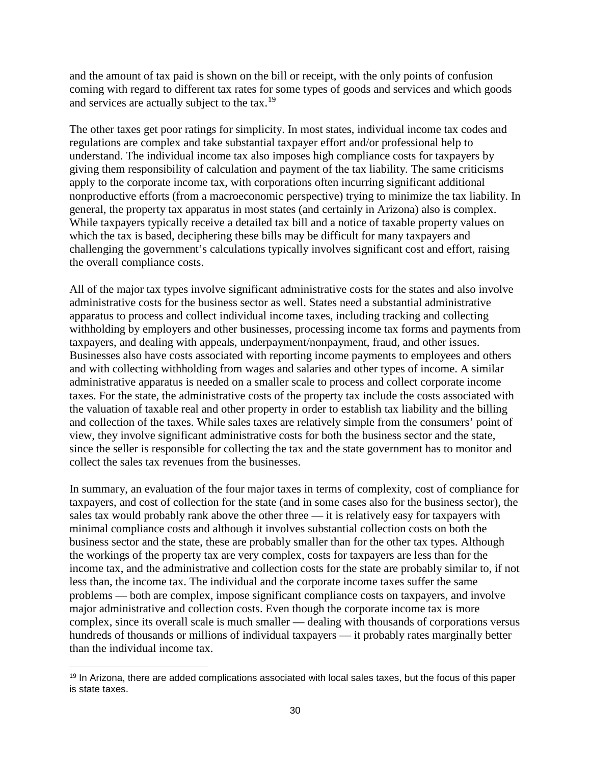and the amount of tax paid is shown on the bill or receipt, with the only points of confusion coming with regard to different tax rates for some types of goods and services and which goods and services are actually subject to the tax.<sup>[19](#page-33-0)</sup>

The other taxes get poor ratings for simplicity. In most states, individual income tax codes and regulations are complex and take substantial taxpayer effort and/or professional help to understand. The individual income tax also imposes high compliance costs for taxpayers by giving them responsibility of calculation and payment of the tax liability. The same criticisms apply to the corporate income tax, with corporations often incurring significant additional nonproductive efforts (from a macroeconomic perspective) trying to minimize the tax liability. In general, the property tax apparatus in most states (and certainly in Arizona) also is complex. While taxpayers typically receive a detailed tax bill and a notice of taxable property values on which the tax is based, deciphering these bills may be difficult for many taxpayers and challenging the government's calculations typically involves significant cost and effort, raising the overall compliance costs.

All of the major tax types involve significant administrative costs for the states and also involve administrative costs for the business sector as well. States need a substantial administrative apparatus to process and collect individual income taxes, including tracking and collecting withholding by employers and other businesses, processing income tax forms and payments from taxpayers, and dealing with appeals, underpayment/nonpayment, fraud, and other issues. Businesses also have costs associated with reporting income payments to employees and others and with collecting withholding from wages and salaries and other types of income. A similar administrative apparatus is needed on a smaller scale to process and collect corporate income taxes. For the state, the administrative costs of the property tax include the costs associated with the valuation of taxable real and other property in order to establish tax liability and the billing and collection of the taxes. While sales taxes are relatively simple from the consumers' point of view, they involve significant administrative costs for both the business sector and the state, since the seller is responsible for collecting the tax and the state government has to monitor and collect the sales tax revenues from the businesses.

In summary, an evaluation of the four major taxes in terms of complexity, cost of compliance for taxpayers, and cost of collection for the state (and in some cases also for the business sector), the sales tax would probably rank above the other three — it is relatively easy for taxpayers with minimal compliance costs and although it involves substantial collection costs on both the business sector and the state, these are probably smaller than for the other tax types. Although the workings of the property tax are very complex, costs for taxpayers are less than for the income tax, and the administrative and collection costs for the state are probably similar to, if not less than, the income tax. The individual and the corporate income taxes suffer the same problems — both are complex, impose significant compliance costs on taxpayers, and involve major administrative and collection costs. Even though the corporate income tax is more complex, since its overall scale is much smaller — dealing with thousands of corporations versus hundreds of thousands or millions of individual taxpayers — it probably rates marginally better than the individual income tax.

l

<span id="page-33-0"></span><sup>&</sup>lt;sup>19</sup> In Arizona, there are added complications associated with local sales taxes, but the focus of this paper is state taxes.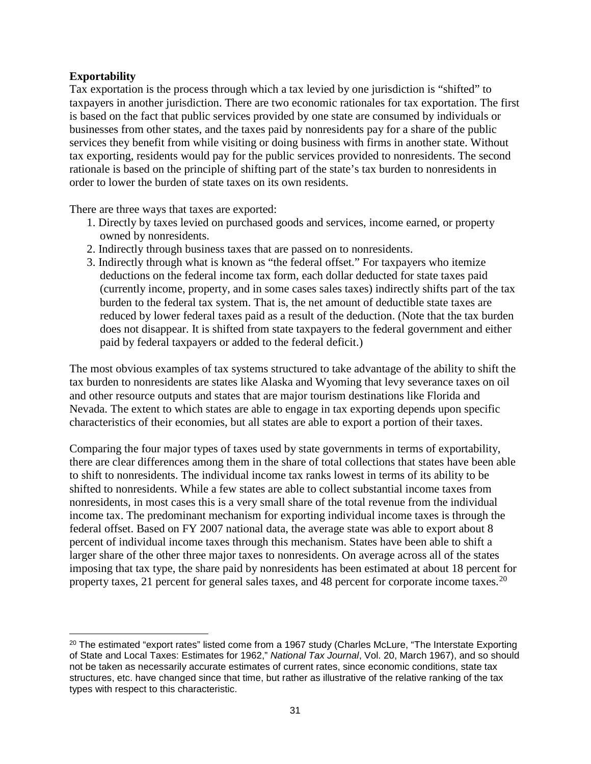# **Exportability**

 $\overline{\phantom{a}}$ 

Tax exportation is the process through which a tax levied by one jurisdiction is "shifted" to taxpayers in another jurisdiction. There are two economic rationales for tax exportation. The first is based on the fact that public services provided by one state are consumed by individuals or businesses from other states, and the taxes paid by nonresidents pay for a share of the public services they benefit from while visiting or doing business with firms in another state. Without tax exporting, residents would pay for the public services provided to nonresidents. The second rationale is based on the principle of shifting part of the state's tax burden to nonresidents in order to lower the burden of state taxes on its own residents.

There are three ways that taxes are exported:

- 1. Directly by taxes levied on purchased goods and services, income earned, or property owned by nonresidents.
- 2. Indirectly through business taxes that are passed on to nonresidents.
- 3. Indirectly through what is known as "the federal offset." For taxpayers who itemize deductions on the federal income tax form, each dollar deducted for state taxes paid (currently income, property, and in some cases sales taxes) indirectly shifts part of the tax burden to the federal tax system. That is, the net amount of deductible state taxes are reduced by lower federal taxes paid as a result of the deduction. (Note that the tax burden does not disappear. It is shifted from state taxpayers to the federal government and either paid by federal taxpayers or added to the federal deficit.)

The most obvious examples of tax systems structured to take advantage of the ability to shift the tax burden to nonresidents are states like Alaska and Wyoming that levy severance taxes on oil and other resource outputs and states that are major tourism destinations like Florida and Nevada. The extent to which states are able to engage in tax exporting depends upon specific characteristics of their economies, but all states are able to export a portion of their taxes.

Comparing the four major types of taxes used by state governments in terms of exportability, there are clear differences among them in the share of total collections that states have been able to shift to nonresidents. The individual income tax ranks lowest in terms of its ability to be shifted to nonresidents. While a few states are able to collect substantial income taxes from nonresidents, in most cases this is a very small share of the total revenue from the individual income tax. The predominant mechanism for exporting individual income taxes is through the federal offset. Based on FY 2007 national data, the average state was able to export about 8 percent of individual income taxes through this mechanism. States have been able to shift a larger share of the other three major taxes to nonresidents. On average across all of the states imposing that tax type, the share paid by nonresidents has been estimated at about 18 percent for property taxes, 21 percent for general sales taxes, and 48 percent for corporate income taxes.  $2^{0}$ 

<span id="page-34-0"></span> $20$  The estimated "export rates" listed come from a 1967 study (Charles McLure, "The Interstate Exporting of State and Local Taxes: Estimates for 1962," *National Tax Journal*, Vol. 20, March 1967), and so should not be taken as necessarily accurate estimates of current rates, since economic conditions, state tax structures, etc. have changed since that time, but rather as illustrative of the relative ranking of the tax types with respect to this characteristic.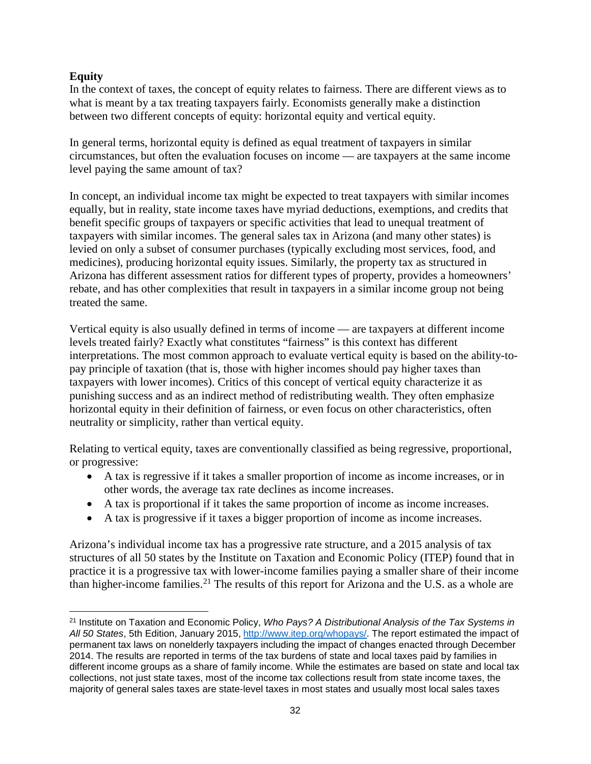# **Equity**

l

In the context of taxes, the concept of equity relates to fairness. There are different views as to what is meant by a tax treating taxpayers fairly. Economists generally make a distinction between two different concepts of equity: horizontal equity and vertical equity.

In general terms, horizontal equity is defined as equal treatment of taxpayers in similar circumstances, but often the evaluation focuses on income — are taxpayers at the same income level paying the same amount of tax?

In concept, an individual income tax might be expected to treat taxpayers with similar incomes equally, but in reality, state income taxes have myriad deductions, exemptions, and credits that benefit specific groups of taxpayers or specific activities that lead to unequal treatment of taxpayers with similar incomes. The general sales tax in Arizona (and many other states) is levied on only a subset of consumer purchases (typically excluding most services, food, and medicines), producing horizontal equity issues. Similarly, the property tax as structured in Arizona has different assessment ratios for different types of property, provides a homeowners' rebate, and has other complexities that result in taxpayers in a similar income group not being treated the same.

Vertical equity is also usually defined in terms of income — are taxpayers at different income levels treated fairly? Exactly what constitutes "fairness" is this context has different interpretations. The most common approach to evaluate vertical equity is based on the ability-topay principle of taxation (that is, those with higher incomes should pay higher taxes than taxpayers with lower incomes). Critics of this concept of vertical equity characterize it as punishing success and as an indirect method of redistributing wealth. They often emphasize horizontal equity in their definition of fairness, or even focus on other characteristics, often neutrality or simplicity, rather than vertical equity.

Relating to vertical equity, taxes are conventionally classified as being regressive, proportional, or progressive:

- A tax is regressive if it takes a smaller proportion of income as income increases, or in other words, the average tax rate declines as income increases.
- A tax is proportional if it takes the same proportion of income as income increases.
- A tax is progressive if it taxes a bigger proportion of income as income increases.

Arizona's individual income tax has a progressive rate structure, and a 2015 analysis of tax structures of all 50 states by the Institute on Taxation and Economic Policy (ITEP) found that in practice it is a progressive tax with lower-income families paying a smaller share of their income than higher-income families.<sup>[21](#page-35-0)</sup> The results of this report for Arizona and the U.S. as a whole are

<span id="page-35-0"></span><sup>21</sup> Institute on Taxation and Economic Policy, *Who Pays? A Distributional Analysis of the Tax Systems in All 50 States*, 5th Edition, January 2015, [http://www.itep.org/whopays/.](http://www.itep.org/whopays/) The report estimated the impact of permanent tax laws on nonelderly taxpayers including the impact of changes enacted through December 2014. The results are reported in terms of the tax burdens of state and local taxes paid by families in different income groups as a share of family income. While the estimates are based on state and local tax collections, not just state taxes, most of the income tax collections result from state income taxes, the majority of general sales taxes are state-level taxes in most states and usually most local sales taxes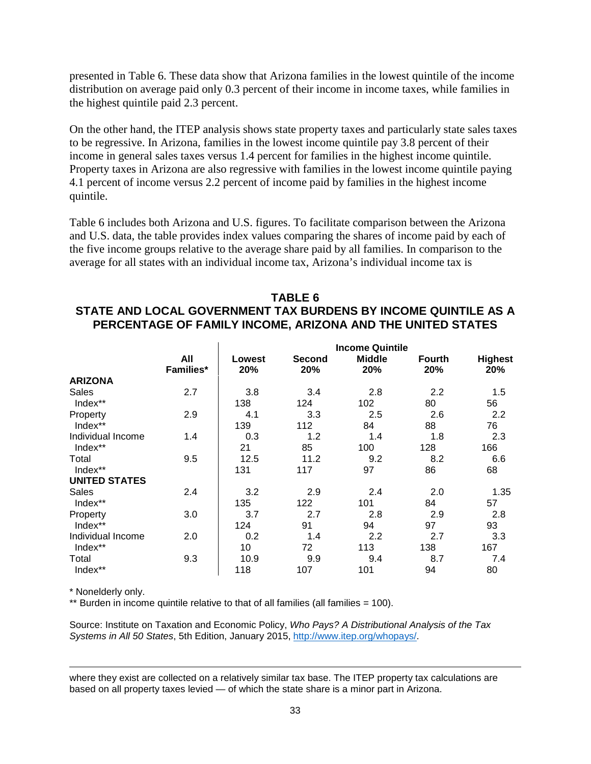presented in Table 6. These data show that Arizona families in the lowest quintile of the income distribution on average paid only 0.3 percent of their income in income taxes, while families in the highest quintile paid 2.3 percent.

On the other hand, the ITEP analysis shows state property taxes and particularly state sales taxes to be regressive. In Arizona, families in the lowest income quintile pay 3.8 percent of their income in general sales taxes versus 1.4 percent for families in the highest income quintile. Property taxes in Arizona are also regressive with families in the lowest income quintile paying 4.1 percent of income versus 2.2 percent of income paid by families in the highest income quintile.

Table 6 includes both Arizona and U.S. figures. To facilitate comparison between the Arizona and U.S. data, the table provides index values comparing the shares of income paid by each of the five income groups relative to the average share paid by all families. In comparison to the average for all states with an individual income tax, Arizona's individual income tax is

# **TABLE 6 STATE AND LOCAL GOVERNMENT TAX BURDENS BY INCOME QUINTILE AS A PERCENTAGE OF FAMILY INCOME, ARIZONA AND THE UNITED STATES**

|                      | <b>Income Quintile</b> |        |               |               |        |                |  |
|----------------------|------------------------|--------|---------------|---------------|--------|----------------|--|
|                      | All                    | Lowest | <b>Second</b> | <b>Middle</b> | Fourth | <b>Highest</b> |  |
|                      | <b>Families*</b>       | 20%    | 20%           | 20%           | 20%    | 20%            |  |
| <b>ARIZONA</b>       |                        |        |               |               |        |                |  |
| Sales                | 2.7                    | 3.8    | 3.4           | 2.8           | 2.2    | 1.5            |  |
| Index**              |                        | 138    | 124           | 102           | 80     | 56             |  |
| Property             | 2.9                    | 4.1    | 3.3           | 2.5           | 2.6    | 2.2            |  |
| Index**              |                        | 139    | 112           | 84            | 88     | 76             |  |
| Individual Income    | 1.4                    | 0.3    | 1.2           | 1.4           | 1.8    | 2.3            |  |
| Index**              |                        | 21     | 85            | 100           | 128    | 166            |  |
| Total                | 9.5                    | 12.5   | 11.2          | 9.2           | 8.2    | 6.6            |  |
| Index**              |                        | 131    | 117           | 97            | 86     | 68             |  |
| <b>UNITED STATES</b> |                        |        |               |               |        |                |  |
| <b>Sales</b>         | 2.4                    | 3.2    | 2.9           | 2.4           | 2.0    | 1.35           |  |
| Index**              |                        | 135    | 122           | 101           | 84     | 57             |  |
| Property             | 3.0                    | 3.7    | 2.7           | 2.8           | 2.9    | 2.8            |  |
| Index**              |                        | 124    | 91            | 94            | 97     | 93             |  |
| Individual Income    | 2.0                    | 0.2    | 1.4           | 2.2           | 2.7    | 3.3            |  |
| Index**              |                        | 10     | 72            | 113           | 138    | 167            |  |
| Total                | 9.3                    | 10.9   | 9.9           | 9.4           | 8.7    | 7.4            |  |
| Index**              |                        | 118    | 107           | 101           | 94     | 80             |  |

\* Nonelderly only.

l

\*\* Burden in income quintile relative to that of all families (all families = 100).

Source: Institute on Taxation and Economic Policy, *Who Pays? A Distributional Analysis of the Tax Systems in All 50 States*, 5th Edition, January 2015, [http://www.itep.org/whopays/.](http://www.itep.org/whopays/)

where they exist are collected on a relatively similar tax base. The ITEP property tax calculations are based on all property taxes levied — of which the state share is a minor part in Arizona.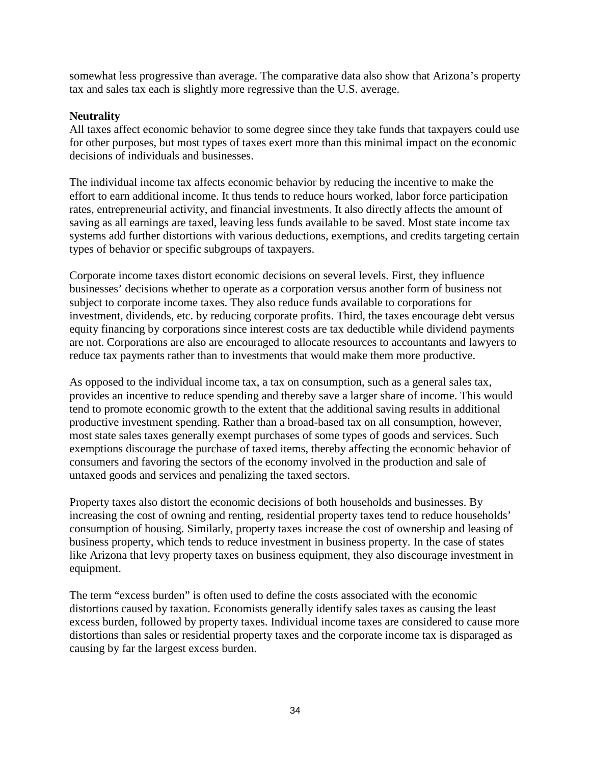somewhat less progressive than average. The comparative data also show that Arizona's property tax and sales tax each is slightly more regressive than the U.S. average.

### **Neutrality**

All taxes affect economic behavior to some degree since they take funds that taxpayers could use for other purposes, but most types of taxes exert more than this minimal impact on the economic decisions of individuals and businesses.

The individual income tax affects economic behavior by reducing the incentive to make the effort to earn additional income. It thus tends to reduce hours worked, labor force participation rates, entrepreneurial activity, and financial investments. It also directly affects the amount of saving as all earnings are taxed, leaving less funds available to be saved. Most state income tax systems add further distortions with various deductions, exemptions, and credits targeting certain types of behavior or specific subgroups of taxpayers.

Corporate income taxes distort economic decisions on several levels. First, they influence businesses' decisions whether to operate as a corporation versus another form of business not subject to corporate income taxes. They also reduce funds available to corporations for investment, dividends, etc. by reducing corporate profits. Third, the taxes encourage debt versus equity financing by corporations since interest costs are tax deductible while dividend payments are not. Corporations are also are encouraged to allocate resources to accountants and lawyers to reduce tax payments rather than to investments that would make them more productive.

As opposed to the individual income tax, a tax on consumption, such as a general sales tax, provides an incentive to reduce spending and thereby save a larger share of income. This would tend to promote economic growth to the extent that the additional saving results in additional productive investment spending. Rather than a broad-based tax on all consumption, however, most state sales taxes generally exempt purchases of some types of goods and services. Such exemptions discourage the purchase of taxed items, thereby affecting the economic behavior of consumers and favoring the sectors of the economy involved in the production and sale of untaxed goods and services and penalizing the taxed sectors.

Property taxes also distort the economic decisions of both households and businesses. By increasing the cost of owning and renting, residential property taxes tend to reduce households' consumption of housing. Similarly, property taxes increase the cost of ownership and leasing of business property, which tends to reduce investment in business property. In the case of states like Arizona that levy property taxes on business equipment, they also discourage investment in equipment.

The term "excess burden" is often used to define the costs associated with the economic distortions caused by taxation. Economists generally identify sales taxes as causing the least excess burden, followed by property taxes. Individual income taxes are considered to cause more distortions than sales or residential property taxes and the corporate income tax is disparaged as causing by far the largest excess burden.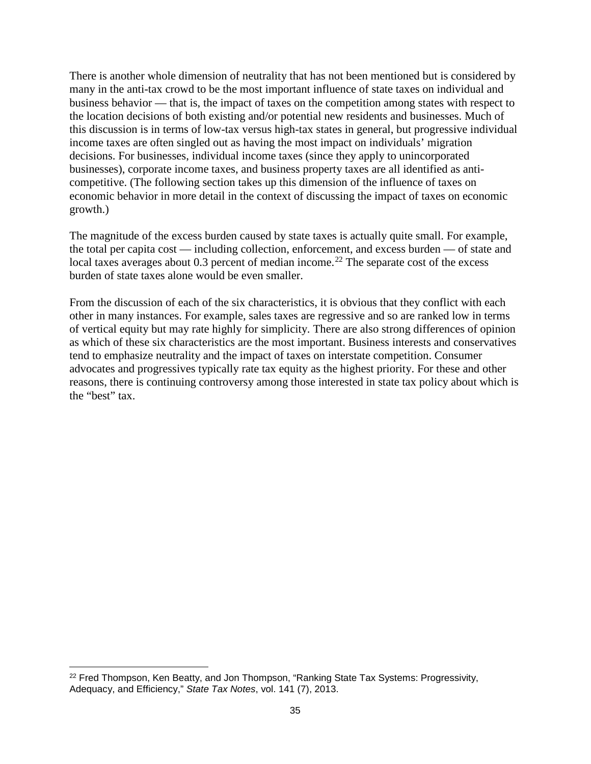There is another whole dimension of neutrality that has not been mentioned but is considered by many in the anti-tax crowd to be the most important influence of state taxes on individual and business behavior — that is, the impact of taxes on the competition among states with respect to the location decisions of both existing and/or potential new residents and businesses. Much of this discussion is in terms of low-tax versus high-tax states in general, but progressive individual income taxes are often singled out as having the most impact on individuals' migration decisions. For businesses, individual income taxes (since they apply to unincorporated businesses), corporate income taxes, and business property taxes are all identified as anticompetitive. (The following section takes up this dimension of the influence of taxes on economic behavior in more detail in the context of discussing the impact of taxes on economic growth.)

The magnitude of the excess burden caused by state taxes is actually quite small. For example, the total per capita cost — including collection, enforcement, and excess burden — of state and local taxes averages about 0.3 percent of median income.<sup>[22](#page-38-0)</sup> The separate cost of the excess burden of state taxes alone would be even smaller.

From the discussion of each of the six characteristics, it is obvious that they conflict with each other in many instances. For example, sales taxes are regressive and so are ranked low in terms of vertical equity but may rate highly for simplicity. There are also strong differences of opinion as which of these six characteristics are the most important. Business interests and conservatives tend to emphasize neutrality and the impact of taxes on interstate competition. Consumer advocates and progressives typically rate tax equity as the highest priority. For these and other reasons, there is continuing controversy among those interested in state tax policy about which is the "best" tax.

l

<span id="page-38-0"></span><sup>&</sup>lt;sup>22</sup> Fred Thompson, Ken Beatty, and Jon Thompson, "Ranking State Tax Systems: Progressivity, Adequacy, and Efficiency," *State Tax Notes*, vol. 141 (7), 2013.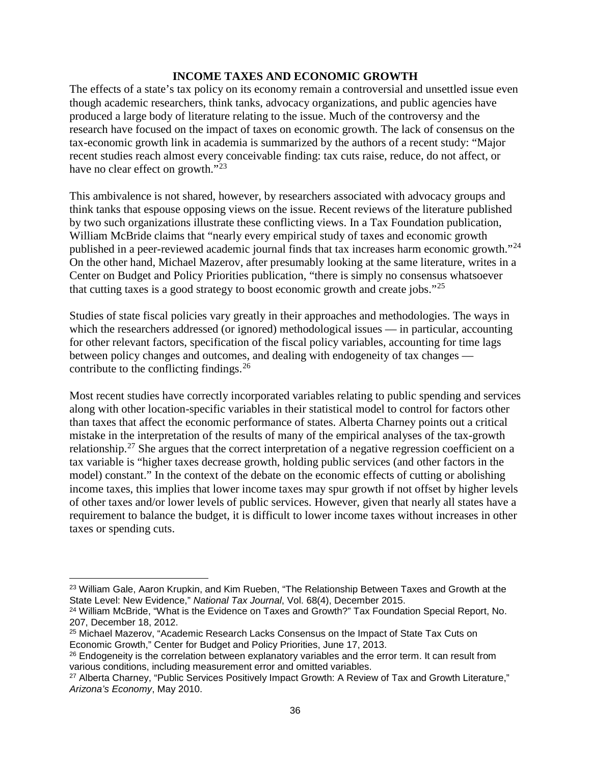#### **INCOME TAXES AND ECONOMIC GROWTH**

The effects of a state's tax policy on its economy remain a controversial and unsettled issue even though academic researchers, think tanks, advocacy organizations, and public agencies have produced a large body of literature relating to the issue. Much of the controversy and the research have focused on the impact of taxes on economic growth. The lack of consensus on the tax-economic growth link in academia is summarized by the authors of a recent study: "Major recent studies reach almost every conceivable finding: tax cuts raise, reduce, do not affect, or have no clear effect on growth."<sup>[23](#page-39-0)</sup>

This ambivalence is not shared, however, by researchers associated with advocacy groups and think tanks that espouse opposing views on the issue. Recent reviews of the literature published by two such organizations illustrate these conflicting views. In a Tax Foundation publication, William McBride claims that "nearly every empirical study of taxes and economic growth published in a peer-reviewed academic journal finds that tax increases harm economic growth."<sup>[24](#page-39-1)</sup> On the other hand, Michael Mazerov, after presumably looking at the same literature, writes in a Center on Budget and Policy Priorities publication, "there is simply no consensus whatsoever that cutting taxes is a good strategy to boost economic growth and create jobs."<sup>[25](#page-39-2)</sup>

Studies of state fiscal policies vary greatly in their approaches and methodologies. The ways in which the researchers addressed (or ignored) methodological issues — in particular, accounting for other relevant factors, specification of the fiscal policy variables, accounting for time lags between policy changes and outcomes, and dealing with endogeneity of tax changes contribute to the conflicting findings. $^{26}$  $^{26}$  $^{26}$ 

Most recent studies have correctly incorporated variables relating to public spending and services along with other location-specific variables in their statistical model to control for factors other than taxes that affect the economic performance of states. Alberta Charney points out a critical mistake in the interpretation of the results of many of the empirical analyses of the tax-growth relationship.[27](#page-39-4) She argues that the correct interpretation of a negative regression coefficient on a tax variable is "higher taxes decrease growth, holding public services (and other factors in the model) constant." In the context of the debate on the economic effects of cutting or abolishing income taxes, this implies that lower income taxes may spur growth if not offset by higher levels of other taxes and/or lower levels of public services. However, given that nearly all states have a requirement to balance the budget, it is difficult to lower income taxes without increases in other taxes or spending cuts.

l

<span id="page-39-0"></span><sup>&</sup>lt;sup>23</sup> William Gale, Aaron Krupkin, and Kim Rueben, "The Relationship Between Taxes and Growth at the State Level: New Evidence," *National Tax Journal*, Vol. 68(4), December 2015.

<span id="page-39-1"></span><sup>&</sup>lt;sup>24</sup> William McBride, "What is the Evidence on Taxes and Growth?" Tax Foundation Special Report, No. 207, December 18, 2012.

<span id="page-39-2"></span><sup>25</sup> Michael Mazerov, "Academic Research Lacks Consensus on the Impact of State Tax Cuts on Economic Growth," Center for Budget and Policy Priorities, June 17, 2013.

<span id="page-39-3"></span><sup>&</sup>lt;sup>26</sup> Endogeneity is the correlation between explanatory variables and the error term. It can result from various conditions, including measurement error and omitted variables.

<span id="page-39-4"></span><sup>27</sup> Alberta Charney, "Public Services Positively Impact Growth: A Review of Tax and Growth Literature," *Arizona's Economy*, May 2010.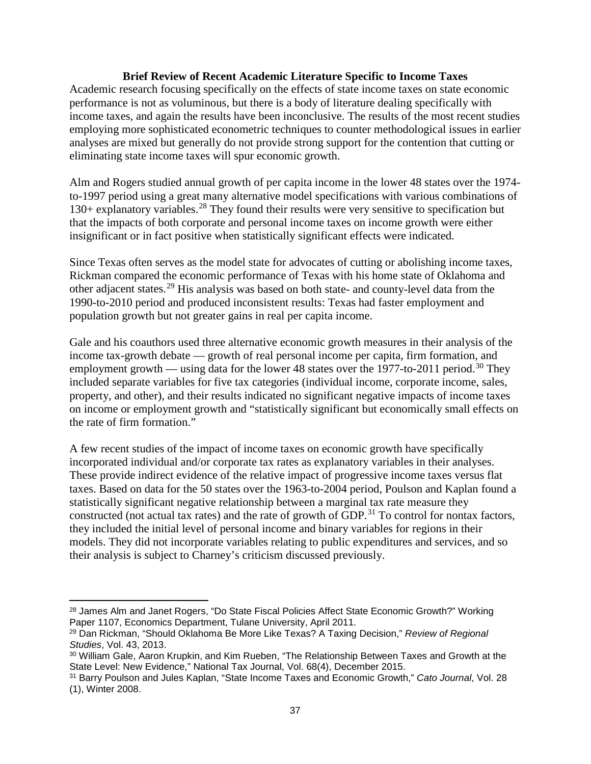### **Brief Review of Recent Academic Literature Specific to Income Taxes**

Academic research focusing specifically on the effects of state income taxes on state economic performance is not as voluminous, but there is a body of literature dealing specifically with income taxes, and again the results have been inconclusive. The results of the most recent studies employing more sophisticated econometric techniques to counter methodological issues in earlier analyses are mixed but generally do not provide strong support for the contention that cutting or eliminating state income taxes will spur economic growth.

Alm and Rogers studied annual growth of per capita income in the lower 48 states over the 1974 to-1997 period using a great many alternative model specifications with various combinations of  $130+$  explanatory variables.<sup>[28](#page-40-0)</sup> They found their results were very sensitive to specification but that the impacts of both corporate and personal income taxes on income growth were either insignificant or in fact positive when statistically significant effects were indicated.

Since Texas often serves as the model state for advocates of cutting or abolishing income taxes, Rickman compared the economic performance of Texas with his home state of Oklahoma and other adjacent states.[29](#page-40-1) His analysis was based on both state- and county-level data from the 1990-to-2010 period and produced inconsistent results: Texas had faster employment and population growth but not greater gains in real per capita income.

Gale and his coauthors used three alternative economic growth measures in their analysis of the income tax-growth debate — growth of real personal income per capita, firm formation, and employment growth — using data for the lower 48 states over the 1977-to-2011 period.<sup>[30](#page-40-2)</sup> They included separate variables for five tax categories (individual income, corporate income, sales, property, and other), and their results indicated no significant negative impacts of income taxes on income or employment growth and "statistically significant but economically small effects on the rate of firm formation."

A few recent studies of the impact of income taxes on economic growth have specifically incorporated individual and/or corporate tax rates as explanatory variables in their analyses. These provide indirect evidence of the relative impact of progressive income taxes versus flat taxes. Based on data for the 50 states over the 1963-to-2004 period, Poulson and Kaplan found a statistically significant negative relationship between a marginal tax rate measure they constructed (not actual tax rates) and the rate of growth of GDP.<sup>[31](#page-40-3)</sup> To control for nontax factors, they included the initial level of personal income and binary variables for regions in their models. They did not incorporate variables relating to public expenditures and services, and so their analysis is subject to Charney's criticism discussed previously.

 $\overline{\phantom{a}}$ 

<span id="page-40-0"></span><sup>&</sup>lt;sup>28</sup> James Alm and Janet Rogers, "Do State Fiscal Policies Affect State Economic Growth?" Working Paper 1107, Economics Department, Tulane University, April 2011.

<span id="page-40-1"></span><sup>29</sup> Dan Rickman, "Should Oklahoma Be More Like Texas? A Taxing Decision," *Review of Regional Studies*, Vol. 43, 2013.

<span id="page-40-2"></span><sup>30</sup> William Gale, Aaron Krupkin, and Kim Rueben, "The Relationship Between Taxes and Growth at the State Level: New Evidence," National Tax Journal, Vol. 68(4), December 2015.

<span id="page-40-3"></span><sup>31</sup> Barry Poulson and Jules Kaplan, "State Income Taxes and Economic Growth," *Cato Journal*, Vol. 28 (1), Winter 2008.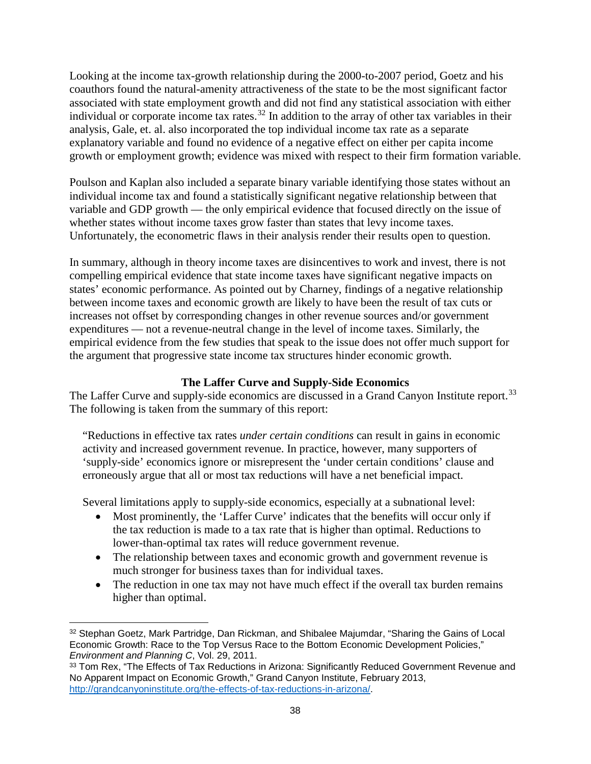Looking at the income tax-growth relationship during the 2000-to-2007 period, Goetz and his coauthors found the natural-amenity attractiveness of the state to be the most significant factor associated with state employment growth and did not find any statistical association with either individual or corporate income tax rates.<sup>[32](#page-41-0)</sup> In addition to the array of other tax variables in their analysis, Gale, et. al. also incorporated the top individual income tax rate as a separate explanatory variable and found no evidence of a negative effect on either per capita income growth or employment growth; evidence was mixed with respect to their firm formation variable.

Poulson and Kaplan also included a separate binary variable identifying those states without an individual income tax and found a statistically significant negative relationship between that variable and GDP growth — the only empirical evidence that focused directly on the issue of whether states without income taxes grow faster than states that levy income taxes. Unfortunately, the econometric flaws in their analysis render their results open to question.

In summary, although in theory income taxes are disincentives to work and invest, there is not compelling empirical evidence that state income taxes have significant negative impacts on states' economic performance. As pointed out by Charney, findings of a negative relationship between income taxes and economic growth are likely to have been the result of tax cuts or increases not offset by corresponding changes in other revenue sources and/or government expenditures — not a revenue-neutral change in the level of income taxes. Similarly, the empirical evidence from the few studies that speak to the issue does not offer much support for the argument that progressive state income tax structures hinder economic growth.

# **The Laffer Curve and Supply-Side Economics**

The Laffer Curve and supply-side economics are discussed in a Grand Canyon Institute report.<sup>[33](#page-41-1)</sup> The following is taken from the summary of this report:

"Reductions in effective tax rates *under certain conditions* can result in gains in economic activity and increased government revenue. In practice, however, many supporters of 'supply-side' economics ignore or misrepresent the 'under certain conditions' clause and erroneously argue that all or most tax reductions will have a net beneficial impact.

Several limitations apply to supply-side economics, especially at a subnational level:

- Most prominently, the 'Laffer Curve' indicates that the benefits will occur only if the tax reduction is made to a tax rate that is higher than optimal. Reductions to lower-than-optimal tax rates will reduce government revenue.
- The relationship between taxes and economic growth and government revenue is much stronger for business taxes than for individual taxes.
- The reduction in one tax may not have much effect if the overall tax burden remains higher than optimal.

<span id="page-41-0"></span> $\overline{\phantom{a}}$ <sup>32</sup> Stephan Goetz, Mark Partridge, Dan Rickman, and Shibalee Majumdar, "Sharing the Gains of Local Economic Growth: Race to the Top Versus Race to the Bottom Economic Development Policies," *Environment and Planning C*, Vol. 29, 2011.

<span id="page-41-1"></span><sup>33</sup> Tom Rex, "The Effects of Tax Reductions in Arizona: Significantly Reduced Government Revenue and No Apparent Impact on Economic Growth," Grand Canyon Institute, February 2013, [http://grandcanyoninstitute.org/the-effects-of-tax-reductions-in-arizona/.](http://grandcanyoninstitute.org/the-effects-of-tax-reductions-in-arizona/)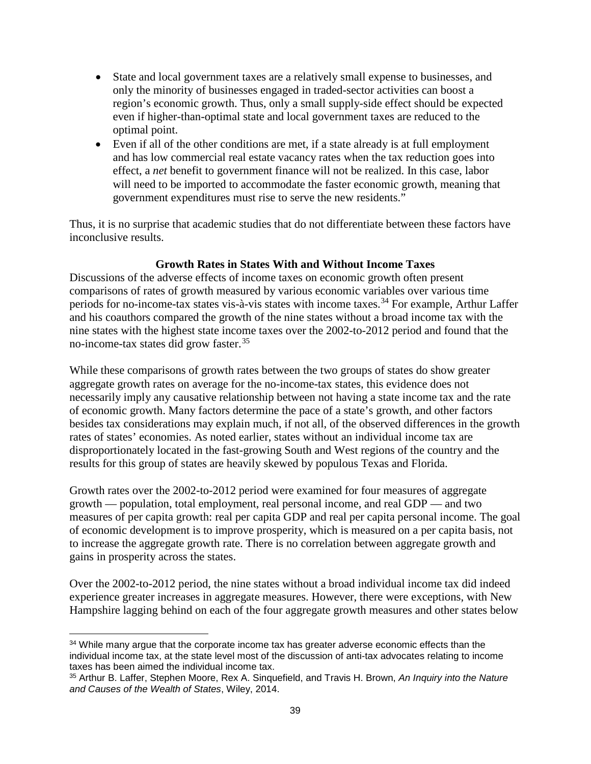- State and local government taxes are a relatively small expense to businesses, and only the minority of businesses engaged in traded-sector activities can boost a region's economic growth. Thus, only a small supply-side effect should be expected even if higher-than-optimal state and local government taxes are reduced to the optimal point.
- Even if all of the other conditions are met, if a state already is at full employment and has low commercial real estate vacancy rates when the tax reduction goes into effect, a *net* benefit to government finance will not be realized. In this case, labor will need to be imported to accommodate the faster economic growth, meaning that government expenditures must rise to serve the new residents."

Thus, it is no surprise that academic studies that do not differentiate between these factors have inconclusive results.

# **Growth Rates in States With and Without Income Taxes**

Discussions of the adverse effects of income taxes on economic growth often present comparisons of rates of growth measured by various economic variables over various time periods for no-income-tax states vis-à-vis states with income taxes.<sup>[34](#page-42-0)</sup> For example, Arthur Laffer and his coauthors compared the growth of the nine states without a broad income tax with the nine states with the highest state income taxes over the 2002-to-2012 period and found that the no-income-tax states did grow faster.<sup>[35](#page-42-1)</sup>

While these comparisons of growth rates between the two groups of states do show greater aggregate growth rates on average for the no-income-tax states, this evidence does not necessarily imply any causative relationship between not having a state income tax and the rate of economic growth. Many factors determine the pace of a state's growth, and other factors besides tax considerations may explain much, if not all, of the observed differences in the growth rates of states' economies. As noted earlier, states without an individual income tax are disproportionately located in the fast-growing South and West regions of the country and the results for this group of states are heavily skewed by populous Texas and Florida.

Growth rates over the 2002-to-2012 period were examined for four measures of aggregate growth — population, total employment, real personal income, and real GDP — and two measures of per capita growth: real per capita GDP and real per capita personal income. The goal of economic development is to improve prosperity, which is measured on a per capita basis, not to increase the aggregate growth rate. There is no correlation between aggregate growth and gains in prosperity across the states.

Over the 2002-to-2012 period, the nine states without a broad individual income tax did indeed experience greater increases in aggregate measures. However, there were exceptions, with New Hampshire lagging behind on each of the four aggregate growth measures and other states below

<span id="page-42-0"></span> $\overline{\phantom{a}}$ <sup>34</sup> While many argue that the corporate income tax has greater adverse economic effects than the individual income tax, at the state level most of the discussion of anti-tax advocates relating to income taxes has been aimed the individual income tax.

<span id="page-42-1"></span><sup>35</sup> Arthur B. Laffer, Stephen Moore, Rex A. Sinquefield, and Travis H. Brown, *An Inquiry into the Nature and Causes of the Wealth of States*, Wiley, 2014.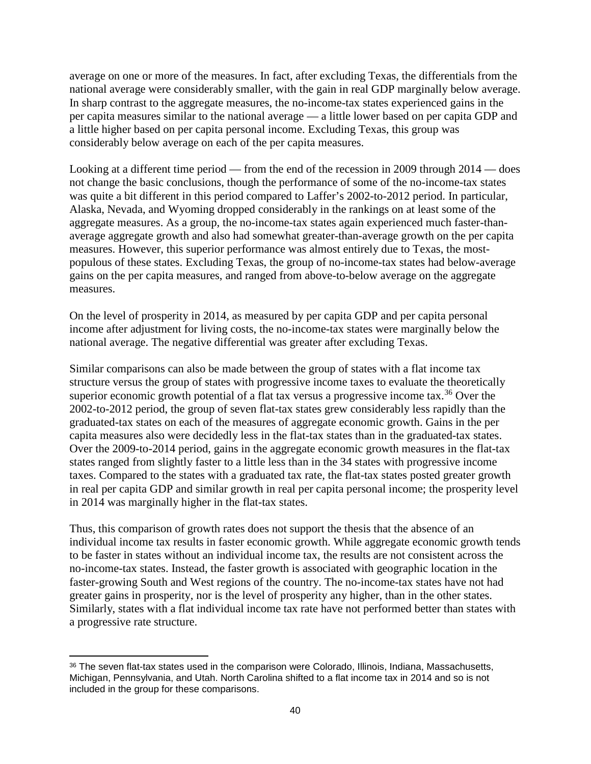average on one or more of the measures. In fact, after excluding Texas, the differentials from the national average were considerably smaller, with the gain in real GDP marginally below average. In sharp contrast to the aggregate measures, the no-income-tax states experienced gains in the per capita measures similar to the national average — a little lower based on per capita GDP and a little higher based on per capita personal income. Excluding Texas, this group was considerably below average on each of the per capita measures.

Looking at a different time period — from the end of the recession in 2009 through 2014 — does not change the basic conclusions, though the performance of some of the no-income-tax states was quite a bit different in this period compared to Laffer's 2002-to-2012 period. In particular, Alaska, Nevada, and Wyoming dropped considerably in the rankings on at least some of the aggregate measures. As a group, the no-income-tax states again experienced much faster-thanaverage aggregate growth and also had somewhat greater-than-average growth on the per capita measures. However, this superior performance was almost entirely due to Texas, the mostpopulous of these states. Excluding Texas, the group of no-income-tax states had below-average gains on the per capita measures, and ranged from above-to-below average on the aggregate measures.

On the level of prosperity in 2014, as measured by per capita GDP and per capita personal income after adjustment for living costs, the no-income-tax states were marginally below the national average. The negative differential was greater after excluding Texas.

Similar comparisons can also be made between the group of states with a flat income tax structure versus the group of states with progressive income taxes to evaluate the theoretically superior economic growth potential of a flat tax versus a progressive income tax.<sup>[36](#page-43-0)</sup> Over the 2002-to-2012 period, the group of seven flat-tax states grew considerably less rapidly than the graduated-tax states on each of the measures of aggregate economic growth. Gains in the per capita measures also were decidedly less in the flat-tax states than in the graduated-tax states. Over the 2009-to-2014 period, gains in the aggregate economic growth measures in the flat-tax states ranged from slightly faster to a little less than in the 34 states with progressive income taxes. Compared to the states with a graduated tax rate, the flat-tax states posted greater growth in real per capita GDP and similar growth in real per capita personal income; the prosperity level in 2014 was marginally higher in the flat-tax states.

Thus, this comparison of growth rates does not support the thesis that the absence of an individual income tax results in faster economic growth. While aggregate economic growth tends to be faster in states without an individual income tax, the results are not consistent across the no-income-tax states. Instead, the faster growth is associated with geographic location in the faster-growing South and West regions of the country. The no-income-tax states have not had greater gains in prosperity, nor is the level of prosperity any higher, than in the other states. Similarly, states with a flat individual income tax rate have not performed better than states with a progressive rate structure.

 $\overline{\phantom{a}}$ 

<span id="page-43-0"></span><sup>36</sup> The seven flat-tax states used in the comparison were Colorado, Illinois, Indiana, Massachusetts, Michigan, Pennsylvania, and Utah. North Carolina shifted to a flat income tax in 2014 and so is not included in the group for these comparisons.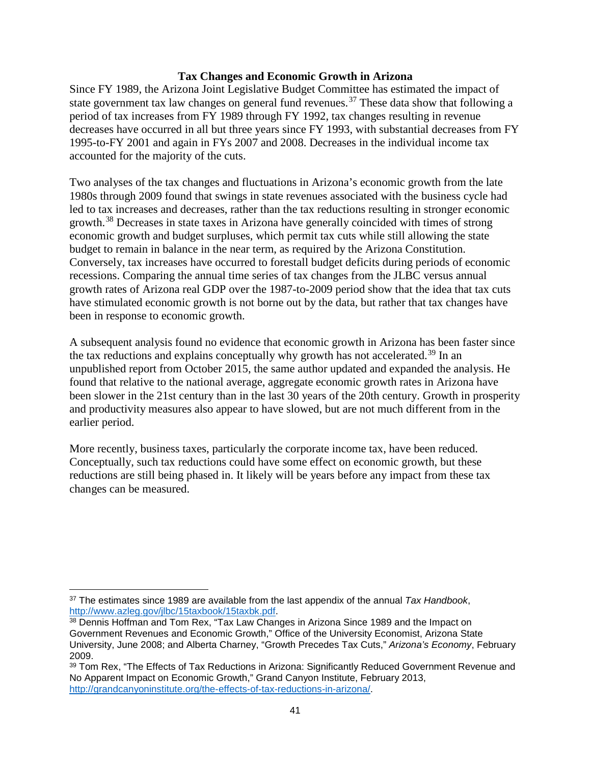### **Tax Changes and Economic Growth in Arizona**

Since FY 1989, the Arizona Joint Legislative Budget Committee has estimated the impact of state government tax law changes on general fund revenues.<sup>[37](#page-44-0)</sup> These data show that following a period of tax increases from FY 1989 through FY 1992, tax changes resulting in revenue decreases have occurred in all but three years since FY 1993, with substantial decreases from FY 1995-to-FY 2001 and again in FYs 2007 and 2008. Decreases in the individual income tax accounted for the majority of the cuts.

Two analyses of the tax changes and fluctuations in Arizona's economic growth from the late 1980s through 2009 found that swings in state revenues associated with the business cycle had led to tax increases and decreases, rather than the tax reductions resulting in stronger economic growth.[38](#page-44-1) Decreases in state taxes in Arizona have generally coincided with times of strong economic growth and budget surpluses, which permit tax cuts while still allowing the state budget to remain in balance in the near term, as required by the Arizona Constitution. Conversely, tax increases have occurred to forestall budget deficits during periods of economic recessions. Comparing the annual time series of tax changes from the JLBC versus annual growth rates of Arizona real GDP over the 1987-to-2009 period show that the idea that tax cuts have stimulated economic growth is not borne out by the data, but rather that tax changes have been in response to economic growth.

A subsequent analysis found no evidence that economic growth in Arizona has been faster since the tax reductions and explains conceptually why growth has not accelerated.<sup>[39](#page-44-2)</sup> In an unpublished report from October 2015, the same author updated and expanded the analysis. He found that relative to the national average, aggregate economic growth rates in Arizona have been slower in the 21st century than in the last 30 years of the 20th century. Growth in prosperity and productivity measures also appear to have slowed, but are not much different from in the earlier period.

More recently, business taxes, particularly the corporate income tax, have been reduced. Conceptually, such tax reductions could have some effect on economic growth, but these reductions are still being phased in. It likely will be years before any impact from these tax changes can be measured.

<span id="page-44-0"></span> $\overline{\phantom{a}}$ <sup>37</sup> The estimates since 1989 are available from the last appendix of the annual *Tax Handbook*, [http://www.azleg.gov/jlbc/15taxbook/15taxbk.pdf.](http://www.azleg.gov/jlbc/15taxbook/15taxbk.pdf)

<span id="page-44-1"></span><sup>38</sup> Dennis Hoffman and Tom Rex, "Tax Law Changes in Arizona Since 1989 and the Impact on Government Revenues and Economic Growth," Office of the University Economist, Arizona State University, June 2008; and Alberta Charney, "Growth Precedes Tax Cuts," *Arizona's Economy*, February 2009.

<span id="page-44-2"></span><sup>39</sup> Tom Rex, "The Effects of Tax Reductions in Arizona: Significantly Reduced Government Revenue and No Apparent Impact on Economic Growth," Grand Canyon Institute, February 2013, [http://grandcanyoninstitute.org/the-effects-of-tax-reductions-in-arizona/.](http://grandcanyoninstitute.org/the-effects-of-tax-reductions-in-arizona/)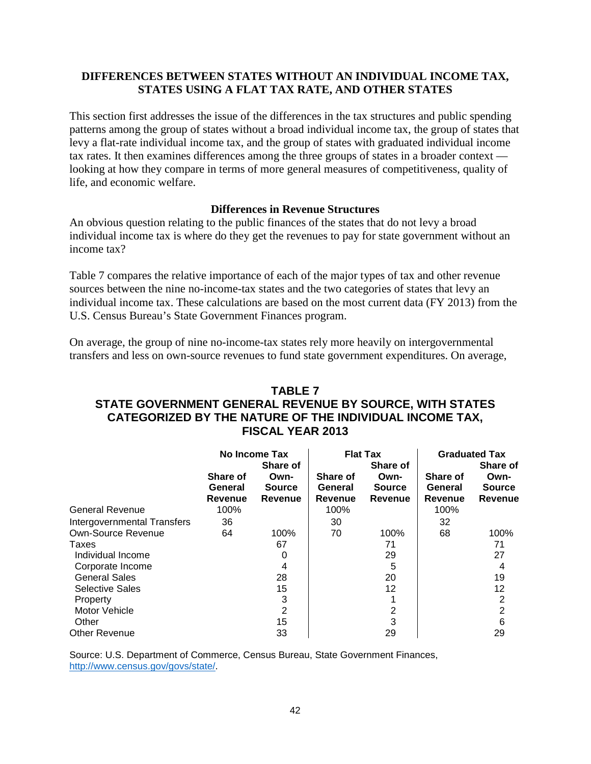# **DIFFERENCES BETWEEN STATES WITHOUT AN INDIVIDUAL INCOME TAX, STATES USING A FLAT TAX RATE, AND OTHER STATES**

This section first addresses the issue of the differences in the tax structures and public spending patterns among the group of states without a broad individual income tax, the group of states that levy a flat-rate individual income tax, and the group of states with graduated individual income tax rates. It then examines differences among the three groups of states in a broader context looking at how they compare in terms of more general measures of competitiveness, quality of life, and economic welfare.

#### **Differences in Revenue Structures**

An obvious question relating to the public finances of the states that do not levy a broad individual income tax is where do they get the revenues to pay for state government without an income tax?

Table 7 compares the relative importance of each of the major types of tax and other revenue sources between the nine no-income-tax states and the two categories of states that levy an individual income tax. These calculations are based on the most current data (FY 2013) from the U.S. Census Bureau's State Government Finances program.

On average, the group of nine no-income-tax states rely more heavily on intergovernmental transfers and less on own-source revenues to fund state government expenditures. On average,

# **TABLE 7 STATE GOVERNMENT GENERAL REVENUE BY SOURCE, WITH STATES CATEGORIZED BY THE NATURE OF THE INDIVIDUAL INCOME TAX, FISCAL YEAR 2013**

|                             | No Income Tax<br><b>Share of</b>             |                                  | <b>Flat Tax</b><br><b>Share of</b>    |                                  | <b>Graduated Tax</b><br><b>Share of</b>      |                                         |
|-----------------------------|----------------------------------------------|----------------------------------|---------------------------------------|----------------------------------|----------------------------------------------|-----------------------------------------|
|                             | <b>Share of</b><br>General<br><b>Revenue</b> | Own-<br><b>Source</b><br>Revenue | <b>Share of</b><br>General<br>Revenue | Own-<br><b>Source</b><br>Revenue | <b>Share of</b><br>General<br><b>Revenue</b> | Own-<br><b>Source</b><br><b>Revenue</b> |
| <b>General Revenue</b>      | 100%                                         |                                  | 100%                                  |                                  | 100%                                         |                                         |
| Intergovernmental Transfers | 36                                           |                                  | 30                                    |                                  | 32                                           |                                         |
| Own-Source Revenue          | 64                                           | 100%                             | 70                                    | 100%                             | 68                                           | 100%                                    |
| Taxes                       |                                              | 67                               |                                       | 71                               |                                              | 71                                      |
| Individual Income           |                                              | 0                                |                                       | 29                               |                                              | 27                                      |
| Corporate Income            |                                              | 4                                |                                       | 5                                |                                              |                                         |
| <b>General Sales</b>        |                                              | 28                               |                                       | 20                               |                                              | 19                                      |
| <b>Selective Sales</b>      |                                              | 15                               |                                       | 12                               |                                              | 12                                      |
| Property                    |                                              | 3                                |                                       |                                  |                                              | 2                                       |
| Motor Vehicle               |                                              | 2                                |                                       | 2                                |                                              | 2                                       |
| Other                       |                                              | 15                               |                                       | 3                                |                                              | 6                                       |
| <b>Other Revenue</b>        |                                              | 33                               |                                       | 29                               |                                              | 29                                      |

Source: U.S. Department of Commerce, Census Bureau, State Government Finances, [http://www.census.gov/govs/state/.](http://www.census.gov/govs/state/)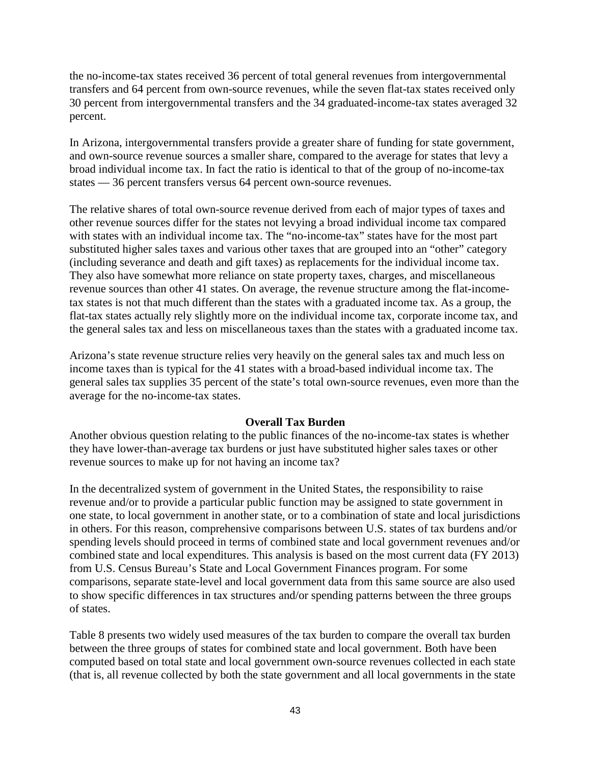the no-income-tax states received 36 percent of total general revenues from intergovernmental transfers and 64 percent from own-source revenues, while the seven flat-tax states received only 30 percent from intergovernmental transfers and the 34 graduated-income-tax states averaged 32 percent.

In Arizona, intergovernmental transfers provide a greater share of funding for state government, and own-source revenue sources a smaller share, compared to the average for states that levy a broad individual income tax. In fact the ratio is identical to that of the group of no-income-tax states — 36 percent transfers versus 64 percent own-source revenues.

The relative shares of total own-source revenue derived from each of major types of taxes and other revenue sources differ for the states not levying a broad individual income tax compared with states with an individual income tax. The "no-income-tax" states have for the most part substituted higher sales taxes and various other taxes that are grouped into an "other" category (including severance and death and gift taxes) as replacements for the individual income tax. They also have somewhat more reliance on state property taxes, charges, and miscellaneous revenue sources than other 41 states. On average, the revenue structure among the flat-incometax states is not that much different than the states with a graduated income tax. As a group, the flat-tax states actually rely slightly more on the individual income tax, corporate income tax, and the general sales tax and less on miscellaneous taxes than the states with a graduated income tax.

Arizona's state revenue structure relies very heavily on the general sales tax and much less on income taxes than is typical for the 41 states with a broad-based individual income tax. The general sales tax supplies 35 percent of the state's total own-source revenues, even more than the average for the no-income-tax states.

#### **Overall Tax Burden**

Another obvious question relating to the public finances of the no-income-tax states is whether they have lower-than-average tax burdens or just have substituted higher sales taxes or other revenue sources to make up for not having an income tax?

In the decentralized system of government in the United States, the responsibility to raise revenue and/or to provide a particular public function may be assigned to state government in one state, to local government in another state, or to a combination of state and local jurisdictions in others. For this reason, comprehensive comparisons between U.S. states of tax burdens and/or spending levels should proceed in terms of combined state and local government revenues and/or combined state and local expenditures. This analysis is based on the most current data (FY 2013) from U.S. Census Bureau's State and Local Government Finances program. For some comparisons, separate state-level and local government data from this same source are also used to show specific differences in tax structures and/or spending patterns between the three groups of states.

Table 8 presents two widely used measures of the tax burden to compare the overall tax burden between the three groups of states for combined state and local government. Both have been computed based on total state and local government own-source revenues collected in each state (that is, all revenue collected by both the state government and all local governments in the state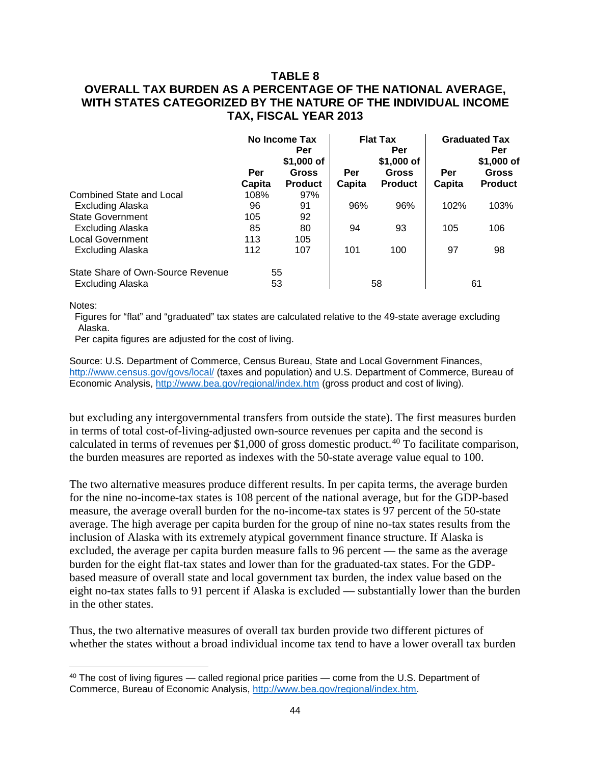# **TABLE 8 OVERALL TAX BURDEN AS A PERCENTAGE OF THE NATIONAL AVERAGE, WITH STATES CATEGORIZED BY THE NATURE OF THE INDIVIDUAL INCOME TAX, FISCAL YEAR 2013**

|                                                              | Per<br>Capita | No Income Tax<br>Per<br>\$1,000 of<br><b>Gross</b><br><b>Product</b> | Per<br>Capita | <b>Flat Tax</b><br>Per<br>\$1,000 of<br>Gross<br><b>Product</b> | Per<br>Capita | <b>Graduated Tax</b><br>Per<br>\$1,000 of<br><b>Gross</b><br><b>Product</b> |
|--------------------------------------------------------------|---------------|----------------------------------------------------------------------|---------------|-----------------------------------------------------------------|---------------|-----------------------------------------------------------------------------|
| <b>Combined State and Local</b>                              | 108%          | 97%                                                                  |               |                                                                 |               |                                                                             |
| Excluding Alaska                                             | 96            | 91                                                                   | 96%           | 96%                                                             | 102%          | 103%                                                                        |
| <b>State Government</b>                                      | 105           | 92                                                                   |               |                                                                 |               |                                                                             |
| <b>Excluding Alaska</b>                                      | 85            | 80                                                                   | 94            | 93                                                              | 105           | 106                                                                         |
| <b>Local Government</b>                                      | 113           | 105                                                                  |               |                                                                 |               |                                                                             |
| Excluding Alaska                                             | 112           | 107                                                                  | 101           | 100                                                             | 97            | 98                                                                          |
| State Share of Own-Source Revenue<br><b>Excluding Alaska</b> |               | 55<br>53                                                             |               | 58                                                              |               | 61                                                                          |

Notes:

l

Figures for "flat" and "graduated" tax states are calculated relative to the 49-state average excluding Alaska.

Per capita figures are adjusted for the cost of living.

Source: U.S. Department of Commerce, Census Bureau, State and Local Government Finances, <http://www.census.gov/govs/local/> (taxes and population) and U.S. Department of Commerce, Bureau of Economic Analysis,<http://www.bea.gov/regional/index.htm> (gross product and cost of living).

but excluding any intergovernmental transfers from outside the state). The first measures burden in terms of total cost-of-living-adjusted own-source revenues per capita and the second is calculated in terms of revenues per \$1,000 of gross domestic product. [40](#page-47-0) To facilitate comparison, the burden measures are reported as indexes with the 50-state average value equal to 100.

The two alternative measures produce different results. In per capita terms, the average burden for the nine no-income-tax states is 108 percent of the national average, but for the GDP-based measure, the average overall burden for the no-income-tax states is 97 percent of the 50-state average. The high average per capita burden for the group of nine no-tax states results from the inclusion of Alaska with its extremely atypical government finance structure. If Alaska is excluded, the average per capita burden measure falls to 96 percent — the same as the average burden for the eight flat-tax states and lower than for the graduated-tax states. For the GDPbased measure of overall state and local government tax burden, the index value based on the eight no-tax states falls to 91 percent if Alaska is excluded — substantially lower than the burden in the other states.

Thus, the two alternative measures of overall tax burden provide two different pictures of whether the states without a broad individual income tax tend to have a lower overall tax burden

<span id="page-47-0"></span><sup>&</sup>lt;sup>40</sup> The cost of living figures — called regional price parities — come from the U.S. Department of Commerce, Bureau of Economic Analysis, [http://www.bea.gov/regional/index.htm.](http://www.bea.gov/regional/index.htm)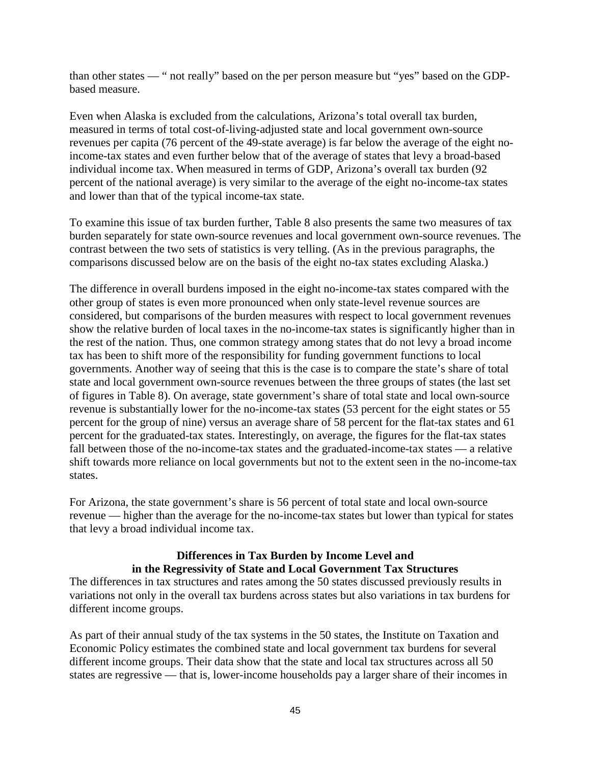than other states — " not really" based on the per person measure but "yes" based on the GDPbased measure.

Even when Alaska is excluded from the calculations, Arizona's total overall tax burden, measured in terms of total cost-of-living-adjusted state and local government own-source revenues per capita (76 percent of the 49-state average) is far below the average of the eight noincome-tax states and even further below that of the average of states that levy a broad-based individual income tax. When measured in terms of GDP, Arizona's overall tax burden (92 percent of the national average) is very similar to the average of the eight no-income-tax states and lower than that of the typical income-tax state.

To examine this issue of tax burden further, Table 8 also presents the same two measures of tax burden separately for state own-source revenues and local government own-source revenues. The contrast between the two sets of statistics is very telling. (As in the previous paragraphs, the comparisons discussed below are on the basis of the eight no-tax states excluding Alaska.)

The difference in overall burdens imposed in the eight no-income-tax states compared with the other group of states is even more pronounced when only state-level revenue sources are considered, but comparisons of the burden measures with respect to local government revenues show the relative burden of local taxes in the no-income-tax states is significantly higher than in the rest of the nation. Thus, one common strategy among states that do not levy a broad income tax has been to shift more of the responsibility for funding government functions to local governments. Another way of seeing that this is the case is to compare the state's share of total state and local government own-source revenues between the three groups of states (the last set of figures in Table 8). On average, state government's share of total state and local own-source revenue is substantially lower for the no-income-tax states (53 percent for the eight states or 55 percent for the group of nine) versus an average share of 58 percent for the flat-tax states and 61 percent for the graduated-tax states. Interestingly, on average, the figures for the flat-tax states fall between those of the no-income-tax states and the graduated-income-tax states — a relative shift towards more reliance on local governments but not to the extent seen in the no-income-tax states.

For Arizona, the state government's share is 56 percent of total state and local own-source revenue — higher than the average for the no-income-tax states but lower than typical for states that levy a broad individual income tax.

### **Differences in Tax Burden by Income Level and in the Regressivity of State and Local Government Tax Structures**

The differences in tax structures and rates among the 50 states discussed previously results in variations not only in the overall tax burdens across states but also variations in tax burdens for different income groups.

As part of their annual study of the tax systems in the 50 states, the Institute on Taxation and Economic Policy estimates the combined state and local government tax burdens for several different income groups. Their data show that the state and local tax structures across all 50 states are regressive — that is, lower-income households pay a larger share of their incomes in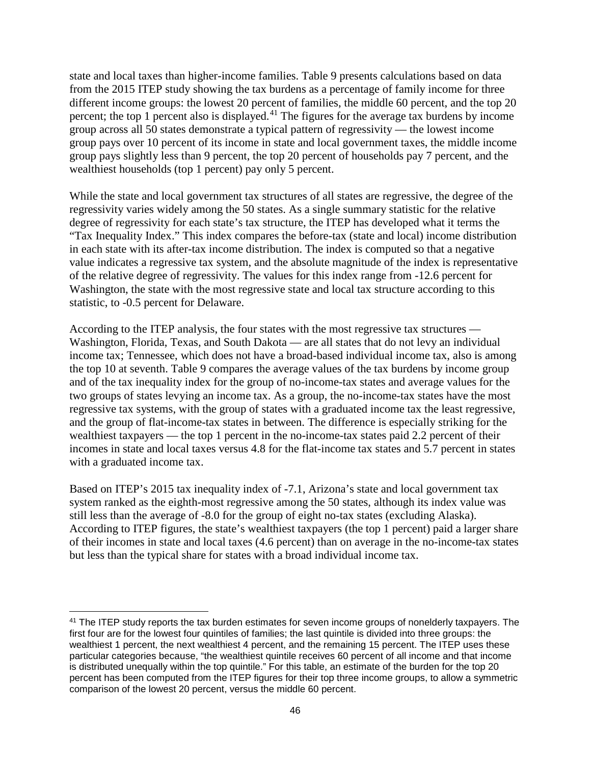state and local taxes than higher-income families. Table 9 presents calculations based on data from the 2015 ITEP study showing the tax burdens as a percentage of family income for three different income groups: the lowest 20 percent of families, the middle 60 percent, and the top 20 percent; the top 1 percent also is displayed.<sup>[41](#page-49-0)</sup> The figures for the average tax burdens by income group across all 50 states demonstrate a typical pattern of regressivity — the lowest income group pays over 10 percent of its income in state and local government taxes, the middle income group pays slightly less than 9 percent, the top 20 percent of households pay 7 percent, and the wealthiest households (top 1 percent) pay only 5 percent.

While the state and local government tax structures of all states are regressive, the degree of the regressivity varies widely among the 50 states. As a single summary statistic for the relative degree of regressivity for each state's tax structure, the ITEP has developed what it terms the "Tax Inequality Index." This index compares the before-tax (state and local) income distribution in each state with its after-tax income distribution. The index is computed so that a negative value indicates a regressive tax system, and the absolute magnitude of the index is representative of the relative degree of regressivity. The values for this index range from -12.6 percent for Washington, the state with the most regressive state and local tax structure according to this statistic, to -0.5 percent for Delaware.

According to the ITEP analysis, the four states with the most regressive tax structures — Washington, Florida, Texas, and South Dakota — are all states that do not levy an individual income tax; Tennessee, which does not have a broad-based individual income tax, also is among the top 10 at seventh. Table 9 compares the average values of the tax burdens by income group and of the tax inequality index for the group of no-income-tax states and average values for the two groups of states levying an income tax. As a group, the no-income-tax states have the most regressive tax systems, with the group of states with a graduated income tax the least regressive, and the group of flat-income-tax states in between. The difference is especially striking for the wealthiest taxpayers — the top 1 percent in the no-income-tax states paid 2.2 percent of their incomes in state and local taxes versus 4.8 for the flat-income tax states and 5.7 percent in states with a graduated income tax.

Based on ITEP's 2015 tax inequality index of -7.1, Arizona's state and local government tax system ranked as the eighth-most regressive among the 50 states, although its index value was still less than the average of -8.0 for the group of eight no-tax states (excluding Alaska). According to ITEP figures, the state's wealthiest taxpayers (the top 1 percent) paid a larger share of their incomes in state and local taxes (4.6 percent) than on average in the no-income-tax states but less than the typical share for states with a broad individual income tax.

l

<span id="page-49-0"></span><sup>&</sup>lt;sup>41</sup> The ITEP study reports the tax burden estimates for seven income groups of nonelderly taxpayers. The first four are for the lowest four quintiles of families; the last quintile is divided into three groups: the wealthiest 1 percent, the next wealthiest 4 percent, and the remaining 15 percent. The ITEP uses these particular categories because, "the wealthiest quintile receives 60 percent of all income and that income is distributed unequally within the top quintile." For this table, an estimate of the burden for the top 20 percent has been computed from the ITEP figures for their top three income groups, to allow a symmetric comparison of the lowest 20 percent, versus the middle 60 percent.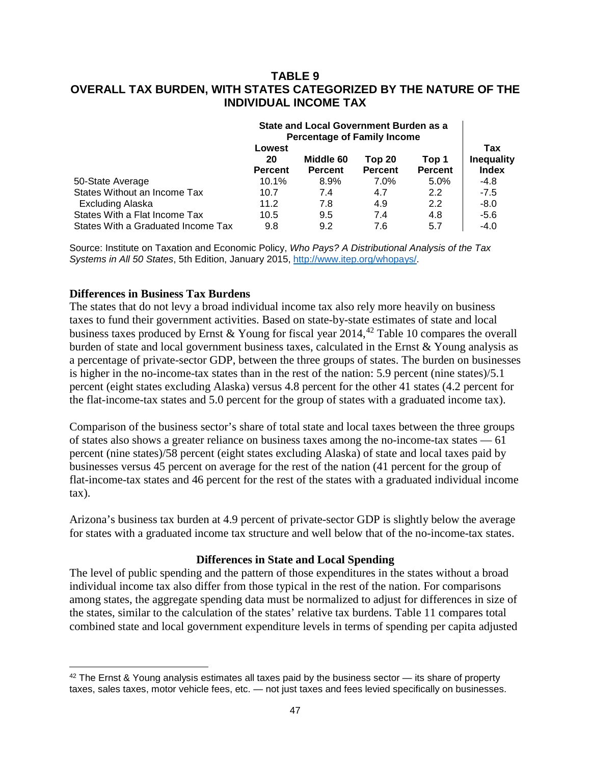### **TABLE 9 OVERALL TAX BURDEN, WITH STATES CATEGORIZED BY THE NATURE OF THE INDIVIDUAL INCOME TAX**

|                                    | State and Local Government Burden as a<br><b>Percentage of Family Income</b> |                             |                          |                         |                                          |
|------------------------------------|------------------------------------------------------------------------------|-----------------------------|--------------------------|-------------------------|------------------------------------------|
|                                    | Lowest<br>20<br><b>Percent</b>                                               | Middle 60<br><b>Percent</b> | Top 20<br><b>Percent</b> | Top 1<br><b>Percent</b> | Tax<br><b>Inequality</b><br><b>Index</b> |
| 50-State Average                   | 10.1%                                                                        | 8.9%                        | $7.0\%$                  | $5.0\%$                 | $-4.8$                                   |
| States Without an Income Tax       | 10.7                                                                         | 7.4                         | 4.7                      | $2.2^{\circ}$           | $-7.5$                                   |
| Excluding Alaska                   | 11.2                                                                         | 7.8                         | 4.9                      | 2.2                     | $-8.0$                                   |
| States With a Flat Income Tax      | 10.5                                                                         | 9.5                         | 7.4                      | 4.8                     | $-5.6$                                   |
| States With a Graduated Income Tax | 9.8                                                                          | 9.2                         | 7.6                      | 5.7                     | $-4.0$                                   |

Source: Institute on Taxation and Economic Policy, *Who Pays? A Distributional Analysis of the Tax Systems in All 50 States*, 5th Edition, January 2015, [http://www.itep.org/whopays/.](http://www.itep.org/whopays/)

### **Differences in Business Tax Burdens**

l

The states that do not levy a broad individual income tax also rely more heavily on business taxes to fund their government activities. Based on state-by-state estimates of state and local business taxes produced by Ernst & Young for fiscal year 2014, [42](#page-50-0) Table 10 compares the overall burden of state and local government business taxes, calculated in the Ernst & Young analysis as a percentage of private-sector GDP, between the three groups of states. The burden on businesses is higher in the no-income-tax states than in the rest of the nation: 5.9 percent (nine states)/5.1 percent (eight states excluding Alaska) versus 4.8 percent for the other 41 states (4.2 percent for the flat-income-tax states and 5.0 percent for the group of states with a graduated income tax).

Comparison of the business sector's share of total state and local taxes between the three groups of states also shows a greater reliance on business taxes among the no-income-tax states — 61 percent (nine states)/58 percent (eight states excluding Alaska) of state and local taxes paid by businesses versus 45 percent on average for the rest of the nation (41 percent for the group of flat-income-tax states and 46 percent for the rest of the states with a graduated individual income tax).

Arizona's business tax burden at 4.9 percent of private-sector GDP is slightly below the average for states with a graduated income tax structure and well below that of the no-income-tax states.

### **Differences in State and Local Spending**

The level of public spending and the pattern of those expenditures in the states without a broad individual income tax also differ from those typical in the rest of the nation. For comparisons among states, the aggregate spending data must be normalized to adjust for differences in size of the states, similar to the calculation of the states' relative tax burdens. Table 11 compares total combined state and local government expenditure levels in terms of spending per capita adjusted

<span id="page-50-0"></span> $42$  The Ernst & Young analysis estimates all taxes paid by the business sector  $-$  its share of property taxes, sales taxes, motor vehicle fees, etc. — not just taxes and fees levied specifically on businesses.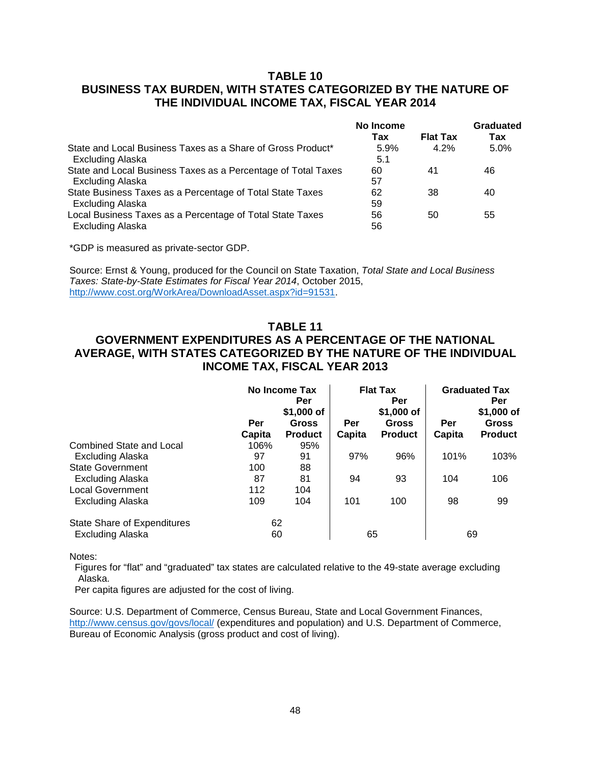# **TABLE 10 BUSINESS TAX BURDEN, WITH STATES CATEGORIZED BY THE NATURE OF THE INDIVIDUAL INCOME TAX, FISCAL YEAR 2014**

|                                                               | No Income |                 | Graduated |
|---------------------------------------------------------------|-----------|-----------------|-----------|
|                                                               | Tax       | <b>Flat Tax</b> | Tax       |
| State and Local Business Taxes as a Share of Gross Product*   | 5.9%      | 4.2%            | 5.0%      |
| Excluding Alaska                                              | 5.1       |                 |           |
| State and Local Business Taxes as a Percentage of Total Taxes | 60        | 41              | 46        |
| <b>Excluding Alaska</b>                                       | 57        |                 |           |
| State Business Taxes as a Percentage of Total State Taxes     | 62        | 38              | 40        |
| <b>Excluding Alaska</b>                                       | 59        |                 |           |
| Local Business Taxes as a Percentage of Total State Taxes     | 56        | 50              | 55        |
| Excluding Alaska                                              | 56        |                 |           |

\*GDP is measured as private-sector GDP.

Source: Ernst & Young, produced for the Council on State Taxation, *Total State and Local Business Taxes: State-by-State Estimates for Fiscal Year 2014*, October 2015, [http://www.cost.org/WorkArea/DownloadAsset.aspx?id=91531.](http://www.cost.org/WorkArea/DownloadAsset.aspx?id=91531)

#### **TABLE 11**

# **GOVERNMENT EXPENDITURES AS A PERCENTAGE OF THE NATIONAL AVERAGE, WITH STATES CATEGORIZED BY THE NATURE OF THE INDIVIDUAL INCOME TAX, FISCAL YEAR 2013**

|                                    |               | No Income Tax<br>Per<br>\$1,000 of |               | <b>Flat Tax</b><br>Per<br>\$1,000 of |               | <b>Graduated Tax</b><br>Per<br>\$1,000 of |  |
|------------------------------------|---------------|------------------------------------|---------------|--------------------------------------|---------------|-------------------------------------------|--|
|                                    | Per<br>Capita | <b>Gross</b><br><b>Product</b>     | Per<br>Capita | Gross<br><b>Product</b>              | Per<br>Capita | <b>Gross</b><br><b>Product</b>            |  |
| <b>Combined State and Local</b>    | 106%          | 95%                                |               |                                      |               |                                           |  |
| <b>Excluding Alaska</b>            | 97            | 91                                 | 97%           | 96%                                  | 101%          | 103%                                      |  |
| <b>State Government</b>            | 100           | 88                                 |               |                                      |               |                                           |  |
| Excluding Alaska                   | 87            | 81                                 | 94            | 93                                   | 104           | 106                                       |  |
| <b>Local Government</b>            | 112           | 104                                |               |                                      |               |                                           |  |
| <b>Excluding Alaska</b>            | 109           | 104                                | 101           | 100                                  | 98            | 99                                        |  |
| <b>State Share of Expenditures</b> | 62            |                                    |               |                                      |               |                                           |  |
| <b>Excluding Alaska</b>            | 60            |                                    | 65            |                                      |               | 69                                        |  |

Notes:

 Figures for "flat" and "graduated" tax states are calculated relative to the 49-state average excluding Alaska.

Per capita figures are adjusted for the cost of living.

Source: U.S. Department of Commerce, Census Bureau, State and Local Government Finances, <http://www.census.gov/govs/local/> (expenditures and population) and U.S. Department of Commerce, Bureau of Economic Analysis (gross product and cost of living).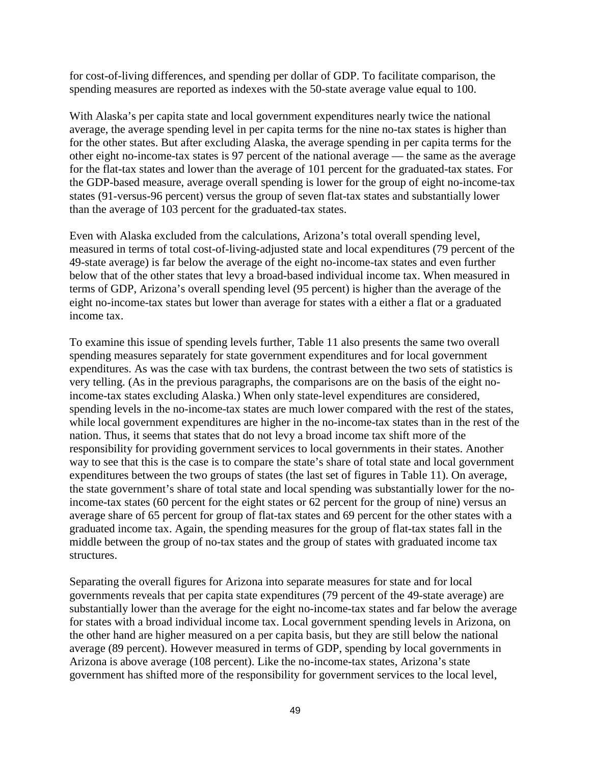for cost-of-living differences, and spending per dollar of GDP. To facilitate comparison, the spending measures are reported as indexes with the 50-state average value equal to 100.

With Alaska's per capita state and local government expenditures nearly twice the national average, the average spending level in per capita terms for the nine no-tax states is higher than for the other states. But after excluding Alaska, the average spending in per capita terms for the other eight no-income-tax states is 97 percent of the national average — the same as the average for the flat-tax states and lower than the average of 101 percent for the graduated-tax states. For the GDP-based measure, average overall spending is lower for the group of eight no-income-tax states (91-versus-96 percent) versus the group of seven flat-tax states and substantially lower than the average of 103 percent for the graduated-tax states.

Even with Alaska excluded from the calculations, Arizona's total overall spending level, measured in terms of total cost-of-living-adjusted state and local expenditures (79 percent of the 49-state average) is far below the average of the eight no-income-tax states and even further below that of the other states that levy a broad-based individual income tax. When measured in terms of GDP, Arizona's overall spending level (95 percent) is higher than the average of the eight no-income-tax states but lower than average for states with a either a flat or a graduated income tax.

To examine this issue of spending levels further, Table 11 also presents the same two overall spending measures separately for state government expenditures and for local government expenditures. As was the case with tax burdens, the contrast between the two sets of statistics is very telling. (As in the previous paragraphs, the comparisons are on the basis of the eight noincome-tax states excluding Alaska.) When only state-level expenditures are considered, spending levels in the no-income-tax states are much lower compared with the rest of the states, while local government expenditures are higher in the no-income-tax states than in the rest of the nation. Thus, it seems that states that do not levy a broad income tax shift more of the responsibility for providing government services to local governments in their states. Another way to see that this is the case is to compare the state's share of total state and local government expenditures between the two groups of states (the last set of figures in Table 11). On average, the state government's share of total state and local spending was substantially lower for the noincome-tax states (60 percent for the eight states or 62 percent for the group of nine) versus an average share of 65 percent for group of flat-tax states and 69 percent for the other states with a graduated income tax. Again, the spending measures for the group of flat-tax states fall in the middle between the group of no-tax states and the group of states with graduated income tax structures.

Separating the overall figures for Arizona into separate measures for state and for local governments reveals that per capita state expenditures (79 percent of the 49-state average) are substantially lower than the average for the eight no-income-tax states and far below the average for states with a broad individual income tax. Local government spending levels in Arizona, on the other hand are higher measured on a per capita basis, but they are still below the national average (89 percent). However measured in terms of GDP, spending by local governments in Arizona is above average (108 percent). Like the no-income-tax states, Arizona's state government has shifted more of the responsibility for government services to the local level,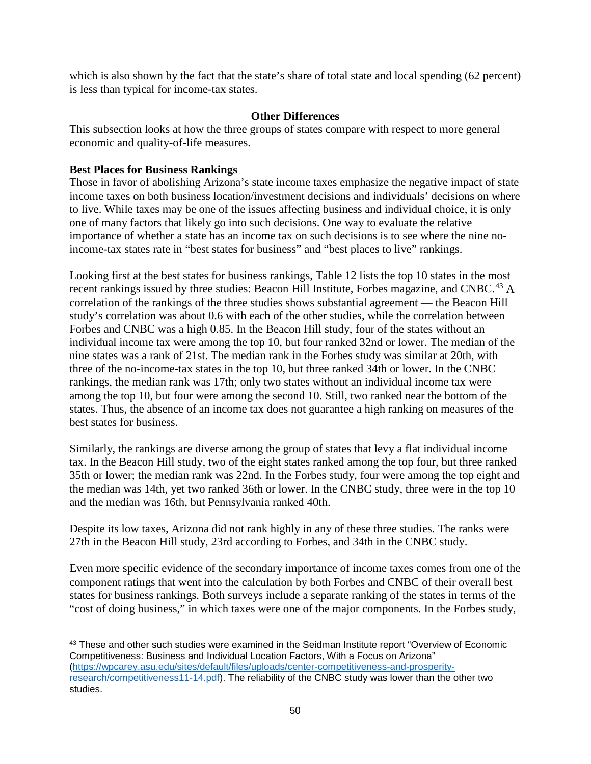which is also shown by the fact that the state's share of total state and local spending (62 percent) is less than typical for income-tax states.

### **Other Differences**

This subsection looks at how the three groups of states compare with respect to more general economic and quality-of-life measures.

### **Best Places for Business Rankings**

 $\overline{\phantom{a}}$ 

Those in favor of abolishing Arizona's state income taxes emphasize the negative impact of state income taxes on both business location/investment decisions and individuals' decisions on where to live. While taxes may be one of the issues affecting business and individual choice, it is only one of many factors that likely go into such decisions. One way to evaluate the relative importance of whether a state has an income tax on such decisions is to see where the nine noincome-tax states rate in "best states for business" and "best places to live" rankings.

Looking first at the best states for business rankings, Table 12 lists the top 10 states in the most recent rankings issued by three studies: Beacon Hill Institute, Forbes magazine, and CNBC.<sup>[43](#page-53-0)</sup> A correlation of the rankings of the three studies shows substantial agreement — the Beacon Hill study's correlation was about 0.6 with each of the other studies, while the correlation between Forbes and CNBC was a high 0.85. In the Beacon Hill study, four of the states without an individual income tax were among the top 10, but four ranked 32nd or lower. The median of the nine states was a rank of 21st. The median rank in the Forbes study was similar at 20th, with three of the no-income-tax states in the top 10, but three ranked 34th or lower. In the CNBC rankings, the median rank was 17th; only two states without an individual income tax were among the top 10, but four were among the second 10. Still, two ranked near the bottom of the states. Thus, the absence of an income tax does not guarantee a high ranking on measures of the best states for business.

Similarly, the rankings are diverse among the group of states that levy a flat individual income tax. In the Beacon Hill study, two of the eight states ranked among the top four, but three ranked 35th or lower; the median rank was 22nd. In the Forbes study, four were among the top eight and the median was 14th, yet two ranked 36th or lower. In the CNBC study, three were in the top 10 and the median was 16th, but Pennsylvania ranked 40th.

Despite its low taxes, Arizona did not rank highly in any of these three studies. The ranks were 27th in the Beacon Hill study, 23rd according to Forbes, and 34th in the CNBC study.

Even more specific evidence of the secondary importance of income taxes comes from one of the component ratings that went into the calculation by both Forbes and CNBC of their overall best states for business rankings. Both surveys include a separate ranking of the states in terms of the "cost of doing business," in which taxes were one of the major components. In the Forbes study,

<span id="page-53-0"></span><sup>&</sup>lt;sup>43</sup> These and other such studies were examined in the Seidman Institute report "Overview of Economic Competitiveness: Business and Individual Location Factors, With a Focus on Arizona" [\(https://wpcarey.asu.edu/sites/default/files/uploads/center-competitiveness-and-prosperity](https://wpcarey.asu.edu/sites/default/files/uploads/center-competitiveness-and-prosperity-research/competitiveness11-14.pdf)[research/competitiveness11-14.pdf\)](https://wpcarey.asu.edu/sites/default/files/uploads/center-competitiveness-and-prosperity-research/competitiveness11-14.pdf). The reliability of the CNBC study was lower than the other two studies.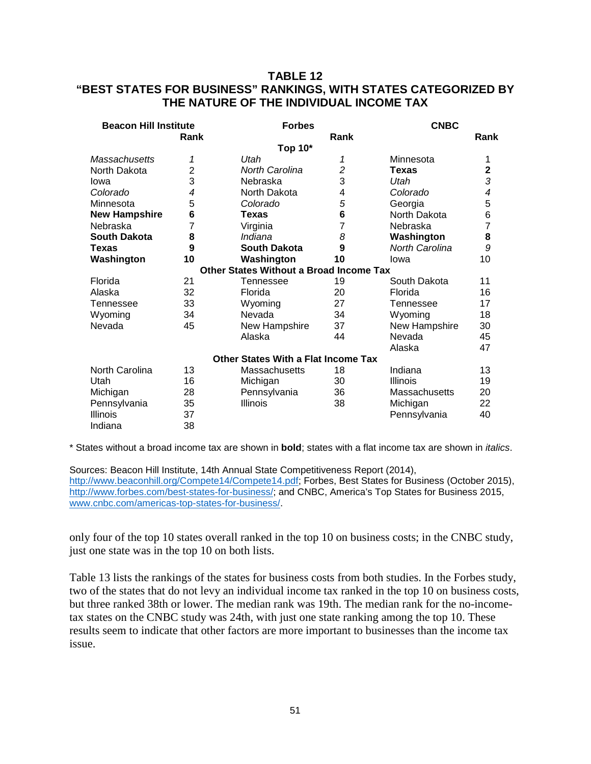## **TABLE 12 "BEST STATES FOR BUSINESS" RANKINGS, WITH STATES CATEGORIZED BY THE NATURE OF THE INDIVIDUAL INCOME TAX**

| <b>Beacon Hill Institute</b> |      | <b>Forbes</b>                                  |                | <b>CNBC</b>     |                |  |
|------------------------------|------|------------------------------------------------|----------------|-----------------|----------------|--|
|                              | Rank |                                                | Rank           |                 | Rank           |  |
|                              |      | Top 10*                                        |                |                 |                |  |
| <b>Massachusetts</b>         | 1    | Utah                                           | 1              | Minnesota       | 1              |  |
| North Dakota                 | 2    | <b>North Carolina</b>                          | $\overline{c}$ | <b>Texas</b>    | $\mathbf 2$    |  |
| lowa                         | 3    | Nebraska                                       | 3              | Utah            | 3              |  |
| Colorado                     | 4    | North Dakota                                   | 4              | Colorado        | 4              |  |
| Minnesota                    | 5    | Colorado                                       | 5              | Georgia         | 5              |  |
| <b>New Hampshire</b>         | 6    | Texas                                          | 6              | North Dakota    | 6              |  |
| Nebraska                     | 7    | Virginia                                       | 7              | Nebraska        | $\overline{7}$ |  |
| <b>South Dakota</b>          | 8    | Indiana                                        | 8              | Washington      | 8              |  |
| <b>Texas</b>                 | 9    | <b>South Dakota</b>                            | 9              | North Carolina  | 9              |  |
| Washington                   | 10   | Washington                                     | 10             | lowa            | 10             |  |
|                              |      | <b>Other States Without a Broad Income Tax</b> |                |                 |                |  |
| Florida                      | 21   | Tennessee                                      | 19             | South Dakota    | 11             |  |
| Alaska                       | 32   | Florida                                        | 20             | Florida         | 16             |  |
| Tennessee                    | 33   | Wyoming                                        | 27             | Tennessee       | 17             |  |
| Wyoming                      | 34   | Nevada                                         | 34             | Wyoming         | 18             |  |
| Nevada                       | 45   | New Hampshire                                  | 37             | New Hampshire   | 30             |  |
|                              |      | Alaska                                         | 44             | Nevada          | 45             |  |
|                              |      |                                                |                | Alaska          | 47             |  |
|                              |      | Other States With a Flat Income Tax            |                |                 |                |  |
| North Carolina               | 13   | Massachusetts                                  | 18             | Indiana         | 13             |  |
| Utah                         | 16   | Michigan                                       | 30             | <b>Illinois</b> | 19             |  |
| Michigan                     | 28   | Pennsylvania                                   | 36             | Massachusetts   | 20             |  |
| Pennsylvania                 | 35   | <b>Illinois</b>                                | 38             | Michigan        | 22             |  |
| <b>Illinois</b>              | 37   |                                                |                | Pennsylvania    | 40             |  |
| Indiana                      | 38   |                                                |                |                 |                |  |

\* States without a broad income tax are shown in **bold**; states with a flat income tax are shown in *italics*.

Sources: Beacon Hill Institute, 14th Annual State Competitiveness Report (2014), [http://www.beaconhill.org/Compete14/Compete14.pdf;](http://www.beaconhill.org/Compete14/Compete14.pdf) Forbes, Best States for Business (October 2015), [http://www.forbes.com/best-states-for-business/;](http://www.forbes.com/best-states-for-business/) and CNBC, America's Top States for Business 2015, [www.cnbc.com/americas-top-states-for-business/.](http://www.cnbc.com/americas-top-states-for-business/)

only four of the top 10 states overall ranked in the top 10 on business costs; in the CNBC study, just one state was in the top 10 on both lists.

Table 13 lists the rankings of the states for business costs from both studies. In the Forbes study, two of the states that do not levy an individual income tax ranked in the top 10 on business costs, but three ranked 38th or lower. The median rank was 19th. The median rank for the no-incometax states on the CNBC study was 24th, with just one state ranking among the top 10. These results seem to indicate that other factors are more important to businesses than the income tax issue.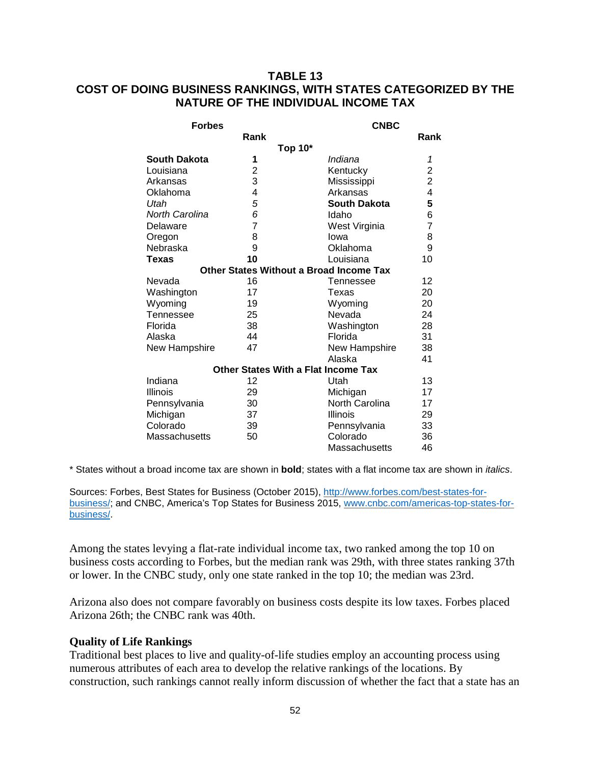# **TABLE 13 COST OF DOING BUSINESS RANKINGS, WITH STATES CATEGORIZED BY THE NATURE OF THE INDIVIDUAL INCOME TAX**

| <b>Forbes</b>         |                | <b>CNBC</b>                                    |                         |  |
|-----------------------|----------------|------------------------------------------------|-------------------------|--|
|                       | Rank           |                                                | Rank                    |  |
|                       |                | Top 10*                                        |                         |  |
| <b>South Dakota</b>   | 1              | Indiana                                        | 1                       |  |
| Louisiana             | $\overline{c}$ | Kentucky                                       | $\overline{\mathbf{c}}$ |  |
| Arkansas              | 3              | Mississippi                                    | $\overline{\mathbf{c}}$ |  |
| Oklahoma              | 4              | Arkansas                                       | 4                       |  |
| Utah                  | 5              | <b>South Dakota</b>                            | 5                       |  |
| <b>North Carolina</b> | 6              | Idaho                                          | 6                       |  |
| Delaware              | 7              | West Virginia                                  | $\overline{7}$          |  |
| Oregon                | 8              | lowa                                           | 8                       |  |
| Nebraska              | 9              | Oklahoma                                       | 9                       |  |
| Texas                 | 10             | Louisiana                                      | 10                      |  |
|                       |                | <b>Other States Without a Broad Income Tax</b> |                         |  |
| Nevada                | 16             | Tennessee                                      | 12                      |  |
| Washington            | 17             | Texas                                          | 20                      |  |
| Wyoming               | 19             | Wyoming                                        | 20                      |  |
| Tennessee             | 25             | Nevada                                         | 24                      |  |
| Florida               | 38             | Washington                                     | 28                      |  |
| Alaska                | 44             | Florida                                        | 31                      |  |
| New Hampshire         | 47             | New Hampshire                                  | 38                      |  |
|                       |                | Alaska                                         | 41                      |  |
|                       |                | <b>Other States With a Flat Income Tax</b>     |                         |  |
| Indiana               | 12             | Utah                                           | 13                      |  |
| <b>Illinois</b>       | 29             | Michigan                                       | 17                      |  |
| Pennsylvania          | 30             | North Carolina                                 | 17                      |  |
| Michigan              | 37             | Illinois                                       | 29                      |  |
| Colorado              | 39             | Pennsylvania                                   | 33                      |  |
| <b>Massachusetts</b>  | 50             | Colorado                                       | 36                      |  |
|                       |                | Massachusetts                                  | 46                      |  |

\* States without a broad income tax are shown in **bold**; states with a flat income tax are shown in *italics*.

Sources: Forbes, Best States for Business (October 2015), [http://www.forbes.com/best-states-for](http://www.forbes.com/best-states-for-business/)[business/;](http://www.forbes.com/best-states-for-business/) and CNBC, America's Top States for Business 2015, [www.cnbc.com/americas-top-states-for](http://www.cnbc.com/americas-top-states-for-business/)[business/.](http://www.cnbc.com/americas-top-states-for-business/)

Among the states levying a flat-rate individual income tax, two ranked among the top 10 on business costs according to Forbes, but the median rank was 29th, with three states ranking 37th or lower. In the CNBC study, only one state ranked in the top 10; the median was 23rd.

Arizona also does not compare favorably on business costs despite its low taxes. Forbes placed Arizona 26th; the CNBC rank was 40th.

### **Quality of Life Rankings**

Traditional best places to live and quality-of-life studies employ an accounting process using numerous attributes of each area to develop the relative rankings of the locations. By construction, such rankings cannot really inform discussion of whether the fact that a state has an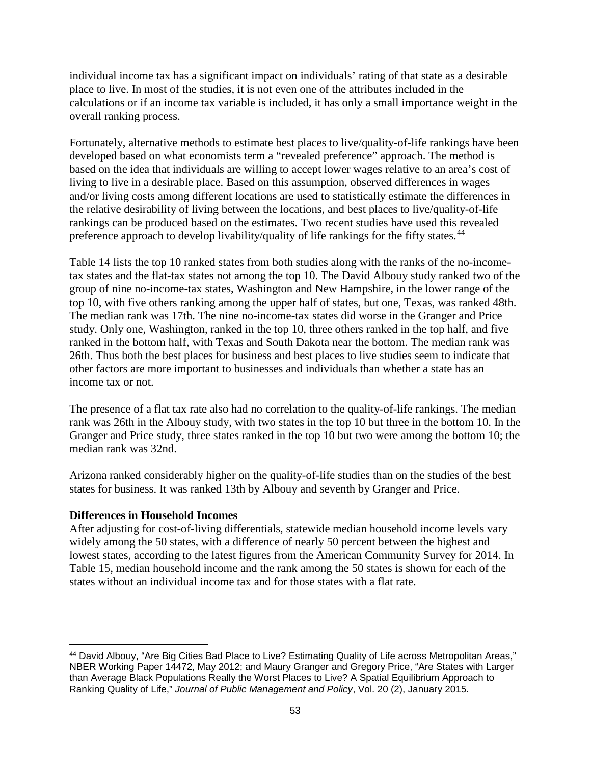individual income tax has a significant impact on individuals' rating of that state as a desirable place to live. In most of the studies, it is not even one of the attributes included in the calculations or if an income tax variable is included, it has only a small importance weight in the overall ranking process.

Fortunately, alternative methods to estimate best places to live/quality-of-life rankings have been developed based on what economists term a "revealed preference" approach. The method is based on the idea that individuals are willing to accept lower wages relative to an area's cost of living to live in a desirable place. Based on this assumption, observed differences in wages and/or living costs among different locations are used to statistically estimate the differences in the relative desirability of living between the locations, and best places to live/quality-of-life rankings can be produced based on the estimates. Two recent studies have used this revealed preference approach to develop livability/quality of life rankings for the fifty states.<sup>[44](#page-56-0)</sup>

Table 14 lists the top 10 ranked states from both studies along with the ranks of the no-incometax states and the flat-tax states not among the top 10. The David Albouy study ranked two of the group of nine no-income-tax states, Washington and New Hampshire, in the lower range of the top 10, with five others ranking among the upper half of states, but one, Texas, was ranked 48th. The median rank was 17th. The nine no-income-tax states did worse in the Granger and Price study. Only one, Washington, ranked in the top 10, three others ranked in the top half, and five ranked in the bottom half, with Texas and South Dakota near the bottom. The median rank was 26th. Thus both the best places for business and best places to live studies seem to indicate that other factors are more important to businesses and individuals than whether a state has an income tax or not.

The presence of a flat tax rate also had no correlation to the quality-of-life rankings. The median rank was 26th in the Albouy study, with two states in the top 10 but three in the bottom 10. In the Granger and Price study, three states ranked in the top 10 but two were among the bottom 10; the median rank was 32nd.

Arizona ranked considerably higher on the quality-of-life studies than on the studies of the best states for business. It was ranked 13th by Albouy and seventh by Granger and Price.

### **Differences in Household Incomes**

l

After adjusting for cost-of-living differentials, statewide median household income levels vary widely among the 50 states, with a difference of nearly 50 percent between the highest and lowest states, according to the latest figures from the American Community Survey for 2014. In Table 15, median household income and the rank among the 50 states is shown for each of the states without an individual income tax and for those states with a flat rate.

<span id="page-56-0"></span><sup>44</sup> David Albouy, "Are Big Cities Bad Place to Live? Estimating Quality of Life across Metropolitan Areas," NBER Working Paper 14472, May 2012; and Maury Granger and Gregory Price, "Are States with Larger than Average Black Populations Really the Worst Places to Live? A Spatial Equilibrium Approach to Ranking Quality of Life," *Journal of Public Management and Policy*, Vol. 20 (2), January 2015.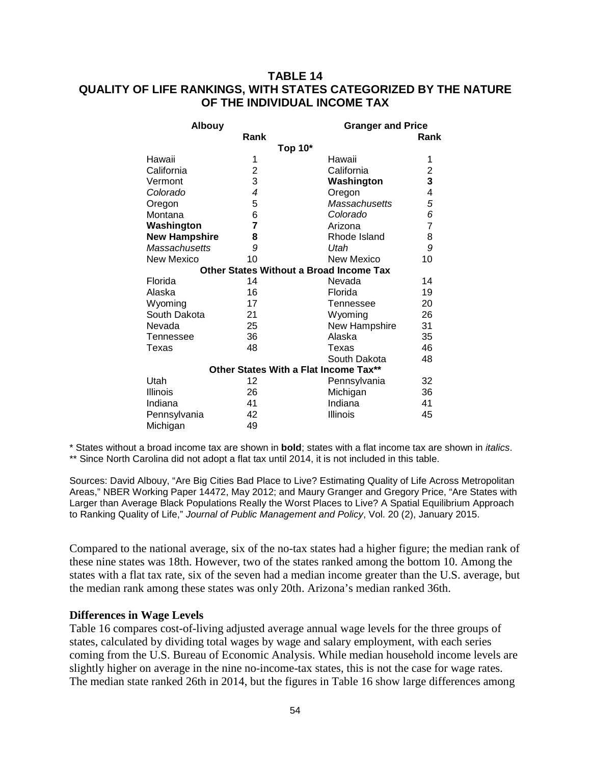# **TABLE 14 QUALITY OF LIFE RANKINGS, WITH STATES CATEGORIZED BY THE NATURE OF THE INDIVIDUAL INCOME TAX**

| <b>Albouy</b>        |              | <b>Granger and Price</b>                       |                |
|----------------------|--------------|------------------------------------------------|----------------|
|                      | Rank         |                                                | Rank           |
|                      |              | Top 10*                                        |                |
| Hawaii               | 1            | Hawaii                                         | 1              |
| California           | $\mathbf{2}$ | California                                     |                |
| Vermont              | 3            | Washington                                     | $\frac{2}{3}$  |
| Colorado             | 4            | Oregon                                         | 4              |
| Oregon               | 5            | Massachusetts                                  | 5              |
| Montana              | 6            | Colorado                                       | 6              |
| Washington           | 7            | Arizona                                        | $\overline{7}$ |
| <b>New Hampshire</b> | 8            | Rhode Island                                   | 8              |
| <b>Massachusetts</b> | 9            | Utah                                           | 9              |
| New Mexico           | 10           | New Mexico                                     | 10             |
|                      |              | <b>Other States Without a Broad Income Tax</b> |                |
| Florida              | 14           | Nevada                                         | 14             |
| Alaska               | 16           | Florida                                        | 19             |
| Wyoming              | 17           | Tennessee                                      | 20             |
| South Dakota         | 21           | Wyoming                                        | 26             |
| Nevada               | 25           | New Hampshire                                  | 31             |
| Tennessee            | 36           | Alaska                                         | 35             |
| Texas                | 48           | Texas                                          | 46             |
|                      |              | South Dakota                                   | 48             |
|                      |              | Other States With a Flat Income Tax**          |                |
| Utah                 | 12           | Pennsylvania                                   | 32             |
| Illinois             | 26           | Michigan                                       | 36             |
| Indiana              | 41           | Indiana                                        | 41             |
| Pennsylvania         | 42           | Illinois                                       | 45             |
| Michigan             | 49           |                                                |                |

\* States without a broad income tax are shown in **bold**; states with a flat income tax are shown in *italics*. \*\* Since North Carolina did not adopt a flat tax until 2014, it is not included in this table.

Sources: David Albouy, "Are Big Cities Bad Place to Live? Estimating Quality of Life Across Metropolitan Areas," NBER Working Paper 14472, May 2012; and Maury Granger and Gregory Price, "Are States with Larger than Average Black Populations Really the Worst Places to Live? A Spatial Equilibrium Approach to Ranking Quality of Life," *Journal of Public Management and Policy*, Vol. 20 (2), January 2015.

Compared to the national average, six of the no-tax states had a higher figure; the median rank of these nine states was 18th. However, two of the states ranked among the bottom 10. Among the states with a flat tax rate, six of the seven had a median income greater than the U.S. average, but the median rank among these states was only 20th. Arizona's median ranked 36th.

### **Differences in Wage Levels**

Table 16 compares cost-of-living adjusted average annual wage levels for the three groups of states, calculated by dividing total wages by wage and salary employment, with each series coming from the U.S. Bureau of Economic Analysis. While median household income levels are slightly higher on average in the nine no-income-tax states, this is not the case for wage rates. The median state ranked 26th in 2014, but the figures in Table 16 show large differences among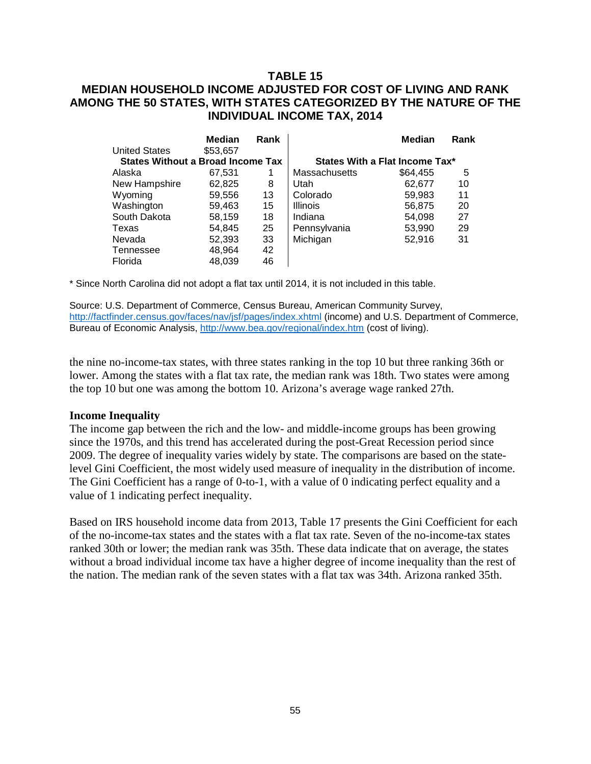# **TABLE 15 MEDIAN HOUSEHOLD INCOME ADJUSTED FOR COST OF LIVING AND RANK AMONG THE 50 STATES, WITH STATES CATEGORIZED BY THE NATURE OF THE INDIVIDUAL INCOME TAX, 2014**

|                                          | Median   | Rank |                                | <b>Median</b> | Rank |  |
|------------------------------------------|----------|------|--------------------------------|---------------|------|--|
| <b>United States</b>                     | \$53,657 |      |                                |               |      |  |
| <b>States Without a Broad Income Tax</b> |          |      | States With a Flat Income Tax* |               |      |  |
| Alaska                                   | 67,531   | 1    | <b>Massachusetts</b>           | \$64,455      | 5    |  |
| New Hampshire                            | 62,825   | 8    | Utah                           | 62.677        | 10   |  |
| Wyoming                                  | 59,556   | 13   | Colorado                       | 59,983        | 11   |  |
| Washington                               | 59,463   | 15   | <b>Illinois</b>                | 56,875        | 20   |  |
| South Dakota                             | 58,159   | 18   | Indiana                        | 54,098        | 27   |  |
| Texas                                    | 54.845   | 25   | Pennsylvania                   | 53,990        | 29   |  |
| Nevada                                   | 52,393   | 33   | Michigan                       | 52,916        | 31   |  |
| Tennessee                                | 48,964   | 42   |                                |               |      |  |
| Florida                                  | 48.039   | 46   |                                |               |      |  |

\* Since North Carolina did not adopt a flat tax until 2014, it is not included in this table.

Source: U.S. Department of Commerce, Census Bureau, American Community Survey, <http://factfinder.census.gov/faces/nav/jsf/pages/index.xhtml> (income) and U.S. Department of Commerce, Bureau of Economic Analysis,<http://www.bea.gov/regional/index.htm> (cost of living).

the nine no-income-tax states, with three states ranking in the top 10 but three ranking 36th or lower. Among the states with a flat tax rate, the median rank was 18th. Two states were among the top 10 but one was among the bottom 10. Arizona's average wage ranked 27th.

#### **Income Inequality**

The income gap between the rich and the low- and middle-income groups has been growing since the 1970s, and this trend has accelerated during the post-Great Recession period since 2009. The degree of inequality varies widely by state. The comparisons are based on the statelevel Gini Coefficient, the most widely used measure of inequality in the distribution of income. The Gini Coefficient has a range of 0-to-1, with a value of 0 indicating perfect equality and a value of 1 indicating perfect inequality.

Based on IRS household income data from 2013, Table 17 presents the Gini Coefficient for each of the no-income-tax states and the states with a flat tax rate. Seven of the no-income-tax states ranked 30th or lower; the median rank was 35th. These data indicate that on average, the states without a broad individual income tax have a higher degree of income inequality than the rest of the nation. The median rank of the seven states with a flat tax was 34th. Arizona ranked 35th.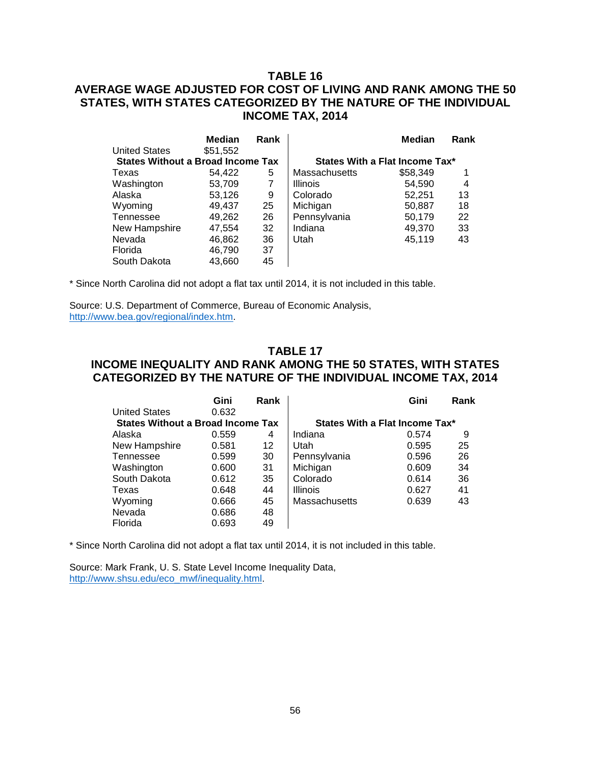# **TABLE 16 AVERAGE WAGE ADJUSTED FOR COST OF LIVING AND RANK AMONG THE 50 STATES, WITH STATES CATEGORIZED BY THE NATURE OF THE INDIVIDUAL INCOME TAX, 2014**

|                                          | Median   | Rank |                                | Median   | Rank |  |
|------------------------------------------|----------|------|--------------------------------|----------|------|--|
| <b>United States</b>                     | \$51,552 |      |                                |          |      |  |
| <b>States Without a Broad Income Tax</b> |          |      | States With a Flat Income Tax* |          |      |  |
| Texas                                    | 54.422   | 5    | <b>Massachusetts</b>           | \$58,349 |      |  |
| Washington                               | 53,709   | 7    | <b>Illinois</b>                | 54,590   | 4    |  |
| Alaska                                   | 53.126   | 9    | Colorado                       | 52,251   | 13   |  |
| Wyoming                                  | 49.437   | 25   | Michigan                       | 50,887   | 18   |  |
| Tennessee                                | 49,262   | 26   | Pennsylvania                   | 50,179   | 22   |  |
| New Hampshire                            | 47.554   | 32   | Indiana                        | 49,370   | 33   |  |
| Nevada                                   | 46,862   | 36   | Utah                           | 45,119   | 43   |  |
| Florida                                  | 46.790   | 37   |                                |          |      |  |
| South Dakota                             | 43.660   | 45   |                                |          |      |  |

\* Since North Carolina did not adopt a flat tax until 2014, it is not included in this table.

Source: U.S. Department of Commerce, Bureau of Economic Analysis, [http://www.bea.gov/regional/index.htm.](http://www.bea.gov/regional/index.htm)

### **TABLE 17 INCOME INEQUALITY AND RANK AMONG THE 50 STATES, WITH STATES CATEGORIZED BY THE NATURE OF THE INDIVIDUAL INCOME TAX, 2014**

|                                          | Gini  | Rank |                                | Gini  | Rank |  |
|------------------------------------------|-------|------|--------------------------------|-------|------|--|
| <b>United States</b>                     | 0.632 |      |                                |       |      |  |
| <b>States Without a Broad Income Tax</b> |       |      | States With a Flat Income Tax* |       |      |  |
| Alaska                                   | 0.559 | 4    | Indiana                        | 0.574 | 9    |  |
| New Hampshire                            | 0.581 | 12   | Utah                           | 0.595 | 25   |  |
| Tennessee                                | 0.599 | 30   | Pennsylvania                   | 0.596 | 26   |  |
| Washington                               | 0.600 | 31   | Michigan                       | 0.609 | 34   |  |
| South Dakota                             | 0.612 | 35   | Colorado                       | 0.614 | 36   |  |
| Texas                                    | 0.648 | 44   | <b>Illinois</b>                | 0.627 | 41   |  |
| Wyoming                                  | 0.666 | 45   | <b>Massachusetts</b>           | 0.639 | 43   |  |
| Nevada                                   | 0.686 | 48   |                                |       |      |  |
| Florida                                  | 0.693 | 49   |                                |       |      |  |

\* Since North Carolina did not adopt a flat tax until 2014, it is not included in this table.

Source: Mark Frank, U. S. State Level Income Inequality Data, [http://www.shsu.edu/eco\\_mwf/inequality.html.](http://www.shsu.edu/eco_mwf/inequality.html)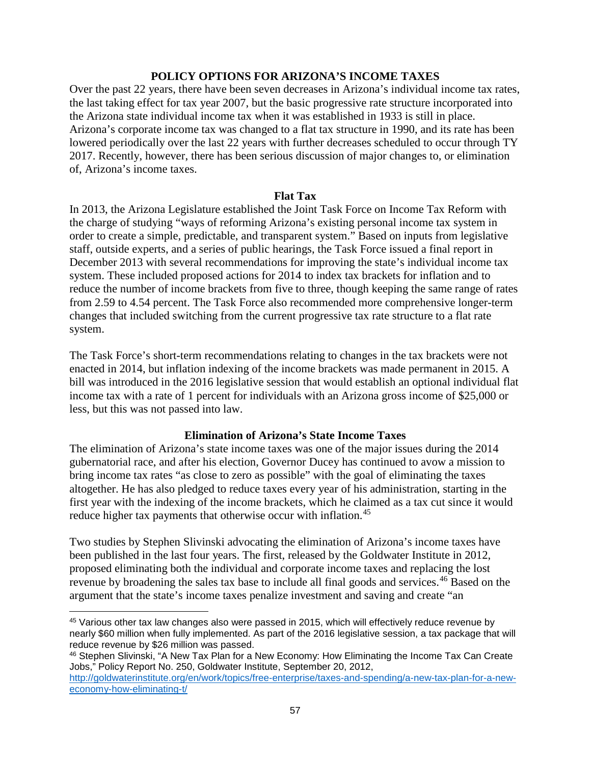### **POLICY OPTIONS FOR ARIZONA'S INCOME TAXES**

Over the past 22 years, there have been seven decreases in Arizona's individual income tax rates, the last taking effect for tax year 2007, but the basic progressive rate structure incorporated into the Arizona state individual income tax when it was established in 1933 is still in place. Arizona's corporate income tax was changed to a flat tax structure in 1990, and its rate has been lowered periodically over the last 22 years with further decreases scheduled to occur through TY 2017. Recently, however, there has been serious discussion of major changes to, or elimination of, Arizona's income taxes.

#### **Flat Tax**

In 2013, the Arizona Legislature established the Joint Task Force on Income Tax Reform with the charge of studying "ways of reforming Arizona's existing personal income tax system in order to create a simple, predictable, and transparent system." Based on inputs from legislative staff, outside experts, and a series of public hearings, the Task Force issued a final report in December 2013 with several recommendations for improving the state's individual income tax system. These included proposed actions for 2014 to index tax brackets for inflation and to reduce the number of income brackets from five to three, though keeping the same range of rates from 2.59 to 4.54 percent. The Task Force also recommended more comprehensive longer-term changes that included switching from the current progressive tax rate structure to a flat rate system.

The Task Force's short-term recommendations relating to changes in the tax brackets were not enacted in 2014, but inflation indexing of the income brackets was made permanent in 2015. A bill was introduced in the 2016 legislative session that would establish an optional individual flat income tax with a rate of 1 percent for individuals with an Arizona gross income of \$25,000 or less, but this was not passed into law.

### **Elimination of Arizona's State Income Taxes**

The elimination of Arizona's state income taxes was one of the major issues during the 2014 gubernatorial race, and after his election, Governor Ducey has continued to avow a mission to bring income tax rates "as close to zero as possible" with the goal of eliminating the taxes altogether. He has also pledged to reduce taxes every year of his administration, starting in the first year with the indexing of the income brackets, which he claimed as a tax cut since it would reduce higher tax payments that otherwise occur with inflation.<sup>[45](#page-60-0)</sup>

Two studies by Stephen Slivinski advocating the elimination of Arizona's income taxes have been published in the last four years. The first, released by the Goldwater Institute in 2012, proposed eliminating both the individual and corporate income taxes and replacing the lost revenue by broadening the sales tax base to include all final goods and services.<sup>[46](#page-60-1)</sup> Based on the argument that the state's income taxes penalize investment and saving and create "an

l

<span id="page-60-0"></span><sup>45</sup> Various other tax law changes also were passed in 2015, which will effectively reduce revenue by nearly \$60 million when fully implemented. As part of the 2016 legislative session, a tax package that will reduce revenue by \$26 million was passed.

<span id="page-60-1"></span><sup>46</sup> Stephen Slivinski, "A New Tax Plan for a New Economy: How Eliminating the Income Tax Can Create Jobs," Policy Report No. 250, Goldwater Institute, September 20, 2012,

[http://goldwaterinstitute.org/en/work/topics/free-enterprise/taxes-and-spending/a-new-tax-plan-for-a-new](http://goldwaterinstitute.org/en/work/topics/free-enterprise/taxes-and-spending/a-new-tax-plan-for-a-new-economy-how-eliminating-t/)[economy-how-eliminating-t/](http://goldwaterinstitute.org/en/work/topics/free-enterprise/taxes-and-spending/a-new-tax-plan-for-a-new-economy-how-eliminating-t/)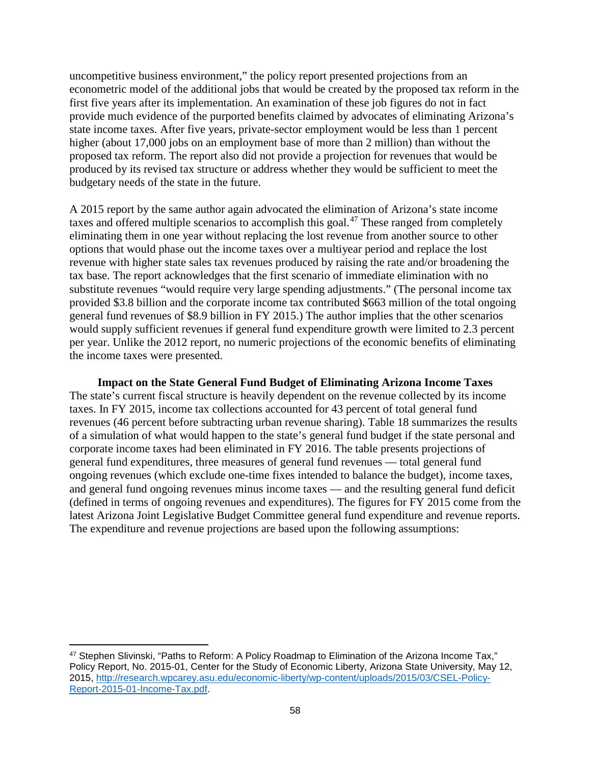uncompetitive business environment," the policy report presented projections from an econometric model of the additional jobs that would be created by the proposed tax reform in the first five years after its implementation. An examination of these job figures do not in fact provide much evidence of the purported benefits claimed by advocates of eliminating Arizona's state income taxes. After five years, private-sector employment would be less than 1 percent higher (about 17,000 jobs on an employment base of more than 2 million) than without the proposed tax reform. The report also did not provide a projection for revenues that would be produced by its revised tax structure or address whether they would be sufficient to meet the budgetary needs of the state in the future.

A 2015 report by the same author again advocated the elimination of Arizona's state income taxes and offered multiple scenarios to accomplish this goal.<sup>[47](#page-61-0)</sup> These ranged from completely eliminating them in one year without replacing the lost revenue from another source to other options that would phase out the income taxes over a multiyear period and replace the lost revenue with higher state sales tax revenues produced by raising the rate and/or broadening the tax base. The report acknowledges that the first scenario of immediate elimination with no substitute revenues "would require very large spending adjustments." (The personal income tax provided \$3.8 billion and the corporate income tax contributed \$663 million of the total ongoing general fund revenues of \$8.9 billion in FY 2015.) The author implies that the other scenarios would supply sufficient revenues if general fund expenditure growth were limited to 2.3 percent per year. Unlike the 2012 report, no numeric projections of the economic benefits of eliminating the income taxes were presented.

**Impact on the State General Fund Budget of Eliminating Arizona Income Taxes** The state's current fiscal structure is heavily dependent on the revenue collected by its income taxes. In FY 2015, income tax collections accounted for 43 percent of total general fund revenues (46 percent before subtracting urban revenue sharing). Table 18 summarizes the results of a simulation of what would happen to the state's general fund budget if the state personal and corporate income taxes had been eliminated in FY 2016. The table presents projections of general fund expenditures, three measures of general fund revenues — total general fund ongoing revenues (which exclude one-time fixes intended to balance the budget), income taxes, and general fund ongoing revenues minus income taxes — and the resulting general fund deficit (defined in terms of ongoing revenues and expenditures). The figures for FY 2015 come from the latest Arizona Joint Legislative Budget Committee general fund expenditure and revenue reports. The expenditure and revenue projections are based upon the following assumptions:

<span id="page-61-0"></span>l 47 Stephen Slivinski, "Paths to Reform: A Policy Roadmap to Elimination of the Arizona Income Tax," Policy Report, No. 2015-01, Center for the Study of Economic Liberty, Arizona State University, May 12, 2015, [http://research.wpcarey.asu.edu/economic-liberty/wp-content/uploads/2015/03/CSEL-Policy-](http://research.wpcarey.asu.edu/economic-liberty/wp-content/uploads/2015/03/CSEL-Policy-Report-2015-01-Income-Tax.pdf)[Report-2015-01-Income-Tax.pdf.](http://research.wpcarey.asu.edu/economic-liberty/wp-content/uploads/2015/03/CSEL-Policy-Report-2015-01-Income-Tax.pdf)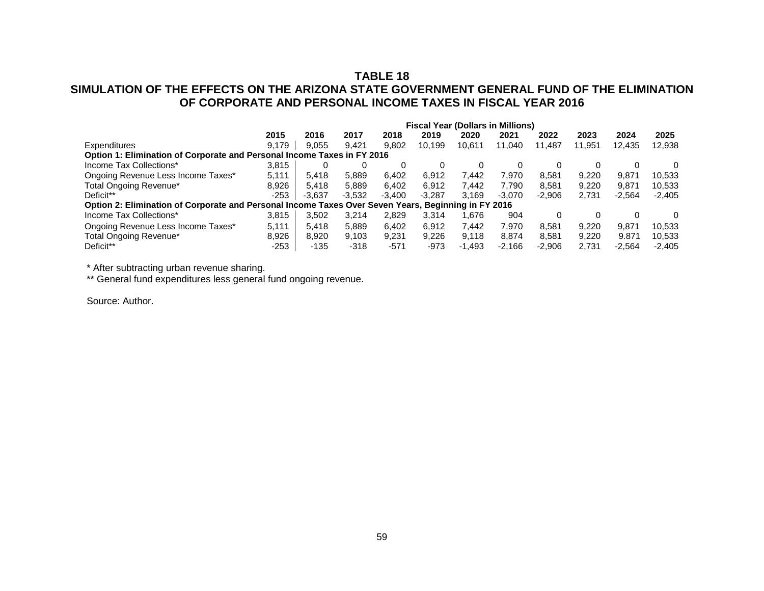# **TABLE 18**

# **SIMULATION OF THE EFFECTS ON THE ARIZONA STATE GOVERNMENT GENERAL FUND OF THE ELIMINATION OF CORPORATE AND PERSONAL INCOME TAXES IN FISCAL YEAR 2016**

|                                                                                                     | <b>Fiscal Year (Dollars in Millions)</b> |          |          |          |          |          |          |          |        |          |          |
|-----------------------------------------------------------------------------------------------------|------------------------------------------|----------|----------|----------|----------|----------|----------|----------|--------|----------|----------|
|                                                                                                     | 2015                                     | 2016     | 2017     | 2018     | 2019     | 2020     | 2021     | 2022     | 2023   | 2024     | 2025     |
| Expenditures                                                                                        | 9.179                                    | 9.055    | 9.421    | 9.802    | 10,199   | 10.611   | 11.040   | 11.487   | 11,951 | 12.435   | 12,938   |
| Option 1: Elimination of Corporate and Personal Income Taxes in FY 2016                             |                                          |          |          |          |          |          |          |          |        |          |          |
| Income Tax Collections*                                                                             | 3.815                                    |          |          |          | 0        | 0        |          |          |        |          |          |
| Ongoing Revenue Less Income Taxes*                                                                  | 5.111                                    | 5.418    | 5.889    | 6,402    | 6.912    | 7.442    | 7.970    | 8.581    | 9.220  | 9.871    | 10,533   |
| Total Ongoing Revenue*                                                                              | 8.926                                    | 5.418    | 5.889    | 6.402    | 6.912    | 7.442    | 7.790    | 8.581    | 9.220  | 9.871    | 10,533   |
| Deficit**                                                                                           | $-253$                                   | $-3.637$ | $-3.532$ | $-3.400$ | $-3.287$ | 3.169    | $-3.070$ | $-2.906$ | 2.731  | $-2.564$ | $-2,405$ |
| Option 2: Elimination of Corporate and Personal Income Taxes Over Seven Years, Beginning in FY 2016 |                                          |          |          |          |          |          |          |          |        |          |          |
| Income Tax Collections*                                                                             | 3.815                                    | 3.502    | 3.214    | 2,829    | 3.314    | .676     | 904      |          |        |          | $\Omega$ |
| Ongoing Revenue Less Income Taxes*                                                                  | 5.111                                    | 5.418    | 5.889    | 6.402    | 6.912    | 7.442    | 7.970    | 8.581    | 9.220  | 9.871    | 10.533   |
| Total Ongoing Revenue*                                                                              | 8,926                                    | 8.920    | 9.103    | 9.231    | 9,226    | 9,118    | 8.874    | 8.581    | 9.220  | 9.871    | 10,533   |
| Deficit**                                                                                           | $-253$                                   | $-135$   | $-318$   | $-571$   | -973     | $-1.493$ | $-2.166$ | $-2.906$ | 2.731  | $-2.564$ | $-2.405$ |

\* After subtracting urban revenue sharing.

\*\* General fund expenditures less general fund ongoing revenue.

Source: Author.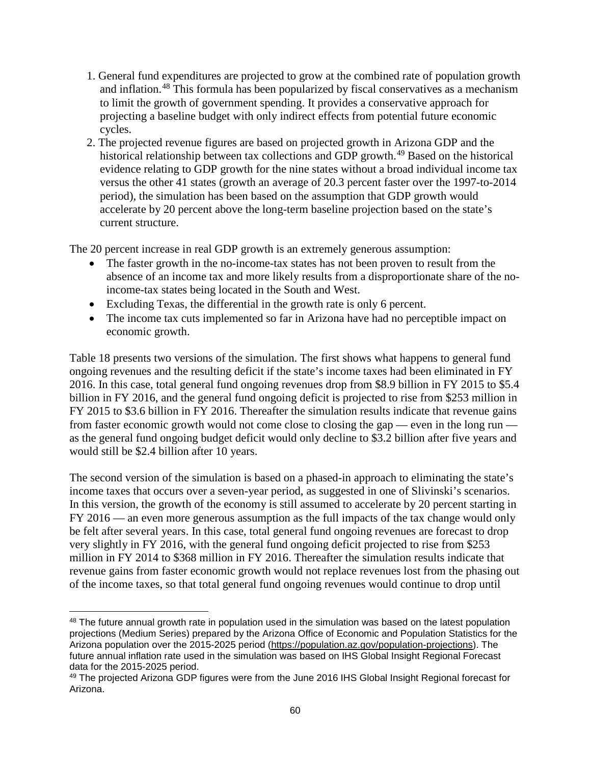- 1. General fund expenditures are projected to grow at the combined rate of population growth and inflation.<sup>[48](#page-63-0)</sup> This formula has been popularized by fiscal conservatives as a mechanism to limit the growth of government spending. It provides a conservative approach for projecting a baseline budget with only indirect effects from potential future economic cycles.
- 2. The projected revenue figures are based on projected growth in Arizona GDP and the historical relationship between tax collections and GDP growth.<sup>[49](#page-63-1)</sup> Based on the historical evidence relating to GDP growth for the nine states without a broad individual income tax versus the other 41 states (growth an average of 20.3 percent faster over the 1997-to-2014 period), the simulation has been based on the assumption that GDP growth would accelerate by 20 percent above the long-term baseline projection based on the state's current structure.

The 20 percent increase in real GDP growth is an extremely generous assumption:

- The faster growth in the no-income-tax states has not been proven to result from the absence of an income tax and more likely results from a disproportionate share of the noincome-tax states being located in the South and West.
- Excluding Texas, the differential in the growth rate is only 6 percent.
- The income tax cuts implemented so far in Arizona have had no perceptible impact on economic growth.

Table 18 presents two versions of the simulation. The first shows what happens to general fund ongoing revenues and the resulting deficit if the state's income taxes had been eliminated in FY 2016. In this case, total general fund ongoing revenues drop from \$8.9 billion in FY 2015 to \$5.4 billion in FY 2016, and the general fund ongoing deficit is projected to rise from \$253 million in FY 2015 to \$3.6 billion in FY 2016. Thereafter the simulation results indicate that revenue gains from faster economic growth would not come close to closing the gap — even in the long run as the general fund ongoing budget deficit would only decline to \$3.2 billion after five years and would still be \$2.4 billion after 10 years.

The second version of the simulation is based on a phased-in approach to eliminating the state's income taxes that occurs over a seven-year period, as suggested in one of Slivinski's scenarios. In this version, the growth of the economy is still assumed to accelerate by 20 percent starting in FY 2016 — an even more generous assumption as the full impacts of the tax change would only be felt after several years. In this case, total general fund ongoing revenues are forecast to drop very slightly in FY 2016, with the general fund ongoing deficit projected to rise from \$253 million in FY 2014 to \$368 million in FY 2016. Thereafter the simulation results indicate that revenue gains from faster economic growth would not replace revenues lost from the phasing out of the income taxes, so that total general fund ongoing revenues would continue to drop until

<span id="page-63-0"></span>l 48 The future annual growth rate in population used in the simulation was based on the latest population projections (Medium Series) prepared by the Arizona Office of Economic and Population Statistics for the Arizona population over the 2015-2025 period [\(https://population.az.gov/population-projections\)](https://population.az.gov/population-projections). The future annual inflation rate used in the simulation was based on IHS Global Insight Regional Forecast data for the 2015-2025 period.

<span id="page-63-1"></span><sup>49</sup> The projected Arizona GDP figures were from the June 2016 IHS Global Insight Regional forecast for Arizona.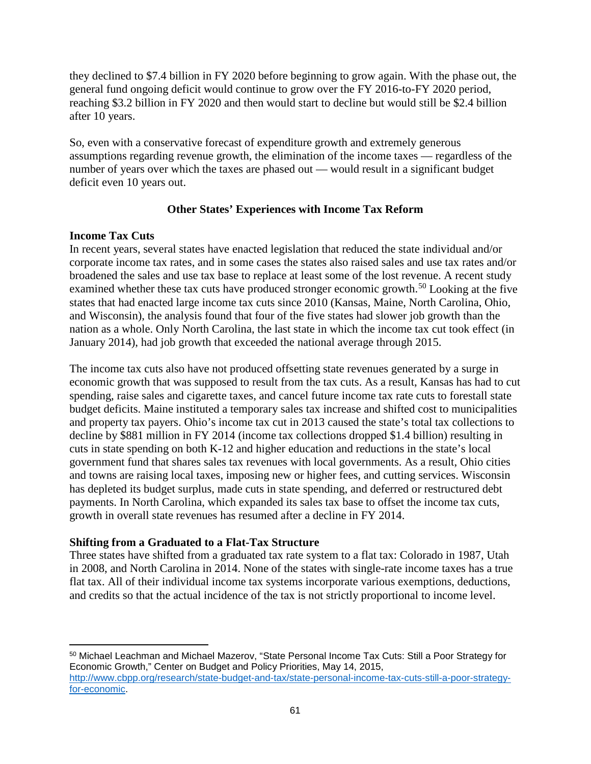they declined to \$7.4 billion in FY 2020 before beginning to grow again. With the phase out, the general fund ongoing deficit would continue to grow over the FY 2016-to-FY 2020 period, reaching \$3.2 billion in FY 2020 and then would start to decline but would still be \$2.4 billion after 10 years.

So, even with a conservative forecast of expenditure growth and extremely generous assumptions regarding revenue growth, the elimination of the income taxes — regardless of the number of years over which the taxes are phased out — would result in a significant budget deficit even 10 years out.

### **Other States' Experiences with Income Tax Reform**

### **Income Tax Cuts**

l

In recent years, several states have enacted legislation that reduced the state individual and/or corporate income tax rates, and in some cases the states also raised sales and use tax rates and/or broadened the sales and use tax base to replace at least some of the lost revenue. A recent study examined whether these tax cuts have produced stronger economic growth.<sup>[50](#page-64-0)</sup> Looking at the five states that had enacted large income tax cuts since 2010 (Kansas, Maine, North Carolina, Ohio, and Wisconsin), the analysis found that four of the five states had slower job growth than the nation as a whole. Only North Carolina, the last state in which the income tax cut took effect (in January 2014), had job growth that exceeded the national average through 2015.

The income tax cuts also have not produced offsetting state revenues generated by a surge in economic growth that was supposed to result from the tax cuts. As a result, Kansas has had to cut spending, raise sales and cigarette taxes, and cancel future income tax rate cuts to forestall state budget deficits. Maine instituted a temporary sales tax increase and shifted cost to municipalities and property tax payers. Ohio's income tax cut in 2013 caused the state's total tax collections to decline by \$881 million in FY 2014 (income tax collections dropped \$1.4 billion) resulting in cuts in state spending on both K-12 and higher education and reductions in the state's local government fund that shares sales tax revenues with local governments. As a result, Ohio cities and towns are raising local taxes, imposing new or higher fees, and cutting services. Wisconsin has depleted its budget surplus, made cuts in state spending, and deferred or restructured debt payments. In North Carolina, which expanded its sales tax base to offset the income tax cuts, growth in overall state revenues has resumed after a decline in FY 2014.

# **Shifting from a Graduated to a Flat-Tax Structure**

Three states have shifted from a graduated tax rate system to a flat tax: Colorado in 1987, Utah in 2008, and North Carolina in 2014. None of the states with single-rate income taxes has a true flat tax. All of their individual income tax systems incorporate various exemptions, deductions, and credits so that the actual incidence of the tax is not strictly proportional to income level.

<span id="page-64-0"></span><sup>50</sup> Michael Leachman and Michael Mazerov, "State Personal Income Tax Cuts: Still a Poor Strategy for Economic Growth," Center on Budget and Policy Priorities, May 14, 2015, [http://www.cbpp.org/research/state-budget-and-tax/state-personal-income-tax-cuts-still-a-poor-strategy](http://www.cbpp.org/research/state-budget-and-tax/state-personal-income-tax-cuts-still-a-poor-strategy-for-economic)[for-economic.](http://www.cbpp.org/research/state-budget-and-tax/state-personal-income-tax-cuts-still-a-poor-strategy-for-economic)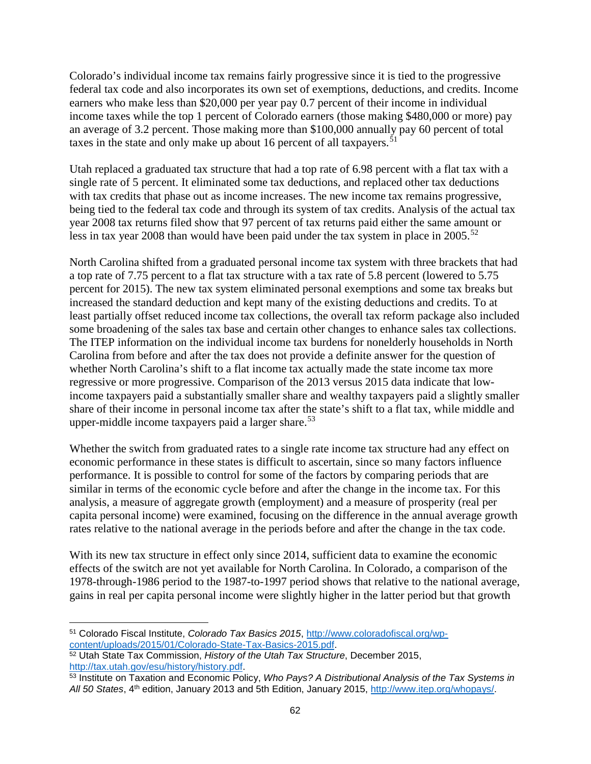Colorado's individual income tax remains fairly progressive since it is tied to the progressive federal tax code and also incorporates its own set of exemptions, deductions, and credits. Income earners who make less than \$20,000 per year pay 0.7 percent of their income in individual income taxes while the top 1 percent of Colorado earners (those making \$480,000 or more) pay an average of 3.2 percent. Those making more than \$100,000 annually pay 60 percent of total taxes in the state and only make up about 16 percent of all taxpayers.<sup>[51](#page-65-0)</sup>

Utah replaced a graduated tax structure that had a top rate of 6.98 percent with a flat tax with a single rate of 5 percent. It eliminated some tax deductions, and replaced other tax deductions with tax credits that phase out as income increases. The new income tax remains progressive, being tied to the federal tax code and through its system of tax credits. Analysis of the actual tax year 2008 tax returns filed show that 97 percent of tax returns paid either the same amount or less in tax year 2008 than would have been paid under the tax system in place in  $2005$ .<sup>[52](#page-65-1)</sup>

North Carolina shifted from a graduated personal income tax system with three brackets that had a top rate of 7.75 percent to a flat tax structure with a tax rate of 5.8 percent (lowered to 5.75 percent for 2015). The new tax system eliminated personal exemptions and some tax breaks but increased the standard deduction and kept many of the existing deductions and credits. To at least partially offset reduced income tax collections, the overall tax reform package also included some broadening of the sales tax base and certain other changes to enhance sales tax collections. The ITEP information on the individual income tax burdens for nonelderly households in North Carolina from before and after the tax does not provide a definite answer for the question of whether North Carolina's shift to a flat income tax actually made the state income tax more regressive or more progressive. Comparison of the 2013 versus 2015 data indicate that lowincome taxpayers paid a substantially smaller share and wealthy taxpayers paid a slightly smaller share of their income in personal income tax after the state's shift to a flat tax, while middle and upper-middle income taxpayers paid a larger share. $53$ 

Whether the switch from graduated rates to a single rate income tax structure had any effect on economic performance in these states is difficult to ascertain, since so many factors influence performance. It is possible to control for some of the factors by comparing periods that are similar in terms of the economic cycle before and after the change in the income tax. For this analysis, a measure of aggregate growth (employment) and a measure of prosperity (real per capita personal income) were examined, focusing on the difference in the annual average growth rates relative to the national average in the periods before and after the change in the tax code.

With its new tax structure in effect only since 2014, sufficient data to examine the economic effects of the switch are not yet available for North Carolina. In Colorado, a comparison of the 1978-through-1986 period to the 1987-to-1997 period shows that relative to the national average, gains in real per capita personal income were slightly higher in the latter period but that growth

<span id="page-65-0"></span> $\overline{\phantom{a}}$ <sup>51</sup> Colorado Fiscal Institute, *Colorado Tax Basics 2015*, [http://www.coloradofiscal.org/wp](http://www.coloradofiscal.org/wp-content/uploads/2015/01/Colorado-State-Tax-Basics-2015.pdf)[content/uploads/2015/01/Colorado-State-Tax-Basics-2015.pdf.](http://www.coloradofiscal.org/wp-content/uploads/2015/01/Colorado-State-Tax-Basics-2015.pdf)

<span id="page-65-1"></span><sup>52</sup> Utah State Tax Commission, *History of the Utah Tax Structure*, December 2015, [http://tax.utah.gov/esu/history/history.pdf.](http://tax.utah.gov/esu/history/history.pdf)

<span id="page-65-2"></span><sup>53</sup> Institute on Taxation and Economic Policy, *Who Pays? A Distributional Analysis of the Tax Systems in All 50 States*, 4th edition, January 2013 and 5th Edition, January 2015, [http://www.itep.org/whopays/.](http://www.itep.org/whopays/)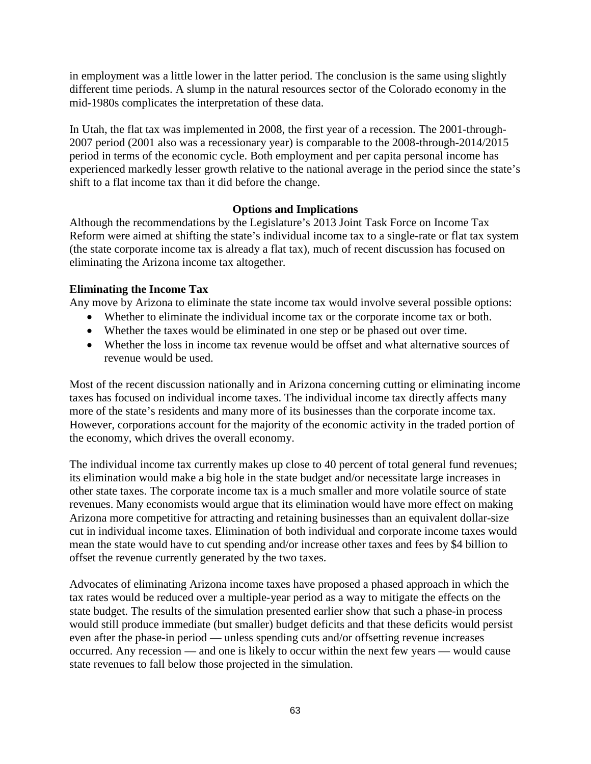in employment was a little lower in the latter period. The conclusion is the same using slightly different time periods. A slump in the natural resources sector of the Colorado economy in the mid-1980s complicates the interpretation of these data.

In Utah, the flat tax was implemented in 2008, the first year of a recession. The 2001-through-2007 period (2001 also was a recessionary year) is comparable to the 2008-through-2014/2015 period in terms of the economic cycle. Both employment and per capita personal income has experienced markedly lesser growth relative to the national average in the period since the state's shift to a flat income tax than it did before the change.

### **Options and Implications**

Although the recommendations by the Legislature's 2013 Joint Task Force on Income Tax Reform were aimed at shifting the state's individual income tax to a single-rate or flat tax system (the state corporate income tax is already a flat tax), much of recent discussion has focused on eliminating the Arizona income tax altogether.

### **Eliminating the Income Tax**

Any move by Arizona to eliminate the state income tax would involve several possible options:

- Whether to eliminate the individual income tax or the corporate income tax or both.
- Whether the taxes would be eliminated in one step or be phased out over time.
- Whether the loss in income tax revenue would be offset and what alternative sources of revenue would be used.

Most of the recent discussion nationally and in Arizona concerning cutting or eliminating income taxes has focused on individual income taxes. The individual income tax directly affects many more of the state's residents and many more of its businesses than the corporate income tax. However, corporations account for the majority of the economic activity in the traded portion of the economy, which drives the overall economy.

The individual income tax currently makes up close to 40 percent of total general fund revenues; its elimination would make a big hole in the state budget and/or necessitate large increases in other state taxes. The corporate income tax is a much smaller and more volatile source of state revenues. Many economists would argue that its elimination would have more effect on making Arizona more competitive for attracting and retaining businesses than an equivalent dollar-size cut in individual income taxes. Elimination of both individual and corporate income taxes would mean the state would have to cut spending and/or increase other taxes and fees by \$4 billion to offset the revenue currently generated by the two taxes.

Advocates of eliminating Arizona income taxes have proposed a phased approach in which the tax rates would be reduced over a multiple-year period as a way to mitigate the effects on the state budget. The results of the simulation presented earlier show that such a phase-in process would still produce immediate (but smaller) budget deficits and that these deficits would persist even after the phase-in period — unless spending cuts and/or offsetting revenue increases occurred. Any recession — and one is likely to occur within the next few years — would cause state revenues to fall below those projected in the simulation.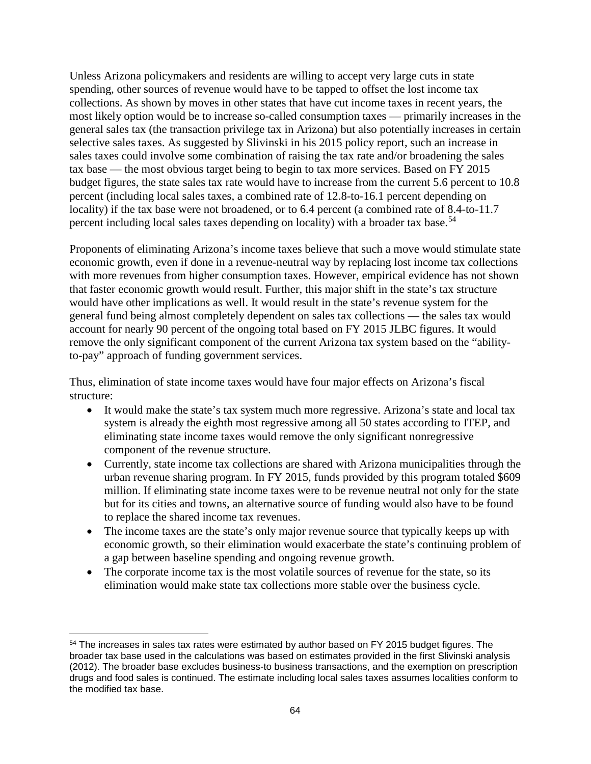Unless Arizona policymakers and residents are willing to accept very large cuts in state spending, other sources of revenue would have to be tapped to offset the lost income tax collections. As shown by moves in other states that have cut income taxes in recent years, the most likely option would be to increase so-called consumption taxes — primarily increases in the general sales tax (the transaction privilege tax in Arizona) but also potentially increases in certain selective sales taxes. As suggested by Slivinski in his 2015 policy report, such an increase in sales taxes could involve some combination of raising the tax rate and/or broadening the sales tax base — the most obvious target being to begin to tax more services. Based on FY 2015 budget figures, the state sales tax rate would have to increase from the current 5.6 percent to 10.8 percent (including local sales taxes, a combined rate of 12.8-to-16.1 percent depending on locality) if the tax base were not broadened, or to 6.4 percent (a combined rate of 8.4-to-11.7 percent including local sales taxes depending on locality) with a broader tax base.<sup>[54](#page-67-0)</sup>

Proponents of eliminating Arizona's income taxes believe that such a move would stimulate state economic growth, even if done in a revenue-neutral way by replacing lost income tax collections with more revenues from higher consumption taxes. However, empirical evidence has not shown that faster economic growth would result. Further, this major shift in the state's tax structure would have other implications as well. It would result in the state's revenue system for the general fund being almost completely dependent on sales tax collections — the sales tax would account for nearly 90 percent of the ongoing total based on FY 2015 JLBC figures. It would remove the only significant component of the current Arizona tax system based on the "abilityto-pay" approach of funding government services.

Thus, elimination of state income taxes would have four major effects on Arizona's fiscal structure:

- It would make the state's tax system much more regressive. Arizona's state and local tax system is already the eighth most regressive among all 50 states according to ITEP, and eliminating state income taxes would remove the only significant nonregressive component of the revenue structure.
- Currently, state income tax collections are shared with Arizona municipalities through the urban revenue sharing program. In FY 2015, funds provided by this program totaled \$609 million. If eliminating state income taxes were to be revenue neutral not only for the state but for its cities and towns, an alternative source of funding would also have to be found to replace the shared income tax revenues.
- The income taxes are the state's only major revenue source that typically keeps up with economic growth, so their elimination would exacerbate the state's continuing problem of a gap between baseline spending and ongoing revenue growth.
- The corporate income tax is the most volatile sources of revenue for the state, so its elimination would make state tax collections more stable over the business cycle.

 $\overline{\phantom{a}}$ 

<span id="page-67-0"></span><sup>&</sup>lt;sup>54</sup> The increases in sales tax rates were estimated by author based on FY 2015 budget figures. The broader tax base used in the calculations was based on estimates provided in the first Slivinski analysis (2012). The broader base excludes business-to business transactions, and the exemption on prescription drugs and food sales is continued. The estimate including local sales taxes assumes localities conform to the modified tax base.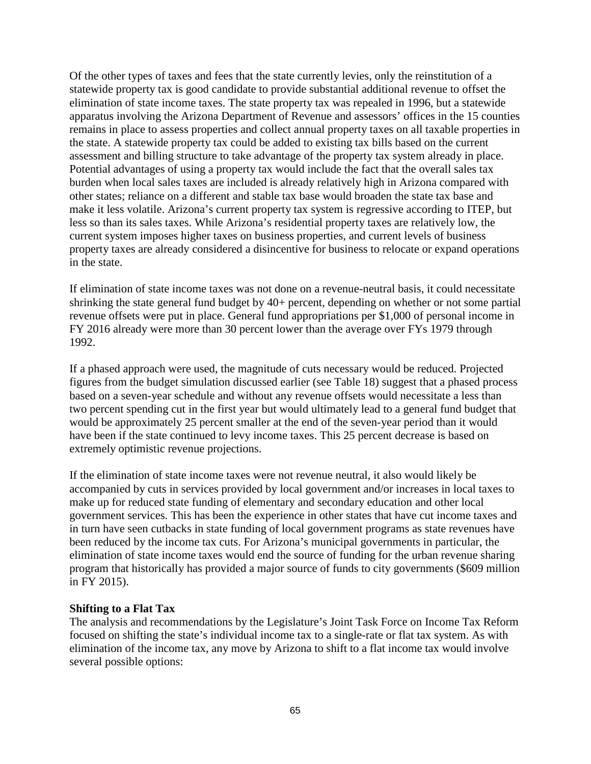Of the other types of taxes and fees that the state currently levies, only the reinstitution of a statewide property tax is good candidate to provide substantial additional revenue to offset the elimination of state income taxes. The state property tax was repealed in 1996, but a statewide apparatus involving the Arizona Department of Revenue and assessors' offices in the 15 counties remains in place to assess properties and collect annual property taxes on all taxable properties in the state. A statewide property tax could be added to existing tax bills based on the current assessment and billing structure to take advantage of the property tax system already in place. Potential advantages of using a property tax would include the fact that the overall sales tax burden when local sales taxes are included is already relatively high in Arizona compared with other states; reliance on a different and stable tax base would broaden the state tax base and make it less volatile. Arizona's current property tax system is regressive according to ITEP, but less so than its sales taxes. While Arizona's residential property taxes are relatively low, the current system imposes higher taxes on business properties, and current levels of business property taxes are already considered a disincentive for business to relocate or expand operations in the state.

If elimination of state income taxes was not done on a revenue-neutral basis, it could necessitate shrinking the state general fund budget by 40+ percent, depending on whether or not some partial revenue offsets were put in place. General fund appropriations per \$1,000 of personal income in FY 2016 already were more than 30 percent lower than the average over FYs 1979 through 1992.

If a phased approach were used, the magnitude of cuts necessary would be reduced. Projected figures from the budget simulation discussed earlier (see Table 18) suggest that a phased process based on a seven-year schedule and without any revenue offsets would necessitate a less than two percent spending cut in the first year but would ultimately lead to a general fund budget that would be approximately 25 percent smaller at the end of the seven-year period than it would have been if the state continued to levy income taxes. This 25 percent decrease is based on extremely optimistic revenue projections.

If the elimination of state income taxes were not revenue neutral, it also would likely be accompanied by cuts in services provided by local government and/or increases in local taxes to make up for reduced state funding of elementary and secondary education and other local government services. This has been the experience in other states that have cut income taxes and in turn have seen cutbacks in state funding of local government programs as state revenues have been reduced by the income tax cuts. For Arizona's municipal governments in particular, the elimination of state income taxes would end the source of funding for the urban revenue sharing program that historically has provided a major source of funds to city governments (\$609 million in FY 2015).

### **Shifting to a Flat Tax**

The analysis and recommendations by the Legislature's Joint Task Force on Income Tax Reform focused on shifting the state's individual income tax to a single-rate or flat tax system. As with elimination of the income tax, any move by Arizona to shift to a flat income tax would involve several possible options: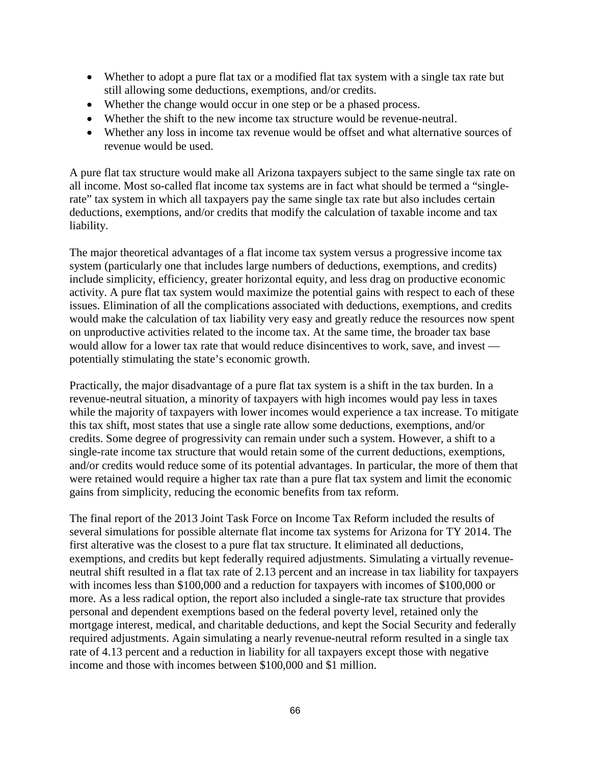- Whether to adopt a pure flat tax or a modified flat tax system with a single tax rate but still allowing some deductions, exemptions, and/or credits.
- Whether the change would occur in one step or be a phased process.
- Whether the shift to the new income tax structure would be revenue-neutral.
- Whether any loss in income tax revenue would be offset and what alternative sources of revenue would be used.

A pure flat tax structure would make all Arizona taxpayers subject to the same single tax rate on all income. Most so-called flat income tax systems are in fact what should be termed a "singlerate" tax system in which all taxpayers pay the same single tax rate but also includes certain deductions, exemptions, and/or credits that modify the calculation of taxable income and tax liability.

The major theoretical advantages of a flat income tax system versus a progressive income tax system (particularly one that includes large numbers of deductions, exemptions, and credits) include simplicity, efficiency, greater horizontal equity, and less drag on productive economic activity. A pure flat tax system would maximize the potential gains with respect to each of these issues. Elimination of all the complications associated with deductions, exemptions, and credits would make the calculation of tax liability very easy and greatly reduce the resources now spent on unproductive activities related to the income tax. At the same time, the broader tax base would allow for a lower tax rate that would reduce disincentives to work, save, and invest potentially stimulating the state's economic growth.

Practically, the major disadvantage of a pure flat tax system is a shift in the tax burden. In a revenue-neutral situation, a minority of taxpayers with high incomes would pay less in taxes while the majority of taxpayers with lower incomes would experience a tax increase. To mitigate this tax shift, most states that use a single rate allow some deductions, exemptions, and/or credits. Some degree of progressivity can remain under such a system. However, a shift to a single-rate income tax structure that would retain some of the current deductions, exemptions, and/or credits would reduce some of its potential advantages. In particular, the more of them that were retained would require a higher tax rate than a pure flat tax system and limit the economic gains from simplicity, reducing the economic benefits from tax reform.

The final report of the 2013 Joint Task Force on Income Tax Reform included the results of several simulations for possible alternate flat income tax systems for Arizona for TY 2014. The first alterative was the closest to a pure flat tax structure. It eliminated all deductions, exemptions, and credits but kept federally required adjustments. Simulating a virtually revenueneutral shift resulted in a flat tax rate of 2.13 percent and an increase in tax liability for taxpayers with incomes less than \$100,000 and a reduction for taxpayers with incomes of \$100,000 or more. As a less radical option, the report also included a single-rate tax structure that provides personal and dependent exemptions based on the federal poverty level, retained only the mortgage interest, medical, and charitable deductions, and kept the Social Security and federally required adjustments. Again simulating a nearly revenue-neutral reform resulted in a single tax rate of 4.13 percent and a reduction in liability for all taxpayers except those with negative income and those with incomes between \$100,000 and \$1 million.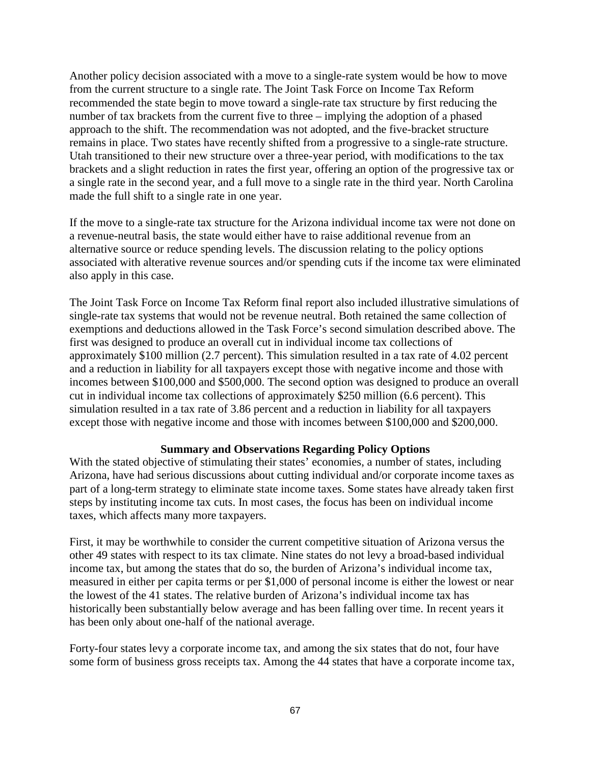Another policy decision associated with a move to a single-rate system would be how to move from the current structure to a single rate. The Joint Task Force on Income Tax Reform recommended the state begin to move toward a single-rate tax structure by first reducing the number of tax brackets from the current five to three – implying the adoption of a phased approach to the shift. The recommendation was not adopted, and the five-bracket structure remains in place. Two states have recently shifted from a progressive to a single-rate structure. Utah transitioned to their new structure over a three-year period, with modifications to the tax brackets and a slight reduction in rates the first year, offering an option of the progressive tax or a single rate in the second year, and a full move to a single rate in the third year. North Carolina made the full shift to a single rate in one year.

If the move to a single-rate tax structure for the Arizona individual income tax were not done on a revenue-neutral basis, the state would either have to raise additional revenue from an alternative source or reduce spending levels. The discussion relating to the policy options associated with alterative revenue sources and/or spending cuts if the income tax were eliminated also apply in this case.

The Joint Task Force on Income Tax Reform final report also included illustrative simulations of single-rate tax systems that would not be revenue neutral. Both retained the same collection of exemptions and deductions allowed in the Task Force's second simulation described above. The first was designed to produce an overall cut in individual income tax collections of approximately \$100 million (2.7 percent). This simulation resulted in a tax rate of 4.02 percent and a reduction in liability for all taxpayers except those with negative income and those with incomes between \$100,000 and \$500,000. The second option was designed to produce an overall cut in individual income tax collections of approximately \$250 million (6.6 percent). This simulation resulted in a tax rate of 3.86 percent and a reduction in liability for all taxpayers except those with negative income and those with incomes between \$100,000 and \$200,000.

### **Summary and Observations Regarding Policy Options**

With the stated objective of stimulating their states' economies, a number of states, including Arizona, have had serious discussions about cutting individual and/or corporate income taxes as part of a long-term strategy to eliminate state income taxes. Some states have already taken first steps by instituting income tax cuts. In most cases, the focus has been on individual income taxes, which affects many more taxpayers.

First, it may be worthwhile to consider the current competitive situation of Arizona versus the other 49 states with respect to its tax climate. Nine states do not levy a broad-based individual income tax, but among the states that do so, the burden of Arizona's individual income tax, measured in either per capita terms or per \$1,000 of personal income is either the lowest or near the lowest of the 41 states. The relative burden of Arizona's individual income tax has historically been substantially below average and has been falling over time. In recent years it has been only about one-half of the national average.

Forty-four states levy a corporate income tax, and among the six states that do not, four have some form of business gross receipts tax. Among the 44 states that have a corporate income tax,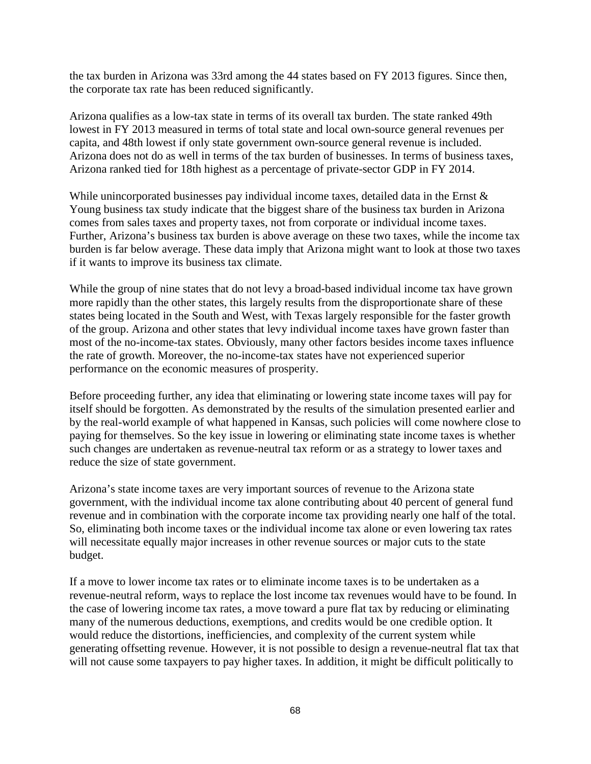the tax burden in Arizona was 33rd among the 44 states based on FY 2013 figures. Since then, the corporate tax rate has been reduced significantly.

Arizona qualifies as a low-tax state in terms of its overall tax burden. The state ranked 49th lowest in FY 2013 measured in terms of total state and local own-source general revenues per capita, and 48th lowest if only state government own-source general revenue is included. Arizona does not do as well in terms of the tax burden of businesses. In terms of business taxes, Arizona ranked tied for 18th highest as a percentage of private-sector GDP in FY 2014.

While unincorporated businesses pay individual income taxes, detailed data in the Ernst & Young business tax study indicate that the biggest share of the business tax burden in Arizona comes from sales taxes and property taxes, not from corporate or individual income taxes. Further, Arizona's business tax burden is above average on these two taxes, while the income tax burden is far below average. These data imply that Arizona might want to look at those two taxes if it wants to improve its business tax climate.

While the group of nine states that do not levy a broad-based individual income tax have grown more rapidly than the other states, this largely results from the disproportionate share of these states being located in the South and West, with Texas largely responsible for the faster growth of the group. Arizona and other states that levy individual income taxes have grown faster than most of the no-income-tax states. Obviously, many other factors besides income taxes influence the rate of growth. Moreover, the no-income-tax states have not experienced superior performance on the economic measures of prosperity.

Before proceeding further, any idea that eliminating or lowering state income taxes will pay for itself should be forgotten. As demonstrated by the results of the simulation presented earlier and by the real-world example of what happened in Kansas, such policies will come nowhere close to paying for themselves. So the key issue in lowering or eliminating state income taxes is whether such changes are undertaken as revenue-neutral tax reform or as a strategy to lower taxes and reduce the size of state government.

Arizona's state income taxes are very important sources of revenue to the Arizona state government, with the individual income tax alone contributing about 40 percent of general fund revenue and in combination with the corporate income tax providing nearly one half of the total. So, eliminating both income taxes or the individual income tax alone or even lowering tax rates will necessitate equally major increases in other revenue sources or major cuts to the state budget.

If a move to lower income tax rates or to eliminate income taxes is to be undertaken as a revenue-neutral reform, ways to replace the lost income tax revenues would have to be found. In the case of lowering income tax rates, a move toward a pure flat tax by reducing or eliminating many of the numerous deductions, exemptions, and credits would be one credible option. It would reduce the distortions, inefficiencies, and complexity of the current system while generating offsetting revenue. However, it is not possible to design a revenue-neutral flat tax that will not cause some taxpayers to pay higher taxes. In addition, it might be difficult politically to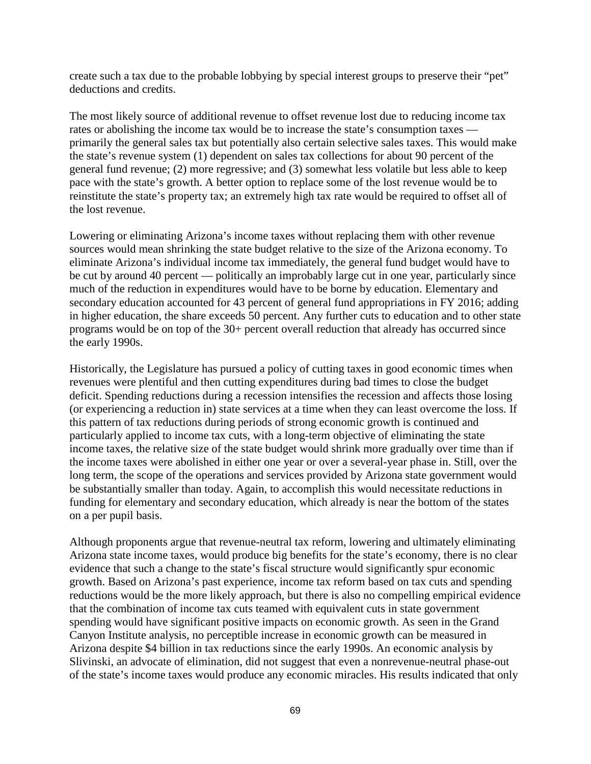create such a tax due to the probable lobbying by special interest groups to preserve their "pet" deductions and credits.

The most likely source of additional revenue to offset revenue lost due to reducing income tax rates or abolishing the income tax would be to increase the state's consumption taxes primarily the general sales tax but potentially also certain selective sales taxes. This would make the state's revenue system (1) dependent on sales tax collections for about 90 percent of the general fund revenue; (2) more regressive; and (3) somewhat less volatile but less able to keep pace with the state's growth. A better option to replace some of the lost revenue would be to reinstitute the state's property tax; an extremely high tax rate would be required to offset all of the lost revenue.

Lowering or eliminating Arizona's income taxes without replacing them with other revenue sources would mean shrinking the state budget relative to the size of the Arizona economy. To eliminate Arizona's individual income tax immediately, the general fund budget would have to be cut by around 40 percent — politically an improbably large cut in one year, particularly since much of the reduction in expenditures would have to be borne by education. Elementary and secondary education accounted for 43 percent of general fund appropriations in FY 2016; adding in higher education, the share exceeds 50 percent. Any further cuts to education and to other state programs would be on top of the 30+ percent overall reduction that already has occurred since the early 1990s.

Historically, the Legislature has pursued a policy of cutting taxes in good economic times when revenues were plentiful and then cutting expenditures during bad times to close the budget deficit. Spending reductions during a recession intensifies the recession and affects those losing (or experiencing a reduction in) state services at a time when they can least overcome the loss. If this pattern of tax reductions during periods of strong economic growth is continued and particularly applied to income tax cuts, with a long-term objective of eliminating the state income taxes, the relative size of the state budget would shrink more gradually over time than if the income taxes were abolished in either one year or over a several-year phase in. Still, over the long term, the scope of the operations and services provided by Arizona state government would be substantially smaller than today. Again, to accomplish this would necessitate reductions in funding for elementary and secondary education, which already is near the bottom of the states on a per pupil basis.

Although proponents argue that revenue-neutral tax reform, lowering and ultimately eliminating Arizona state income taxes, would produce big benefits for the state's economy, there is no clear evidence that such a change to the state's fiscal structure would significantly spur economic growth. Based on Arizona's past experience, income tax reform based on tax cuts and spending reductions would be the more likely approach, but there is also no compelling empirical evidence that the combination of income tax cuts teamed with equivalent cuts in state government spending would have significant positive impacts on economic growth. As seen in the Grand Canyon Institute analysis, no perceptible increase in economic growth can be measured in Arizona despite \$4 billion in tax reductions since the early 1990s. An economic analysis by Slivinski, an advocate of elimination, did not suggest that even a nonrevenue-neutral phase-out of the state's income taxes would produce any economic miracles. His results indicated that only